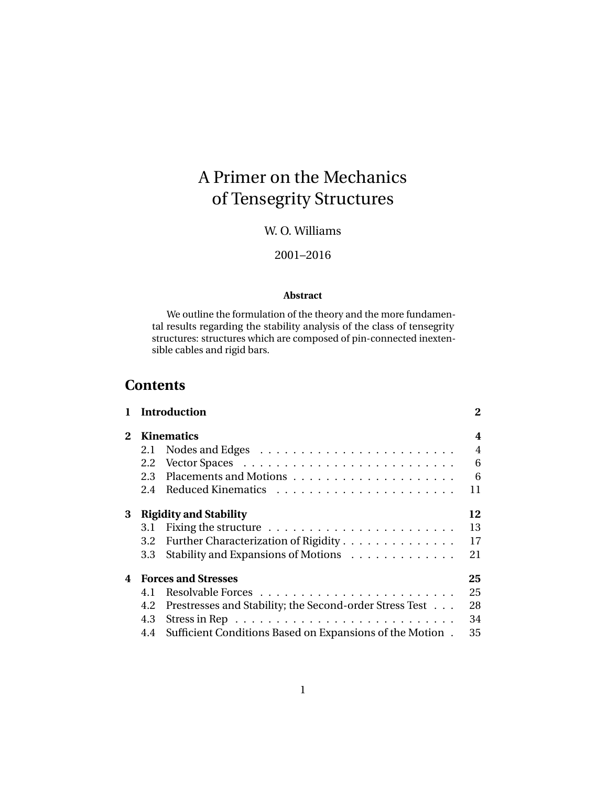# A Primer on the Mechanics of Tensegrity Structures

# W. O. Williams

#### 2001–2016

#### **Abstract**

We outline the formulation of the theory and the more fundamental results regarding the stability analysis of the class of tensegrity structures: structures which are composed of pin-connected inextensible cables and rigid bars.

# **Contents**

|                       |                               | <b>Introduction</b>                                      | $\bf{2}$       |  |  |
|-----------------------|-------------------------------|----------------------------------------------------------|----------------|--|--|
| $\mathbf{2}^{\prime}$ | <b>Kinematics</b>             |                                                          |                |  |  |
|                       | 2.1                           |                                                          | $\overline{4}$ |  |  |
|                       | 2.2                           |                                                          | 6              |  |  |
|                       | 2.3                           |                                                          | 6              |  |  |
|                       | 2.4                           |                                                          | 11             |  |  |
| 3                     | <b>Rigidity and Stability</b> |                                                          |                |  |  |
|                       | 3.1                           |                                                          | 13             |  |  |
|                       | 3.2                           | Further Characterization of Rigidity                     | 17             |  |  |
|                       | 3.3                           | Stability and Expansions of Motions                      | 21             |  |  |
| 4                     | <b>Forces and Stresses</b>    |                                                          |                |  |  |
|                       | 4.1                           |                                                          | 25             |  |  |
|                       | 4.2                           | Prestresses and Stability; the Second-order Stress Test  | 28             |  |  |
|                       | 4.3                           |                                                          | 34             |  |  |
|                       | 4.4                           | Sufficient Conditions Based on Expansions of the Motion. | 35             |  |  |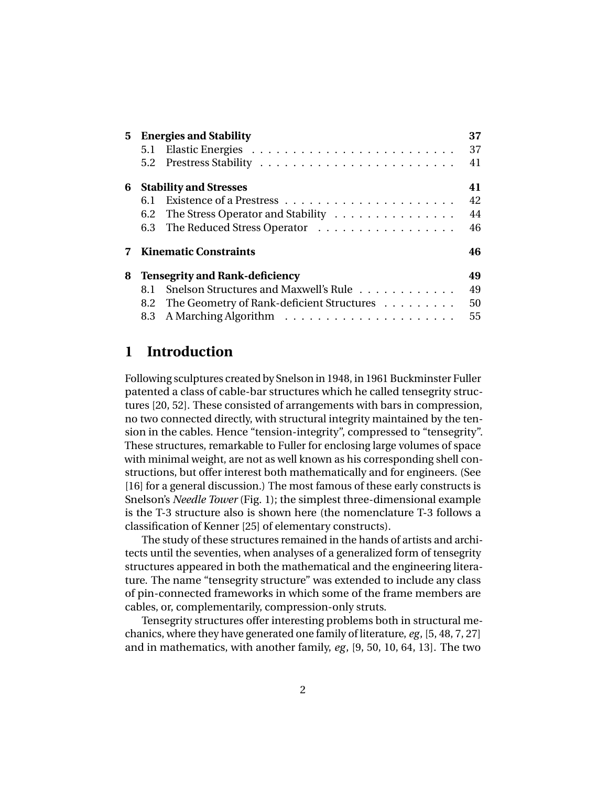|   | 5 Energies and Stability              |                                           |    |  |
|---|---------------------------------------|-------------------------------------------|----|--|
|   | 5.1                                   |                                           | 37 |  |
|   | 5.2                                   |                                           | 41 |  |
| 6 | <b>Stability and Stresses</b>         |                                           |    |  |
|   | 6.1                                   |                                           | 42 |  |
|   |                                       | 6.2 The Stress Operator and Stability     | 44 |  |
|   |                                       | 6.3 The Reduced Stress Operator           | 46 |  |
|   |                                       | <b>Kinematic Constraints</b>              | 46 |  |
| 8 | <b>Tensegrity and Rank-deficiency</b> |                                           |    |  |
|   | 8.1                                   | Snelson Structures and Maxwell's Rule     | 49 |  |
|   | 8.2                                   | The Geometry of Rank-deficient Structures | 50 |  |
|   |                                       |                                           | 55 |  |

# **1 Introduction**

Following sculptures created by Snelson in 1948, in 1961 Buckminster Fuller patented a class of cable-bar structures which he called tensegrity structures [20, 52]. These consisted of arrangements with bars in compression, no two connected directly, with structural integrity maintained by the tension in the cables. Hence "tension-integrity", compressed to "tensegrity". These structures, remarkable to Fuller for enclosing large volumes of space with minimal weight, are not as well known as his corresponding shell constructions, but offer interest both mathematically and for engineers. (See [16] for a general discussion.) The most famous of these early constructs is Snelson's *Needle Tower* (Fig. 1); the simplest three-dimensional example is the T-3 structure also is shown here (the nomenclature T-3 follows a classification of Kenner [25] of elementary constructs).

The study of these structures remained in the hands of artists and architects until the seventies, when analyses of a generalized form of tensegrity structures appeared in both the mathematical and the engineering literature. The name "tensegrity structure" was extended to include any class of pin-connected frameworks in which some of the frame members are cables, or, complementarily, compression-only struts.

Tensegrity structures offer interesting problems both in structural mechanics, where they have generated one family of literature, *eg*, [5, 48, 7, 27] and in mathematics, with another family, *eg*, [9, 50, 10, 64, 13]. The two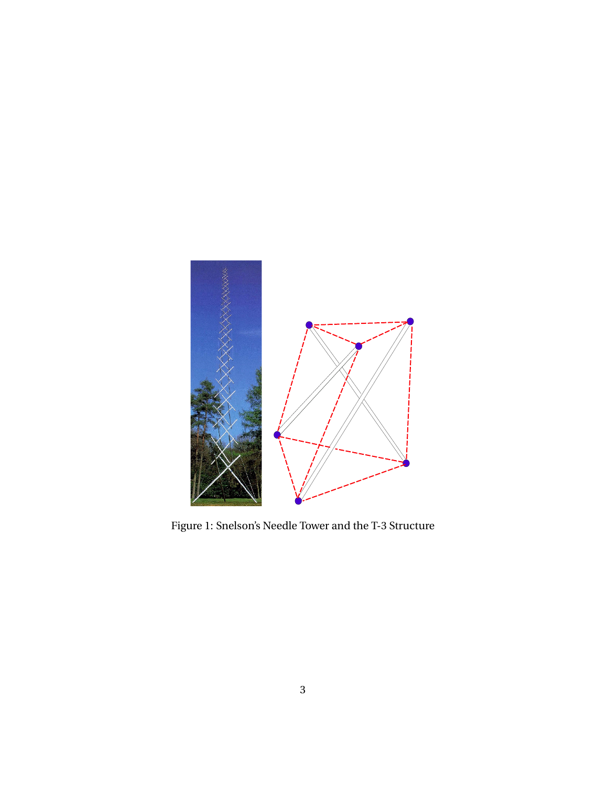

Figure 1: Snelson's Needle Tower and the T-3 Structure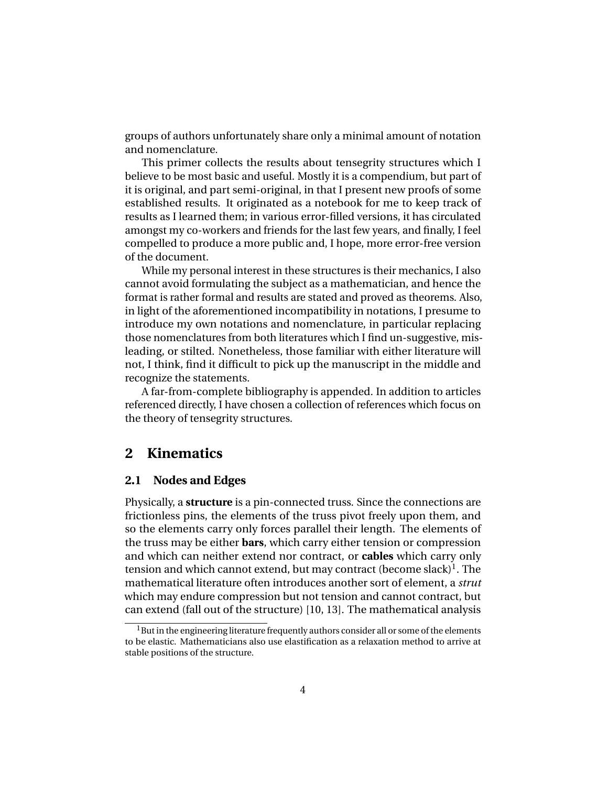groups of authors unfortunately share only a minimal amount of notation and nomenclature.

This primer collects the results about tensegrity structures which I believe to be most basic and useful. Mostly it is a compendium, but part of it is original, and part semi-original, in that I present new proofs of some established results. It originated as a notebook for me to keep track of results as I learned them; in various error-filled versions, it has circulated amongst my co-workers and friends for the last few years, and finally, I feel compelled to produce a more public and, I hope, more error-free version of the document.

While my personal interest in these structures is their mechanics, I also cannot avoid formulating the subject as a mathematician, and hence the format is rather formal and results are stated and proved as theorems. Also, in light of the aforementioned incompatibility in notations, I presume to introduce my own notations and nomenclature, in particular replacing those nomenclatures from both literatures which I find un-suggestive, misleading, or stilted. Nonetheless, those familiar with either literature will not, I think, find it difficult to pick up the manuscript in the middle and recognize the statements.

A far-from-complete bibliography is appended. In addition to articles referenced directly, I have chosen a collection of references which focus on the theory of tensegrity structures.

### **2 Kinematics**

#### **2.1 Nodes and Edges**

Physically, a **structure** is a pin-connected truss. Since the connections are frictionless pins, the elements of the truss pivot freely upon them, and so the elements carry only forces parallel their length. The elements of the truss may be either **bars**, which carry either tension or compression and which can neither extend nor contract, or **cables** which carry only tension and which cannot extend, but may contract (become slack) $^1$ . The mathematical literature often introduces another sort of element, a *strut* which may endure compression but not tension and cannot contract, but can extend (fall out of the structure) [10, 13]. The mathematical analysis

<sup>&</sup>lt;sup>1</sup>But in the engineering literature frequently authors consider all or some of the elements to be elastic. Mathematicians also use elastification as a relaxation method to arrive at stable positions of the structure.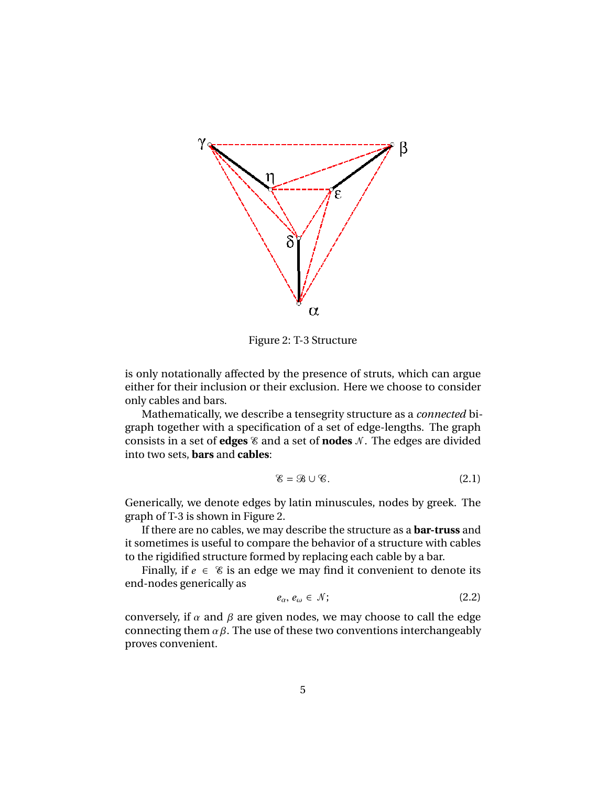

Figure 2: T-3 Structure

is only notationally affected by the presence of struts, which can argue either for their inclusion or their exclusion. Here we choose to consider only cables and bars.

Mathematically, we describe a tensegrity structure as a *connected* bigraph together with a specification of a set of edge-lengths. The graph consists in a set of **edges**  $\&$  and a set of **nodes**  $\&$ . The edges are divided into two sets, **bars** and **cables**:

$$
\mathscr{E} = \mathscr{B} \cup \mathscr{C}.\tag{2.1}
$$

Generically, we denote edges by latin minuscules, nodes by greek. The graph of T-3 is shown in Figure 2.

If there are no cables, we may describe the structure as a **bar-truss** and it sometimes is useful to compare the behavior of a structure with cables to the rigidified structure formed by replacing each cable by a bar.

Finally, if  $e \in \mathcal{E}$  is an edge we may find it convenient to denote its end-nodes generically as

$$
e_{\alpha}, e_{\omega} \in \mathcal{N};\tag{2.2}
$$

conversely, if  $\alpha$  and  $\beta$  are given nodes, we may choose to call the edge connecting them  $\alpha \beta$ . The use of these two conventions interchangeably proves convenient.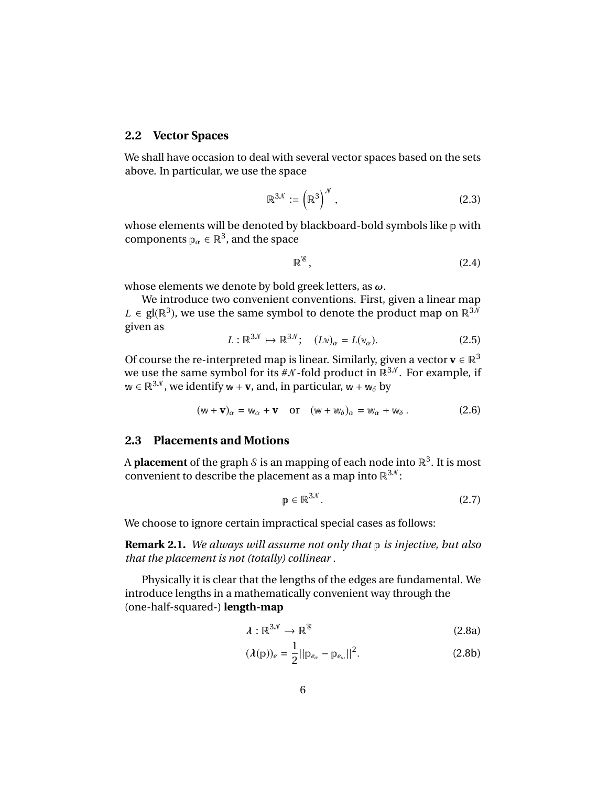#### **2.2 Vector Spaces**

We shall have occasion to deal with several vector spaces based on the sets above. In particular, we use the space

$$
\mathbb{R}^{3\mathcal{N}} := \left(\mathbb{R}^3\right)^{\mathcal{N}},\tag{2.3}
$$

whose elements will be denoted by blackboard-bold symbols like p with components  $p_{\alpha} \in \mathbb{R}^3$ , and the space

$$
\mathbb{R}^8, \tag{2.4}
$$

whose elements we denote by bold greek letters, as  $\omega$ .

We introduce two convenient conventions. First, given a linear map *L* ∈ gl( $\mathbb{R}^3$ ), we use the same symbol to denote the product map on  $\mathbb{R}^{3N}$ given as

$$
L: \mathbb{R}^{3\mathcal{N}} \mapsto \mathbb{R}^{3\mathcal{N}}; \quad (L\mathbf{v})_{\alpha} = L(\mathbf{v}_{\alpha}). \tag{2.5}
$$

Of course the re-interpreted map is linear. Similarly, given a vector **v**  $\in \mathbb{R}^3$ we use the same symbol for its  $\#N$ -fold product in  $\mathbb{R}^{3,N}$ . For example, if  $w \in \mathbb{R}^{3\mathcal{N}}$ , we identify  $w + v$ , and, in particular,  $w + w_{\delta}$  by

$$
(\mathbf{w} + \mathbf{v})_{\alpha} = \mathbf{w}_{\alpha} + \mathbf{v} \quad \text{or} \quad (\mathbf{w} + \mathbf{w}_{\delta})_{\alpha} = \mathbf{w}_{\alpha} + \mathbf{w}_{\delta} \,.
$$
 (2.6)

#### **2.3 Placements and Motions**

A **placement** of the graph  $\mathcal S$  is an mapping of each node into  $\mathbb R^3.$  It is most convenient to describe the placement as a map into  $\mathbb{R}^{3,\mathcal{N}}$ :

$$
\mathbf{p} \in \mathbb{R}^{3N}.
$$
 (2.7)

We choose to ignore certain impractical special cases as follows:

**Remark 2.1.** *We always will assume not only that* p *is injective, but also that the placement is not (totally) collinear .*

Physically it is clear that the lengths of the edges are fundamental. We introduce lengths in a mathematically convenient way through the (one-half-squared-) **length-map**

$$
\lambda: \mathbb{R}^{3\mathcal{N}} \to \mathbb{R}^{\mathcal{E}}
$$
 (2.8a)

$$
(\lambda(\mathbf{p}))_e = \frac{1}{2} ||\mathbf{p}_{e_\alpha} - \mathbf{p}_{e_\omega}||^2.
$$
 (2.8b)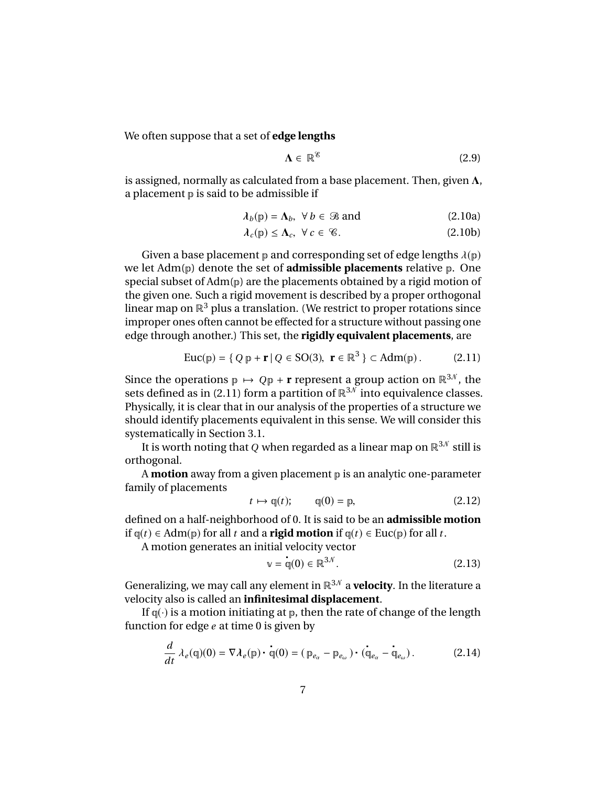We often suppose that a set of **edge lengths**

$$
\Lambda \in \mathbb{R}^{\mathscr{E}} \tag{2.9}
$$

is assigned, normally as calculated from a base placement. Then, given  $\Lambda$ , a placement  $\mathbb p$  is said to be admissible if

$$
\lambda_b(p) = \Lambda_b, \ \forall \ b \in \mathcal{B} \text{ and } \tag{2.10a}
$$

$$
\lambda_c(\mathbf{p}) \le \Lambda_c, \ \forall \, c \in \mathcal{C}.\tag{2.10b}
$$

Given a base placement  $p$  and corresponding set of edge lengths  $\lambda(p)$ we let Adm(p) denote the set of **admissible placements** relative p. One special subset of Adm(p) are the placements obtained by a rigid motion of the given one. Such a rigid movement is described by a proper orthogonal linear map on  $\mathbb{R}^3$  plus a translation. (We restrict to proper rotations since improper ones often cannot be effected for a structure without passing one edge through another.) This set, the **rigidly equivalent placements**, are

$$
\text{Euc}(\mathbf{p}) = \{ Q \mathbf{p} + \mathbf{r} \mid Q \in \text{SO}(3), \ \mathbf{r} \in \mathbb{R}^3 \} \subset \text{Adm}(\mathbf{p}).\tag{2.11}
$$

Since the operations  $p \mapsto Qp + r$  represent a group action on  $\mathbb{R}^{3N}$ , the sets defined as in (2.11) form a partition of  $\mathbb{R}^{3,0}$  into equivalence classes. Physically, it is clear that in our analysis of the properties of a structure we should identify placements equivalent in this sense. We will consider this systematically in Section 3.1.

It is worth noting that *Q* when regarded as a linear map on  $\mathbb{R}^{3N}$  still is orthogonal.

A **motion** away from a given placement p is an analytic one-parameter family of placements

$$
t \mapsto \mathfrak{q}(t); \qquad \mathfrak{q}(0) = \mathfrak{p}, \tag{2.12}
$$

defined on a half-neighborhood of 0. It is said to be an **admissible motion** if  $q(t)$  ∈ Adm( $p$ ) for all *t* and a **rigid motion** if  $q(t)$  ∈ Euc( $p$ ) for all *t*.

A motion generates an initial velocity vector

$$
\mathbf{v} = \mathbf{q}(0) \in \mathbb{R}^{3N}.
$$
 (2.13)

Generalizing, we may call any element in  $\mathbb{R}^{3,0}$  a **velocity**. In the literature a velocity also is called an **infinitesimal displacement**.

If  $q(\cdot)$  is a motion initiating at  $p$ , then the rate of change of the length function for edge *e* at time 0 is given by

$$
\frac{d}{dt}\lambda_e(\mathbf{q})(0) = \nabla \lambda_e(\mathbf{p}) \cdot \mathbf{q}(0) = (\mathbf{p}_{e_\alpha} - \mathbf{p}_{e_\omega}) \cdot (\mathbf{q}_{e_\alpha} - \mathbf{q}_{e_\omega}).
$$
\n(2.14)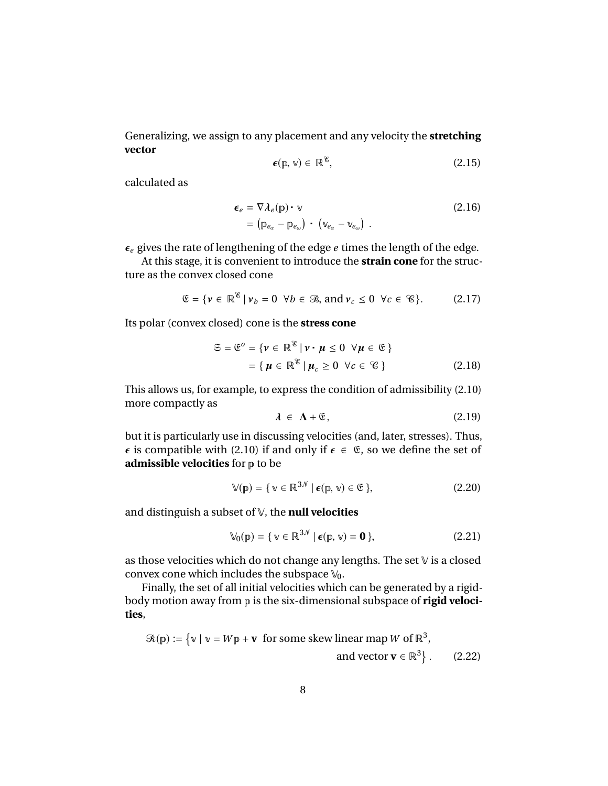Generalizing, we assign to any placement and any velocity the **stretching vector**

$$
\epsilon(\mathbf{p}, \mathbf{v}) \in \mathbb{R}^8, \tag{2.15}
$$

calculated as

$$
\epsilon_e = \nabla \lambda_e(\mathbf{p}) \cdot \mathbf{v}
$$
  
=  $(\mathbf{p}_{e_\alpha} - \mathbf{p}_{e_\omega}) \cdot (\mathbf{v}_{e_\alpha} - \mathbf{v}_{e_\omega})$ . (2.16)

 $\epsilon_e$  gives the rate of lengthening of the edge  $e$  times the length of the edge.

At this stage, it is convenient to introduce the **strain cone** for the structure as the convex closed cone

$$
\mathfrak{E} = \{ \mathbf{v} \in \mathbb{R}^{\mathscr{E}} \, | \, \mathbf{v}_b = 0 \ \forall b \in \mathscr{B}, \, \text{and} \, \mathbf{v}_c \le 0 \ \forall c \in \mathscr{C} \}. \tag{2.17}
$$

Its polar (convex closed) cone is the **stress cone**

$$
\mathfrak{S} = \mathfrak{E}^o = \{ \mathbf{v} \in \mathbb{R}^{\mathscr{E}} \mid \mathbf{v} \cdot \mathbf{\mu} \le 0 \ \forall \mathbf{\mu} \in \mathfrak{E} \}
$$

$$
= \{ \mathbf{\mu} \in \mathbb{R}^{\mathscr{E}} \mid \mathbf{\mu}_c \ge 0 \ \forall c \in \mathscr{C} \}
$$
(2.18)

This allows us, for example, to express the condition of admissibility (2.10) more compactly as

$$
\lambda \in \Lambda + \mathfrak{E},\tag{2.19}
$$

but it is particularly use in discussing velocities (and, later, stresses). Thus,  $\epsilon$  is compatible with (2.10) if and only if  $\epsilon \in \mathfrak{E}$ , so we define the set of **admissible velocities** for p to be

$$
\mathbb{V}(p) = \{ \mathbf{v} \in \mathbb{R}^{3N} \mid \boldsymbol{\epsilon}(p, \mathbf{v}) \in \mathfrak{E} \},\tag{2.20}
$$

and distinguish a subset of V, the **null velocities**

$$
\mathbb{V}_0(\mathbb{p}) = \{ \mathbf{v} \in \mathbb{R}^{3N} \mid \boldsymbol{\epsilon}(\mathbb{p}, \mathbf{v}) = \mathbf{0} \},\tag{2.21}
$$

as those velocities which do not change any lengths. The set V is a closed convex cone which includes the subspace  $\mathbb{V}_0$ .

Finally, the set of all initial velocities which can be generated by a rigidbody motion away from p is the six-dimensional subspace of **rigid velocities**,

$$
\mathcal{R}(\mathbb{p}) := \left\{ \mathbb{v} \mid \mathbb{v} = W\mathbb{p} + \mathbf{v} \text{ for some skew linear map } W \text{ of } \mathbb{R}^3, \right. \qquad \text{and vector } \mathbf{v} \in \mathbb{R}^3 \right\}. \tag{2.22}
$$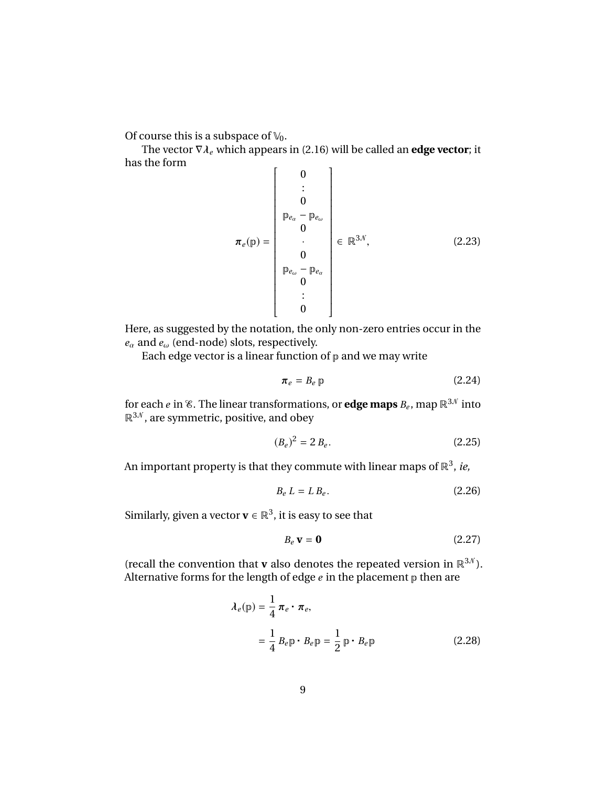Of course this is a subspace of  $\mathbb{V}_0$ .

The vector  $\nabla \lambda_e$  which appears in (2.16) will be called an **edge vector**; it is the form has the form

$$
\boldsymbol{\pi}_{e}(\mathbf{p}) = \begin{bmatrix}\n0 \\
\vdots \\
0 \\
\mathbf{p}_{e_{\alpha}} - \mathbf{p}_{e_{\omega}} \\
0 \\
\vdots \\
0 \\
0\n\end{bmatrix} \in \mathbb{R}^{3N},
$$
\n(2.23)

 $\frac{1}{2}$ Here, as suggested by the notation, the only non-zero entries occur in the *<sup>e</sup>*α and *<sup>e</sup>*ω (end-node) slots, respectively.

Each edge vector is a linear function of  $p$  and we may write

$$
\boldsymbol{\pi}_e = B_e \, \mathbb{p} \tag{2.24}
$$

for each  $e$  in  $\mathscr E.$  The linear transformations, or  $\operatorname{\bf edge}$  maps  $B_e$ , map  $\mathbb R^{3\mathcal N}$  into  $\mathbb{R}^{3,0}$ , are symmetric, positive, and obey

$$
(B_e)^2 = 2 B_e.
$$
 (2.25)

An important property is that they commute with linear maps of  $\mathbb{R}^3$ , *ie,* 

$$
B_e L = L B_e. \tag{2.26}
$$

Similarly, given a vector  $\mathbf{v} \in \mathbb{R}^3$ , it is easy to see that

$$
B_e \mathbf{v} = \mathbf{0} \tag{2.27}
$$

(recall the convention that **v** also denotes the repeated version in  $\mathbb{R}^{3N}$ ). Alternative forms for the length of edge  $e$  in the placement  $p$  then are

$$
\lambda_e(\mathbf{p}) = \frac{1}{4} \pi_e \cdot \pi_e,
$$
  
=  $\frac{1}{4} B_e \mathbf{p} \cdot B_e \mathbf{p} = \frac{1}{2} \mathbf{p} \cdot B_e \mathbf{p}$  (2.28)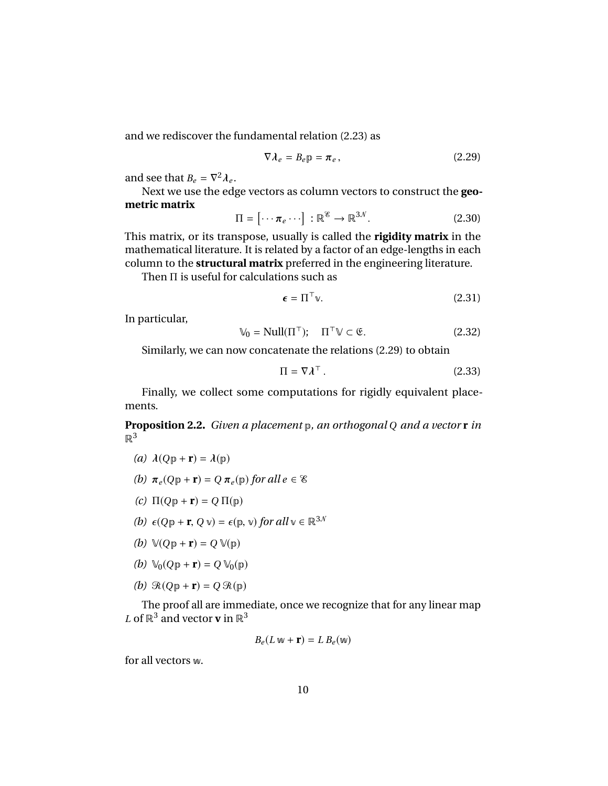and we rediscover the fundamental relation (2.23) as

$$
\nabla \lambda_e = B_e \mathbf{p} = \boldsymbol{\pi}_e, \qquad (2.29)
$$

and see that  $B_e = \nabla^2 \lambda_e$ .

λ*e* Next we use the edge vectors as column vectors to construct the **geometric matrix**

$$
\Pi = [\cdots \pi_e \cdots] : \mathbb{R}^{\mathscr{E}} \to \mathbb{R}^{3\mathscr{N}}.
$$
 (2.30)

This matrix, or its transpose, usually is called the **rigidity matrix** in the mathematical literature. It is related by a factor of an edge-lengths in each column to the **structural matrix** preferred in the engineering literature.

Then Π is useful for calculations such as

$$
\boldsymbol{\epsilon} = \boldsymbol{\Pi}^{\top} \mathbf{v}.
$$
 (2.31)

In particular,

$$
\mathbb{V}_0 = \text{Null}(\Pi^\top); \quad \Pi^\top \mathbb{V} \subset \mathfrak{E}. \tag{2.32}
$$

Similarly, we can now concatenate the relations (2.29) to obtain

$$
\Pi = \nabla \lambda^{\top} . \tag{2.33}
$$

Finally, we collect some computations for rigidly equivalent placements.

**Proposition 2.2.** *Given a placement* p*, an orthogonal Q and a vector* **r** *in*  $\mathbb{R}^3$ 

*(a)*  $\lambda(Qp + r) = \lambda(p)$ 

(b) 
$$
\pi_e(Qp + r) = Q \pi_e(p)
$$
 for all  $e \in \mathcal{E}$ 

- *(c)*  $\Pi(Qp + r) = Q \Pi(p)$
- *(b)*  $\epsilon(Qp + r, Q \vee) = \epsilon(p, \vee)$  *for all*  $\vee \in \mathbb{R}^{3N}$
- *(b)*  $\mathbb{V}(Qp + r) = Q \mathbb{V}(p)$
- *(b)*  $\mathbb{V}_0(Qp + r) = Q \mathbb{V}_0(p)$
- *(b)*  $\mathcal{R}(Qp + r) = Q \mathcal{R}(p)$

The proof all are immediate, once we recognize that for any linear map *L* of  $\mathbb{R}^3$  and vector **v** in  $\mathbb{R}^3$ 

$$
B_e(L\mathbf{w} + \mathbf{r}) = L B_e(\mathbf{w})
$$

for all vectors w.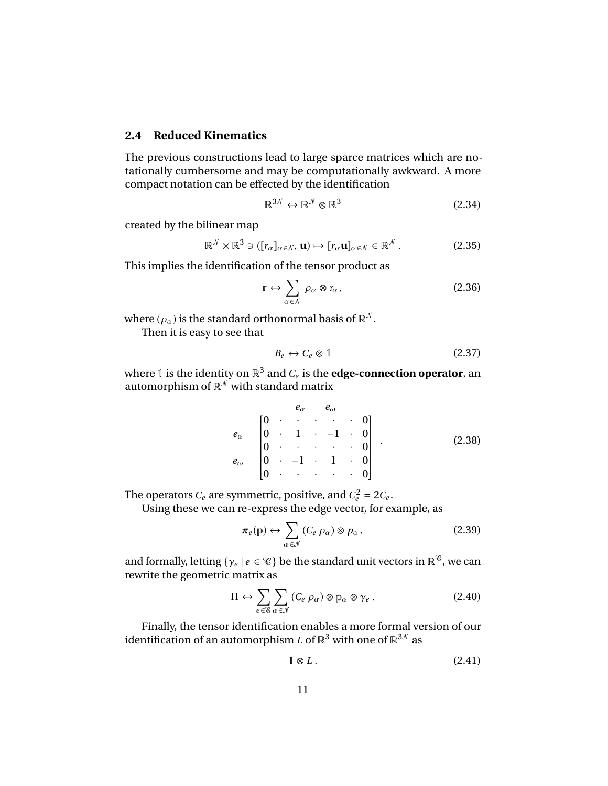#### **2.4 Reduced Kinematics**

The previous constructions lead to large sparce matrices which are notationally cumbersome and may be computationally awkward. A more compact notation can be effected by the identification

$$
\mathbb{R}^{3N} \leftrightarrow \mathbb{R}^N \otimes \mathbb{R}^3 \tag{2.34}
$$

created by the bilinear map

$$
\mathbb{R}^{\mathcal{N}} \times \mathbb{R}^3 \ni ([r_{\alpha}]_{\alpha \in \mathcal{N}}, \mathbf{u}) \mapsto [r_{\alpha} \mathbf{u}]_{\alpha \in \mathcal{N}} \in \mathbb{R}^{\mathcal{N}}.
$$
 (2.35)

This implies the identification of the tensor product as

$$
\mathbf{r} \leftrightarrow \sum_{\alpha \in \mathcal{N}} \rho_{\alpha} \otimes \mathbf{r}_{\alpha},\tag{2.36}
$$

where  $(\rho_{\alpha})$  is the standard orthonormal basis of  $\mathbb{R}^N$ .

Then it is easy to see that

$$
B_e \leftrightarrow C_e \otimes 1 \tag{2.37}
$$

where 1 is the identity on  $\mathbb{R}^3$  and  $C_e$  is the **edge-connection operator**, an automorphism of  $\mathbb{R}^N$  with standard matrix

$$
e_{\alpha} \begin{bmatrix} 0 & \cdot & \cdot & \cdot & \cdot & 0 \\ 0 & \cdot & 1 & \cdot & -1 & \cdot & 0 \\ 0 & \cdot & \cdot & \cdot & \cdot & \cdot & 0 \\ 0 & \cdot & \cdot & \cdot & \cdot & \cdot & 0 \\ 0 & \cdot & \cdot & \cdot & \cdot & \cdot & 0 \end{bmatrix} . \tag{2.38}
$$

 The operators  $C_e$  are symmetric, positive, and  $C_e^2 = 2C_e$ .

Using these we can re-express the edge vector, for example, as

$$
\pi_e(\mathbf{p}) \leftrightarrow \sum_{\alpha \in \mathcal{N}} (C_e \,\rho_\alpha) \otimes p_\alpha, \tag{2.39}
$$

and formally, letting { $\gamma_e | e \in \mathscr{C}$ } be the standard unit vectors in  $\mathbb{R}^{\mathscr{C}}$ , we can<br>rewrite the geometric matrix as rewrite the geometric matrix as

$$
\Pi \leftrightarrow \sum_{e \in \mathscr{E}} \sum_{\alpha \in \mathscr{N}} (C_e \,\rho_\alpha) \otimes \mathbb{p}_\alpha \otimes \gamma_e \,. \tag{2.40}
$$

Finally, the tensor identification enables a more formal version of our identification of an automorphism *L* of  $\mathbb{R}^3$  with one of  $\mathbb{R}^{3,0}$  as

$$
1 \otimes L. \tag{2.41}
$$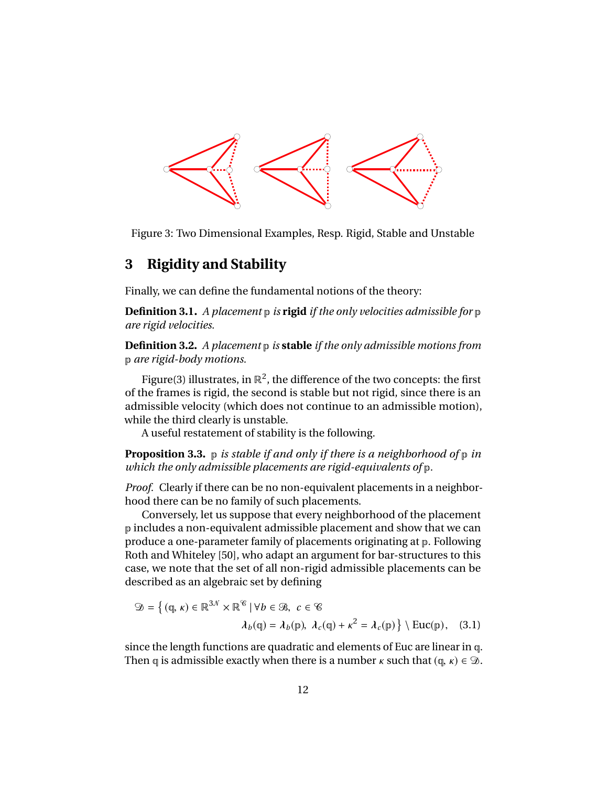

Figure 3: Two Dimensional Examples, Resp. Rigid, Stable and Unstable

# **3 Rigidity and Stability**

Finally, we can define the fundamental notions of the theory:

**Definition 3.1.** *A placement* p *is* **rigid** *if the only velocities admissible for* p *are rigid velocities.*

**Definition 3.2.** *A placement* p *is* **stable** *if the only admissible motions from* p *are rigid-body motions.*

Figure(3) illustrates, in  $\mathbb{R}^2$ , the difference of the two concepts: the first of the frames is rigid, the second is stable but not rigid, since there is an admissible velocity (which does not continue to an admissible motion), while the third clearly is unstable.

A useful restatement of stability is the following.

**Proposition 3.3.** p *is stable if and only if there is a neighborhood of* p *in which the only admissible placements are rigid-equivalents of* p*.*

*Proof.* Clearly if there can be no non-equivalent placements in a neighborhood there can be no family of such placements.

Conversely, let us suppose that every neighborhood of the placement p includes a non-equivalent admissible placement and show that we can produce a one-parameter family of placements originating at p. Following Roth and Whiteley [50], who adapt an argument for bar-structures to this case, we note that the set of all non-rigid admissible placements can be described as an algebraic set by defining

$$
\mathfrak{D} = \left\{ (\mathfrak{q}, \kappa) \in \mathbb{R}^{3N} \times \mathbb{R}^{\mathscr{C}} \mid \forall b \in \mathscr{B}, c \in \mathscr{C} \right\}
$$

$$
\lambda_b(\mathfrak{q}) = \lambda_b(\mathfrak{p}), \lambda_c(\mathfrak{q}) + \kappa^2 = \lambda_c(\mathfrak{p}) \right\} \setminus \text{Euc}(\mathfrak{p}), \quad (3.1)
$$

since the length functions are quadratic and elements of Euc are linear in q. Then q is admissible exactly when there is a number  $\kappa$  such that (q,  $\kappa$ )  $\in \mathcal{D}$ .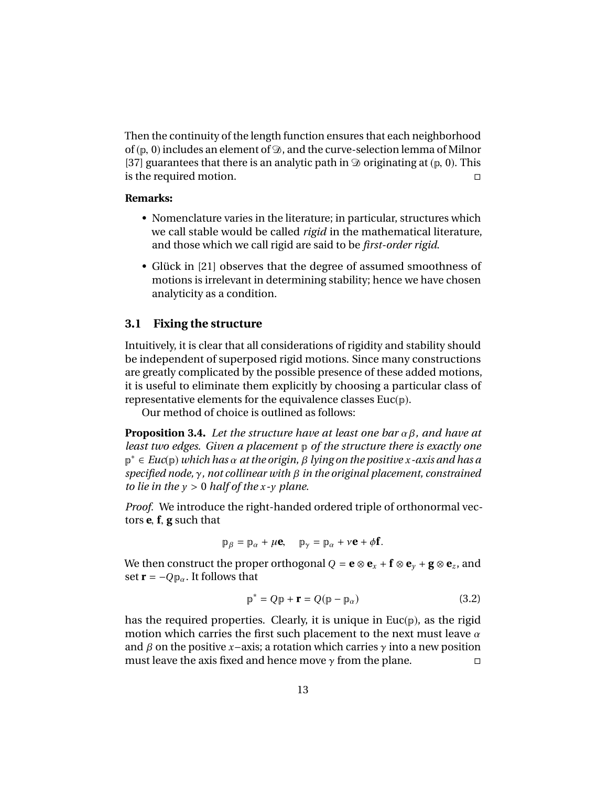Then the continuity of the length function ensures that each neighborhood of ( $\mathbf{p}$ , 0) includes an element of  $\mathcal{D}$ , and the curve-selection lemma of Milnor [37] guarantees that there is an analytic path in  $\mathcal D$  originating at ( $\mathcal P$ , 0). This is the required motion. is the required motion.

#### **Remarks:**

- Nomenclature varies in the literature; in particular, structures which we call stable would be called *rigid* in the mathematical literature, and those which we call rigid are said to be *first-order rigid*.
- Glück in [21] observes that the degree of assumed smoothness of motions is irrelevant in determining stability; hence we have chosen analyticity as a condition.

#### **3.1 Fixing the structure**

Intuitively, it is clear that all considerations of rigidity and stability should be independent of superposed rigid motions. Since many constructions are greatly complicated by the possible presence of these added motions, it is useful to eliminate them explicitly by choosing a particular class of representative elements for the equivalence classes  $Euc(p)$ .

Our method of choice is outlined as follows:

**Proposition 3.4.** *Let the structure have at least one bar* α β*, and have at least two edges. Given a placement* p *of the structure there is exactly one* p <sup>∗</sup> <sup>∈</sup> *Euc*(p) *which has* α *at the origin,* β *lying on the positive <sup>x</sup>-axis and has a specified node,* γ*, not collinear with* β *in the original placement, constrained to lie in the*  $y > 0$  *half of the*  $x - y$  *plane.* 

*Proof.* We introduce the right-handed ordered triple of orthonormal vectors **<sup>e</sup>**, **<sup>f</sup>**, **<sup>g</sup>** such that

$$
\mathbf{p}_{\beta} = \mathbf{p}_{\alpha} + \mu \mathbf{e}, \quad \mathbf{p}_{\gamma} = \mathbf{p}_{\alpha} + \nu \mathbf{e} + \phi \mathbf{f}.
$$

We then construct the proper orthogonal  $Q = \mathbf{e} \otimes \mathbf{e}_x + \mathbf{f} \otimes \mathbf{e}_y + \mathbf{g} \otimes \mathbf{e}_z$ , and set  $\mathbf{r} = -Qp_{\alpha}$ . It follows that

$$
\mathbf{p}^* = Q\mathbf{p} + \mathbf{r} = Q(\mathbf{p} - \mathbf{p}_\alpha) \tag{3.2}
$$

has the required properties. Clearly, it is unique in  $Euc(p)$ , as the rigid motion which carries the first such placement to the next must leave  $\alpha$ and  $\beta$  on the positive *x*−axis; a rotation which carries  $\gamma$  into a new position must leave the axis fixed and hence move  $\gamma$  from the plane. must leave the axis fixed and hence move  $\gamma$  from the plane.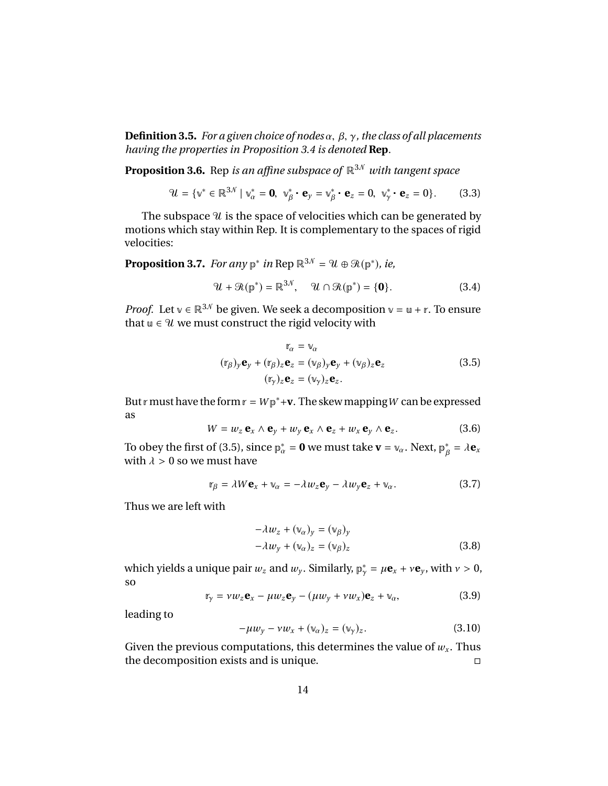**Definition 3.5.** *For a given choice of nodes* α, β, γ*, the class of all placements having the properties in Proposition 3.4 is denoted* **Rep***.*

**Proposition 3.6.** Rep *is an affine subspace of*  $\mathbb{R}^{3N}$  *with tangent space* 

$$
\mathcal{U} = \{ \mathbf{v}^* \in \mathbb{R}^{3\mathcal{N}} \mid \mathbf{v}_\alpha^* = \mathbf{0}, \ \mathbf{v}_\beta^* \cdot \mathbf{e}_y = \mathbf{v}_\beta^* \cdot \mathbf{e}_z = 0, \ \mathbf{v}_\gamma^* \cdot \mathbf{e}_z = 0 \}.
$$
 (3.3)

The subspace  $\mathcal U$  is the space of velocities which can be generated by motions which stay within Rep. It is complementary to the spaces of rigid velocities:

**Proposition 3.7.** *For any*  $p^*$  *in* Rep  $\mathbb{R}^{3\mathcal{N}} = \mathcal{U} \oplus \mathcal{R}(p^*)$ *, ie,* 

$$
\mathcal{U} + \mathcal{R}(\mathbb{p}^*) = \mathbb{R}^{3\mathcal{N}}, \quad \mathcal{U} \cap \mathcal{R}(\mathbb{p}^*) = \{\mathbf{0}\}.
$$
 (3.4)

*Proof.* Let  $v \in \mathbb{R}^{3N}$  be given. We seek a decomposition  $v = u + r$ . To ensure that  $u \in \mathcal{U}$  we must construct the rigid velocity with

$$
\mathbf{r}_{\alpha} = \mathbf{v}_{\alpha}
$$
  
\n
$$
(\mathbf{r}_{\beta})_{y} \mathbf{e}_{y} + (\mathbf{r}_{\beta})_{z} \mathbf{e}_{z} = (\mathbf{v}_{\beta})_{y} \mathbf{e}_{y} + (\mathbf{v}_{\beta})_{z} \mathbf{e}_{z}
$$
  
\n
$$
(\mathbf{r}_{\gamma})_{z} \mathbf{e}_{z} = (\mathbf{v}_{\gamma})_{z} \mathbf{e}_{z}.
$$
\n(3.5)

But r must have the form  $r = Wp^* + v$ . The skew mapping W can be expressed as

$$
W = w_z \mathbf{e}_x \wedge \mathbf{e}_y + w_y \mathbf{e}_x \wedge \mathbf{e}_z + w_x \mathbf{e}_y \wedge \mathbf{e}_z.
$$
 (3.6)

To obey the first of (3.5), since  $\mathbf{p}_{\alpha}^* = \mathbf{0}$  we must take  $\mathbf{v} = \mathbf{v}_{\alpha}$ . Next,  $\mathbf{p}_{\beta}^* = \lambda \mathbf{e}_x$ <br>with  $\lambda > 0$  so we must have β with  $\lambda > 0$  so we must have

$$
\mathbf{r}_{\beta} = \lambda W \mathbf{e}_x + \mathbf{v}_{\alpha} = -\lambda w_z \mathbf{e}_y - \lambda w_y \mathbf{e}_z + \mathbf{v}_{\alpha}.
$$
 (3.7)

Thus we are left with

$$
-\lambda w_z + (\mathbf{w}_\alpha)_y = (\mathbf{w}_\beta)_y
$$
  

$$
-\lambda w_y + (\mathbf{w}_\alpha)_z = (\mathbf{w}_\beta)_z
$$
 (3.8)

which yields a unique pair  $w_z$  and  $w_y$ . Similarly,  $p^*_y = \mu \mathbf{e}_x + v \mathbf{e}_y$ , with  $v > 0$ , so

$$
\mathbf{r}_{\gamma} = \nu w_{z} \mathbf{e}_{x} - \mu w_{z} \mathbf{e}_{y} - (\mu w_{y} + \nu w_{x}) \mathbf{e}_{z} + \mathbf{v}_{\alpha}, \tag{3.9}
$$

leading to

$$
-\mu w_y - \nu w_x + (\nu_\alpha)_z = (\nu_\gamma)_z. \tag{3.10}
$$

Given the previous computations, this determines the value of  $w_x$ . Thus the decomposition exists and is unique.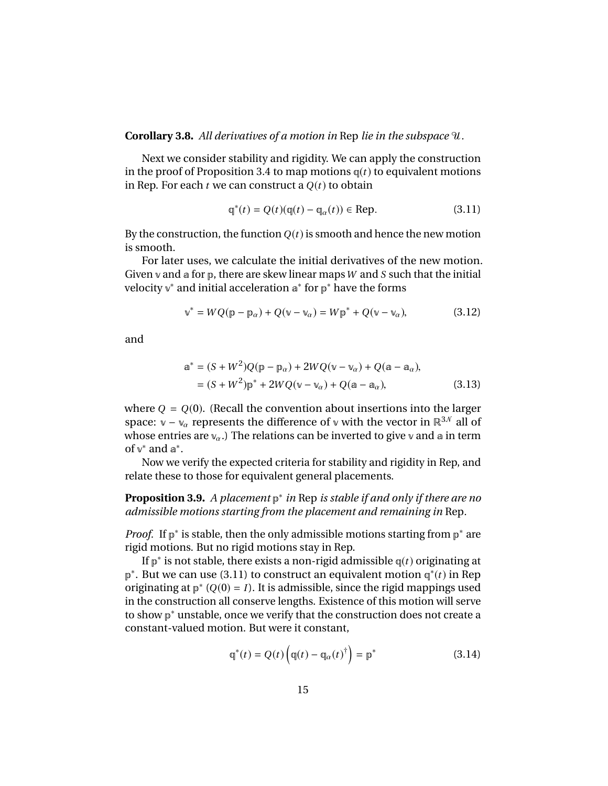#### **Corollary 3.8.** *All derivatives of a motion in* Rep *lie in the subspace* U*.*

Next we consider stability and rigidity. We can apply the construction in the proof of Proposition 3.4 to map motions  $q(t)$  to equivalent motions in Rep. For each  $t$  we can construct a  $Q(t)$  to obtain

$$
\mathbf{q}^*(t) = Q(t)(\mathbf{q}(t) - \mathbf{q}_\alpha(t)) \in \text{Rep.}
$$
 (3.11)

By the construction, the function  $Q(t)$  is smooth and hence the new motion is smooth.

For later uses, we calculate the initial derivatives of the new motion. Given v and a for p, there are skew linear maps*W* and *S* such that the initial velocity v<sup>\*</sup> and initial acceleration a<sup>\*</sup> for p<sup>\*</sup> have the forms

$$
\mathbf{v}^* = WQ(\mathbf{p} - \mathbf{p}_\alpha) + Q(\mathbf{v} - \mathbf{v}_\alpha) = W\mathbf{p}^* + Q(\mathbf{v} - \mathbf{v}_\alpha),\tag{3.12}
$$

and

$$
a^* = (S + W^2)Q(p - p_\alpha) + 2WQ(\nu - \nu_\alpha) + Q(a - a_\alpha),
$$
  
= (S + W^2)p^\* + 2WQ(\nu - \nu\_\alpha) + Q(a - a\_\alpha), (3.13)

where  $Q = Q(0)$ . (Recall the convention about insertions into the larger space:  $v - v_\alpha$  represents the difference of v with the vector in  $\mathbb{R}^{3N}$  all of whose entries are  $v_{\alpha}$ .) The relations can be inverted to give v and a in term of  $v^*$  and  $a^*$ .

Now we verify the expected criteria for stability and rigidity in Rep, and relate these to those for equivalent general placements.

**Proposition 3.9.** *A placement* p ∗ *in* Rep *is stable if and only if there are no admissible motions starting from the placement and remaining in* Rep*.*

*Proof.* If  $p^*$  is stable, then the only admissible motions starting from  $p^*$  are rigid motions. But no rigid motions stay in Rep.

If p ∗ is not stable, there exists a non-rigid admissible q(*t*) originating at p<sup>∗</sup>. But we can use (3.11) to construct an equivalent motion  $\varphi^*(t)$  in Rep originating at  $p^*$  ( $Q(0) = I$ ). It is admissible, since the rigid mappings used in the construction all conserve lengths. Existence of this motion will serve to show p<sup>∗</sup> unstable, once we verify that the construction does not create a constant-valued motion. But were it constant,

$$
\mathbf{q}^*(t) = Q(t) \left( \mathbf{q}(t) - \mathbf{q}_{\alpha}(t)^{\dagger} \right) = \mathbf{p}^* \tag{3.14}
$$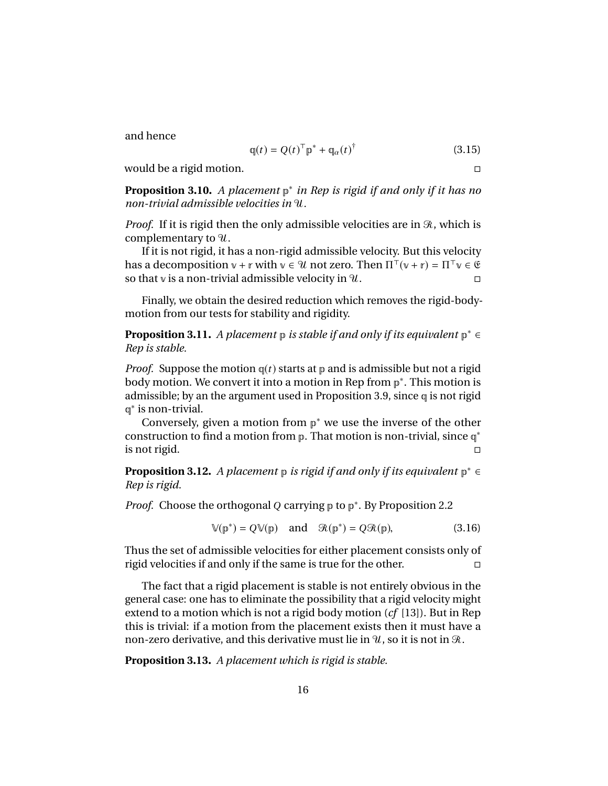and hence

$$
\mathbf{q}(t) = Q(t)^{\top} \mathbf{p}^* + \mathbf{q}_{\alpha}(t)^{\dagger}
$$
 (3.15)

would be a rigid motion.

**Proposition 3.10.** *A placement* p ∗ *in Rep is rigid if and only if it has no non-trivial admissible velocities in* U*.*

*Proof.* If it is rigid then the only admissible velocities are in  $\Re$ , which is complementary to  $\mathcal{U}$ .

If it is not rigid, it has a non-rigid admissible velocity. But this velocity has a decomposition  $v + r$  with  $v \in \mathcal{U}$  not zero. Then  $\Pi^{\top}(v + r) = \Pi^{\top}v \in \mathfrak{G}$ so that v is a non-trivial admissible velocity in  $\mathcal{U}$ .

Finally, we obtain the desired reduction which removes the rigid-bodymotion from our tests for stability and rigidity.

**Proposition 3.11.** A placement p is stable if and only if its equivalent p<sup>\*</sup> ∈ *Rep is stable.*

*Proof.* Suppose the motion  $q(t)$  starts at p and is admissible but not a rigid body motion. We convert it into a motion in Rep from p<sup>∗</sup>. This motion is admissible; by an the argument used in Proposition 3.9, since q is not rigid q<sup>\*</sup> is non-trivial.

Conversely, given a motion from  $p^*$  we use the inverse of the other construction to find a motion from  $p$ . That motion is non-trivial, since  $q^*$ is not rigid.

**Proposition 3.12.** A placement p is rigid if and only if its equivalent p<sup>\*</sup> ∈ *Rep is rigid.*

*Proof.* Choose the orthogonal *Q* carrying p to p<sup>\*</sup>. By Proposition 2.2

$$
\mathbb{V}(\mathbb{p}^*) = Q \mathbb{V}(\mathbb{p}) \quad \text{and} \quad \mathcal{R}(\mathbb{p}^*) = Q \mathcal{R}(\mathbb{p}), \tag{3.16}
$$

Thus the set of admissible velocities for either placement consists only of rigid velocities if and only if the same is true for the other.

The fact that a rigid placement is stable is not entirely obvious in the general case: one has to eliminate the possibility that a rigid velocity might extend to a motion which is not a rigid body motion (*cf* [13]). But in Rep this is trivial: if a motion from the placement exists then it must have a non-zero derivative, and this derivative must lie in  $\mathcal{U}$ , so it is not in  $\mathcal{R}$ .

**Proposition 3.13.** *A placement which is rigid is stable.*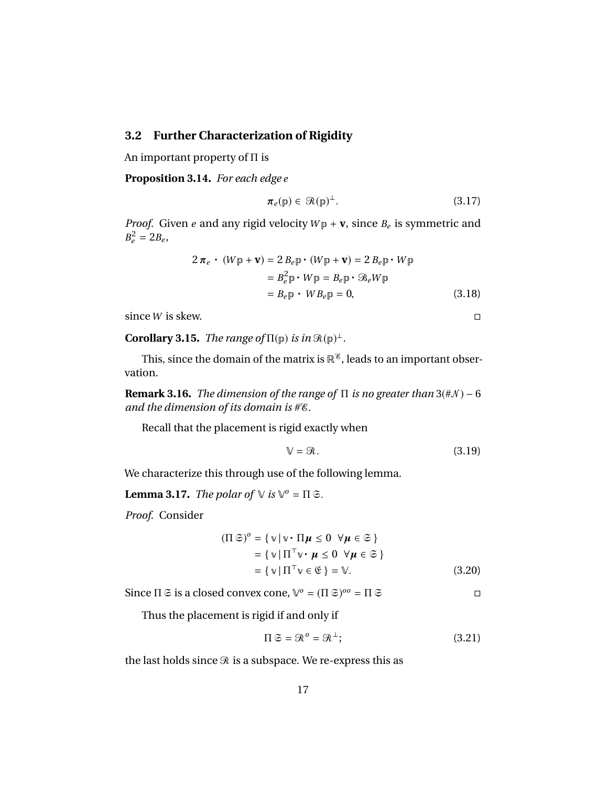#### **3.2 Further Characterization of Rigidity**

An important property of Π is

**Proposition 3.14.** *For each edge e*

$$
\pi_e(\mathbf{p}) \in \mathcal{R}(\mathbf{p})^{\perp}.
$$
 (3.17)

*Proof.* Given *e* and any rigid velocity  $W_{\mathbb{P}} + \mathbf{v}$ , since  $B_e$  is symmetric and  $B_e^2 = 2B_e,$ 

$$
2 \pi_e \cdot (W_{\mathbb{P}} + \mathbf{v}) = 2 B_e \mathbb{p} \cdot (W_{\mathbb{P}} + \mathbf{v}) = 2 B_e \mathbb{p} \cdot W_{\mathbb{P}}
$$
  
=  $B_e^2 \mathbb{p} \cdot W_{\mathbb{P}} = B_e \mathbb{p} \cdot \mathcal{B}_e W_{\mathbb{P}}$   
=  $B_e \mathbb{p} \cdot W_{\mathbb{P}} = 0$ , (3.18)

since *W* is skew.

**Corollary 3.15.** *The range of*  $\Pi(\mathbf{p})$  *is in*  $\mathcal{R}(\mathbf{p})^{\perp}$ *.* 

This, since the domain of the matrix is  $\mathbb{R}^8$ , leads to an important observation.

**Remark 3.16.** *The dimension of the range of*  $\Pi$  *is no greater than* 3( $\#N$ ) – 6 *and the dimension of its domain is* #E*.*

Recall that the placement is rigid exactly when

$$
\mathbb{V} = \mathcal{R}.\tag{3.19}
$$

We characterize this through use of the following lemma.

**Lemma 3.17.** *The polar of*  $\vee$  *is*  $\vee$ <sup>*o*</sup> =  $\Pi$   $\Im$ .

*Proof.* Consider

$$
(\Pi \mathfrak{S})^o = \{ \mathbf{v} \mid \mathbf{v} \cdot \Pi \mathbf{\mu} \le 0 \ \forall \mathbf{\mu} \in \mathfrak{S} \}
$$
  
= 
$$
\{ \mathbf{v} \mid \Pi^\top \mathbf{v} \cdot \mathbf{\mu} \le 0 \ \forall \mathbf{\mu} \in \mathfrak{S} \}
$$
  
= 
$$
\{ \mathbf{v} \mid \Pi^\top \mathbf{v} \in \mathfrak{E} \} = \mathbf{V}.
$$
 (3.20)

Since  $\Pi \subseteq$  is a closed convex cone,  $\mathbb{V}^o = (\Pi \subseteq)^{oo} = \Pi \subseteq$ 

Thus the placement is rigid if and only if

$$
\Pi \mathfrak{S} = \mathfrak{R}^o = \mathfrak{R}^\perp; \tag{3.21}
$$

the last holds since  $\Re$  is a subspace. We re-express this as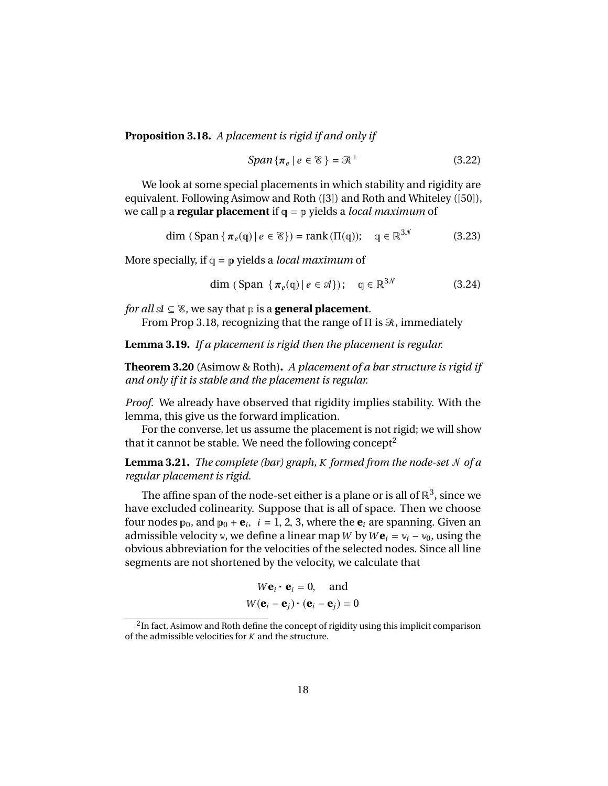**Proposition 3.18.** *A placement is rigid if and only if*

$$
Span\{\pi_e \mid e \in \mathcal{E}\} = \mathcal{R}^{\perp}
$$
 (3.22)

We look at some special placements in which stability and rigidity are equivalent. Following Asimow and Roth ([3]) and Roth and Whiteley ([50]), we call p a **regular placement** if q = p yields a *local maximum* of

$$
\dim (\text{Span} \{ \pi_e(\mathbf{q}) \mid e \in \mathcal{E} \}) = \text{rank}(\Pi(\mathbf{q})); \quad \mathbf{q} \in \mathbb{R}^{3 \mathcal{N}} \tag{3.23}
$$

More specially, if q = p yields a *local maximum* of

$$
\dim\left(\text{Span }\{\pi_e(\mathfrak{q})\,|\,e\in\mathfrak{A}\}\right);\quad\mathfrak{q}\in\mathbb{R}^{3N}\tag{3.24}
$$

*for all*  $\mathcal{A} \subseteq \mathcal{E}$ , we say that  $p$  is a **general placement**.

From Prop 3.18, recognizing that the range of  $\Pi$  is  $\mathcal{R}$ , immediately

**Lemma 3.19.** *If a placement is rigid then the placement is regular.*

**Theorem 3.20** (Asimow & Roth)**.** *A placement of a bar structure is rigid if and only if it is stable and the placement is regular.*

*Proof.* We already have observed that rigidity implies stability. With the lemma, this give us the forward implication.

For the converse, let us assume the placement is not rigid; we will show that it cannot be stable. We need the following concept<sup>2</sup>

**Lemma 3.21.** *The complete (bar) graph, K formed from the node-set* N*of a regular placement is rigid.*

The affine span of the node-set either is a plane or is all of  $\mathbb{R}^3$ , since we have excluded colinearity. Suppose that is all of space. Then we choose four nodes  $p_0$ , and  $p_0 + e_i$ ,  $i = 1, 2, 3$ , where the  $e_i$  are spanning. Given an admissible velocity  $y$  we define a linear man  $W$  by  $We_i = y_i - y_0$ , using the admissible velocity v, we define a linear map W by  $W\mathbf{e}_i = v_i - v_0$ , using the obvious abbreviation for the velocities of the selected nodes. Since all line segments are not shortened by the velocity, we calculate that

$$
W\mathbf{e}_i \cdot \mathbf{e}_i = 0, \text{ and}
$$

$$
W(\mathbf{e}_i - \mathbf{e}_j) \cdot (\mathbf{e}_i - \mathbf{e}_j) = 0
$$

 $^2$ In fact, Asimow and Roth define the concept of rigidity using this implicit comparison of the admissible velocities for *K* and the structure.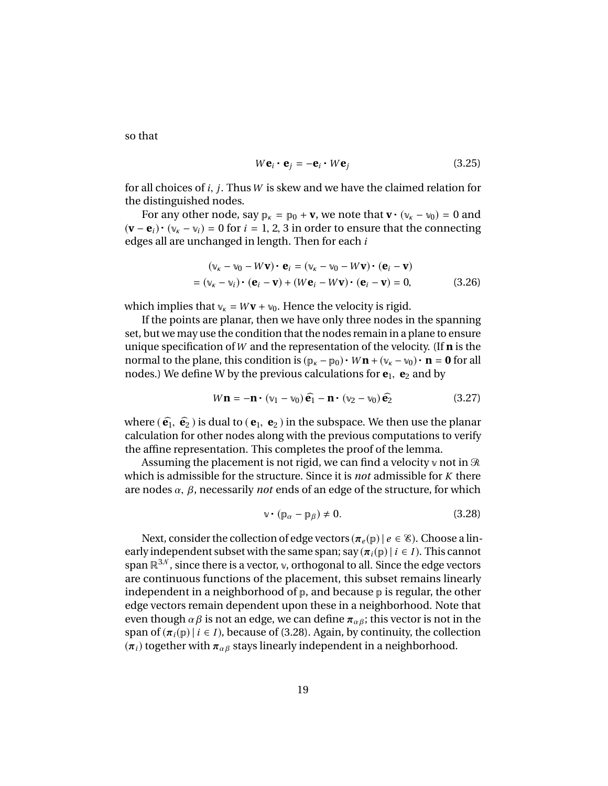so that

$$
W\mathbf{e}_i \cdot \mathbf{e}_j = -\mathbf{e}_i \cdot W\mathbf{e}_j \tag{3.25}
$$

for all choices of *<sup>i</sup>*, *<sup>j</sup>*. Thus*<sup>W</sup>* is skew and we have the claimed relation for the distinguished nodes.

For any other node, say  $p_k = p_0 + v$ , we note that  $v \cdot (v_k - v_0) = 0$  and  $(\mathbf{v} - \mathbf{e}_i) \cdot (\mathbf{v}_k - \mathbf{v}_i) = 0$  for  $i = 1, 2, 3$  in order to ensure that the connecting<br>edges all are unchanged in length. Then for each *i* edges all are unchanged in length. Then for each *i*

$$
(\mathbf{v}_{\kappa} - \mathbf{v}_0 - W\mathbf{v}) \cdot \mathbf{e}_i = (\mathbf{v}_{\kappa} - \mathbf{v}_0 - W\mathbf{v}) \cdot (\mathbf{e}_i - \mathbf{v})
$$
  
=  $(\mathbf{v}_{\kappa} - \mathbf{v}_i) \cdot (\mathbf{e}_i - \mathbf{v}) + (W\mathbf{e}_i - W\mathbf{v}) \cdot (\mathbf{e}_i - \mathbf{v}) = 0,$  (3.26)

which implies that  $v_k = Wv + v_0$ . Hence the velocity is rigid.

If the points are planar, then we have only three nodes in the spanning set, but we may use the condition that the nodes remain in a plane to ensure unique specification of*W* and the representation of the velocity. (If **n** is the normal to the plane, this condition is  $(p_k - p_0) \cdot W\mathbf{n} + (v_k - v_0) \cdot \mathbf{n} = \mathbf{0}$  for all nodes.) We define W by the previous calculations for  $e_1$ ,  $e_2$  and by

$$
W\mathbf{n} = -\mathbf{n} \cdot (\mathbf{v}_1 - \mathbf{v}_0) \,\hat{\mathbf{e}}_1 - \mathbf{n} \cdot (\mathbf{v}_2 - \mathbf{v}_0) \,\hat{\mathbf{e}}_2 \tag{3.27}
$$

where  $(\hat{\mathbf{e}}_1, \hat{\mathbf{e}}_2)$  is dual to  $(\mathbf{e}_1, \mathbf{e}_2)$  in the subspace. We then use the planar calculation for other nodes along with the previous computations to verify the affine representation. This completes the proof of the lemma.

Assuming the placement is not rigid, we can find a velocity v not in  $\Re$ which is admissible for the structure. Since it is *not* admissible for *K* there are nodes  $\alpha$ ,  $\beta$ , necessarily *not* ends of an edge of the structure, for which

$$
\mathbf{v} \cdot (\mathbf{p}_{\alpha} - \mathbf{p}_{\beta}) \neq 0. \tag{3.28}
$$

Next, consider the collection of edge vectors  $(\pi_e(\mathbf{p}) \mid e \in \mathcal{E})$ . Choose a linearly independent subset with the same span; say  $(\pi_i(\mathbf{p}) \mid i \in I)$ . This cannot span  $\mathbb{R}^{3N}$ , since there is a vector, v, orthogonal to all. Since the edge vectors are continuous functions of the placement, this subset remains linearly independent in a neighborhood of  $p$ , and because  $p$  is regular, the other edge vectors remain dependent upon these in a neighborhood. Note that even though  $\alpha \beta$  is not an edge, we can define  $\pi_{\alpha \beta}$ ; this vector is not in the span of  $(\pi_i(\mathbf{p}) \mid i \in I)$ , because of (3.28). Again, by continuity, the collection  $(\pi_i)$  together with  $\pi_{\alpha\beta}$  stays linearly independent in a neighborhood.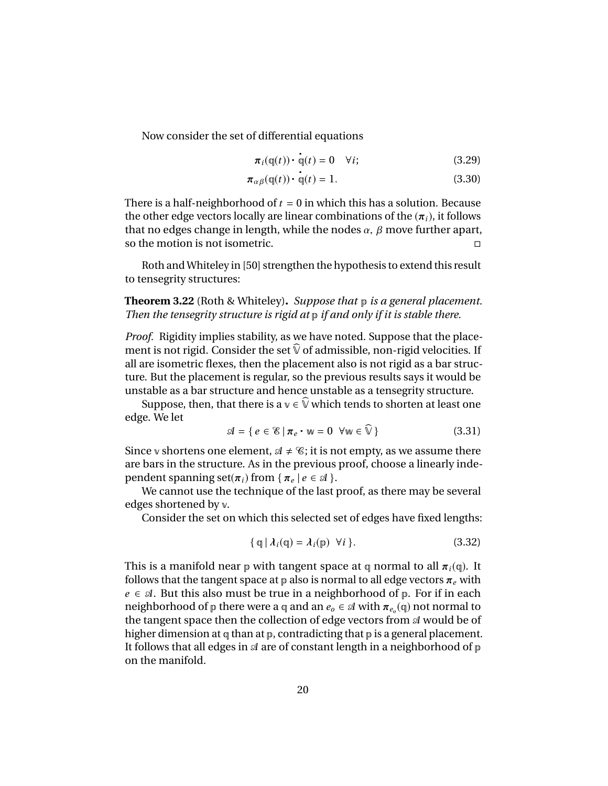Now consider the set of differential equations

$$
\pi_i(\mathbf{q}(t)) \cdot \mathbf{q}(t) = 0 \quad \forall i; \tag{3.29}
$$

$$
\pi_{\alpha\beta}(\mathbf{q}(t)) \cdot \mathbf{q}(t) = 1.
$$
 (3.30)

There is a half-neighborhood of  $t = 0$  in which this has a solution. Because the other edge vectors locally are linear combinations of the  $(\pi_i)$ , it follows that no edges change in length, while the nodes  $\alpha$ ,  $\beta$  move further apart, so the motion is not isometric.

l

Roth and Whiteley in [50] strengthen the hypothesis to extend this result to tensegrity structures:

**Theorem 3.22** (Roth & Whiteley)**.** *Suppose that* p *is a general placement. Then the tensegrity structure is rigid at* p *if and only if it is stable there.*

*Proof.* Rigidity implies stability, as we have noted. Suppose that the placement is not rigid. Consider the set  $\widehat{\mathbb{V}}$  of admissible, non-rigid velocities. If all are isometric flexes, then the placement also is not rigid as a bar structure. But the placement is regular, so the previous results says it would be unstable as a bar structure and hence unstable as a tensegrity structure.

Suppose, then, that there is a  $v \in \hat{V}$  which tends to shorten at least one edge. We let

$$
\mathcal{A} = \{ e \in \mathcal{E} \mid \pi_e \cdot w = 0 \ \forall w \in \widehat{\mathbb{V}} \}
$$
 (3.31)

Since v shortens one element,  $A \neq \mathcal{C}$ ; it is not empty, as we assume there are bars in the structure. As in the previous proof, choose a linearly independent spanning set( $\pi_i$ ) from {  $\pi_e$  |  $e \in \mathcal{A}$  }.<br>We cannot use the technique of the last :

We cannot use the technique of the last proof, as there may be several edges shortened by v.

Consider the set on which this selected set of edges have fixed lengths:

$$
\{ \varphi \mid \lambda_i(\varphi) = \lambda_i(\varphi) \ \forall i \}.
$$
 (3.32)

This is a manifold near  $p$  with tangent space at q normal to all  $\pi_i(q)$ . It follows that the tangent space at  $\phi$  also is normal to all edge vectors  $\pi_e$  with  $e \in \mathcal{A}$ . But this also must be true in a neighborhood of  $p$ . For if in each neighborhood of p there were a q and an  $e_o \in \mathcal{A}$  with  $\pi_{e_o}(\mathfrak{q})$  not normal to the tangent space then the collection of edge vectors from  $\mathcal{A}$  would be of the tangent space then the collection of edge vectors from  $\mathcal A$  would be of higher dimension at  $q$  than at  $p$ , contradicting that  $p$  is a general placement. It follows that all edges in  $\mathcal A$  are of constant length in a neighborhood of  $p$ on the manifold.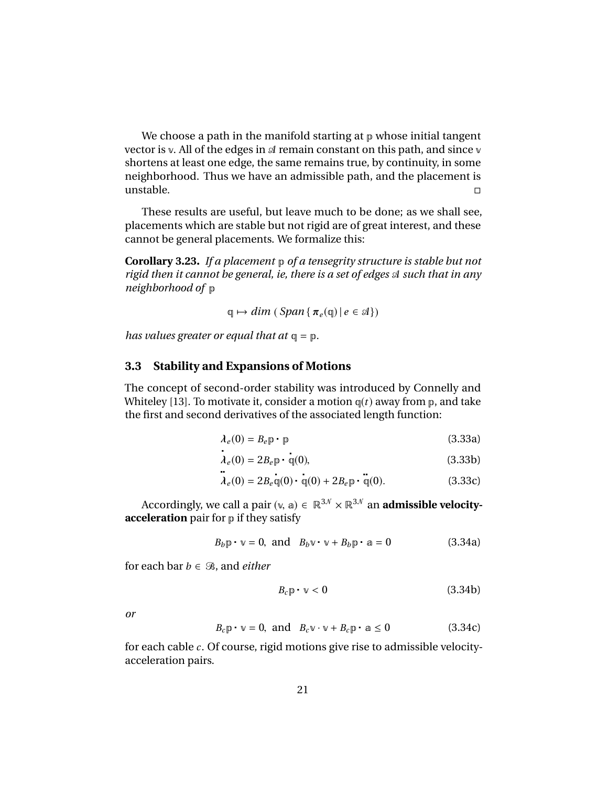We choose a path in the manifold starting at  $p$  whose initial tangent vector is v. All of the edges in  $\mathcal A$  remain constant on this path, and since v shortens at least one edge, the same remains true, by continuity, in some neighborhood. Thus we have an admissible path, and the placement is unstable.

These results are useful, but leave much to be done; as we shall see, placements which are stable but not rigid are of great interest, and these cannot be general placements. We formalize this:

**Corollary 3.23.** *If a placement* p *of a tensegrity structure is stable but not rigid then it cannot be general, ie, there is a set of edges* A*such that in any neighborhood of* p

$$
\mathbb{q} \mapsto \dim\left(\text{Span}\left\{\pi_e(\mathbb{q}) \,|\, e \in \mathcal{A}\right\}\right)
$$

*has values greater or equal that at* q = p*.*

#### **3.3 Stability and Expansions of Motions**

The concept of second-order stability was introduced by Connelly and Whiteley [13]. To motivate it, consider a motion  $q(t)$  away from  $p$ , and take the first and second derivatives of the associated length function:

$$
\lambda_e(0) = B_e \mathbf{p} \cdot \mathbf{p} \tag{3.33a}
$$

$$
\lambda_e(0) = 2B_e \mathbb{P} \cdot \mathbb{q}(0),\tag{3.33b}
$$

$$
\vec{\lambda}_e(0) = 2B_e \vec{\mathbb{q}}(0) \cdot \dot{\vec{\mathbb{q}}}(0) + 2B_e \vec{\mathbb{p}} \cdot \ddot{\vec{\mathbb{q}}}(0).
$$
 (3.33c)

Accordingly, we call a pair  $(\vee, a) \in \mathbb{R}^{3\mathcal{N}} \times \mathbb{R}^{3\mathcal{N}}$  an **admissible velocityacceleration** pair for p if they satisfy

$$
B_b \mathbf{p} \cdot \mathbf{v} = 0, \text{ and } B_b \mathbf{v} \cdot \mathbf{v} + B_b \mathbf{p} \cdot \mathbf{a} = 0 \tag{3.34a}
$$

for each bar  $b \in \mathcal{B}$ , and *either* 

$$
B_c \mathbb{p} \cdot \mathbb{v} < 0 \tag{3.34b}
$$

*or*

$$
B_c \mathbf{p} \cdot \mathbf{v} = 0, \text{ and } B_c \mathbf{v} \cdot \mathbf{v} + B_c \mathbf{p} \cdot \mathbf{a} \le 0 \tag{3.34c}
$$

for each cable *c* . Of course, rigid motions give rise to admissible velocityacceleration pairs.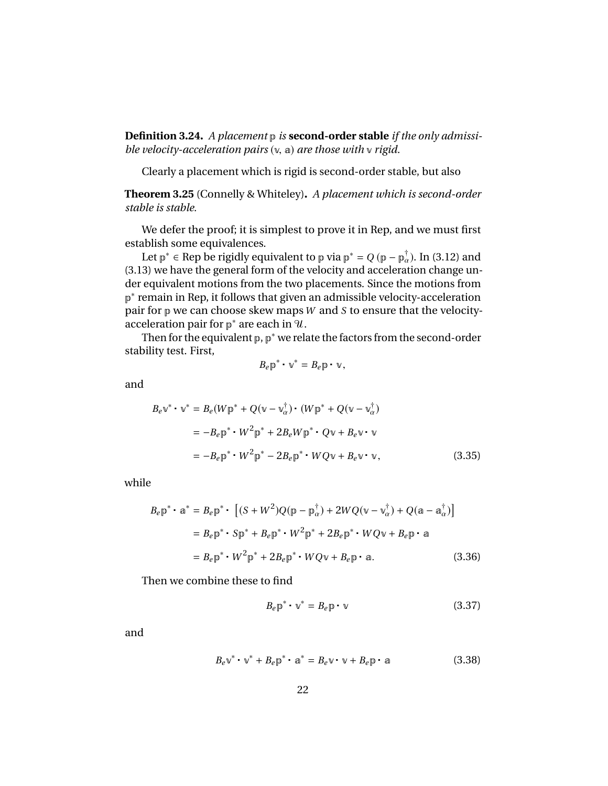**Definition 3.24.** *A placement* p *is* **second-order stable** *if the only admissible velocity-acceleration pairs* (v, <sup>a</sup>) *are those with* <sup>v</sup> *rigid.*

Clearly a placement which is rigid is second-order stable, but also

**Theorem 3.25** (Connelly & Whiteley)**.** *A placement which is second-order stable is stable.*

We defer the proof; it is simplest to prove it in Rep, and we must first establish some equivalences.

Let  $p^* \in \text{Rep}$  be rigidly equivalent to p via  $p^* = Q(p - p^{\dagger}_{\alpha})$ . In (3.12) and <br>2) we have the general form of the velocity and acceleration change un (3.13) we have the general form of the velocity and acceleration change under equivalent motions from the two placements. Since the motions from p<sup>\*</sup> remain in Rep, it follows that given an admissible velocity-acceleration pair for p we can choose skew maps *W* and *S* to ensure that the velocityacceleration pair for  $p^*$  are each in  $\mathcal{U}$ .

Then for the equivalent  $p$ ,  $p^*$  we relate the factors from the second-order stability test. First,

$$
B_{e}\mathbf{p}^*\cdot\mathbf{v}^*=B_{e}\mathbf{p}\cdot\mathbf{v},
$$

and

$$
B_e \mathbf{v}^* \cdot \mathbf{v}^* = B_e (W \mathbf{p}^* + Q(\mathbf{v} - \mathbf{v}_\alpha^\dagger) \cdot (W \mathbf{p}^* + Q(\mathbf{v} - \mathbf{v}_\alpha^\dagger))
$$
  
= 
$$
-B_e \mathbf{p}^* \cdot W^2 \mathbf{p}^* + 2B_e W \mathbf{p}^* \cdot Q \mathbf{v} + B_e \mathbf{v} \cdot \mathbf{v}
$$
  
= 
$$
-B_e \mathbf{p}^* \cdot W^2 \mathbf{p}^* - 2B_e \mathbf{p}^* \cdot W Q \mathbf{v} + B_e \mathbf{v} \cdot \mathbf{v},
$$
 (3.35)

while

$$
B_{e}\mathbf{p}^{*} \cdot \mathbf{a}^{*} = B_{e}\mathbf{p}^{*} \cdot \left[ (S + W^{2})Q(\mathbf{p} - \mathbf{p}_{\alpha}^{\dagger}) + 2WQ(\mathbf{v} - \mathbf{v}_{\alpha}^{\dagger}) + Q(\mathbf{a} - \mathbf{a}_{\alpha}^{\dagger}) \right]
$$
  
\n
$$
= B_{e}\mathbf{p}^{*} \cdot S\mathbf{p}^{*} + B_{e}\mathbf{p}^{*} \cdot W^{2}\mathbf{p}^{*} + 2B_{e}\mathbf{p}^{*} \cdot WQ\mathbf{v} + B_{e}\mathbf{p} \cdot \mathbf{a}
$$
  
\n
$$
= B_{e}\mathbf{p}^{*} \cdot W^{2}\mathbf{p}^{*} + 2B_{e}\mathbf{p}^{*} \cdot WQ\mathbf{v} + B_{e}\mathbf{p} \cdot \mathbf{a}. \qquad (3.36)
$$

Then we combine these to find

$$
B_e \mathbf{p}^* \cdot \mathbf{v}^* = B_e \mathbf{p} \cdot \mathbf{v}
$$
 (3.37)

and

$$
B_e \mathbf{v}^* \cdot \mathbf{v}^* + B_e \mathbf{p}^* \cdot \mathbf{a}^* = B_e \mathbf{v} \cdot \mathbf{v} + B_e \mathbf{p} \cdot \mathbf{a}
$$
 (3.38)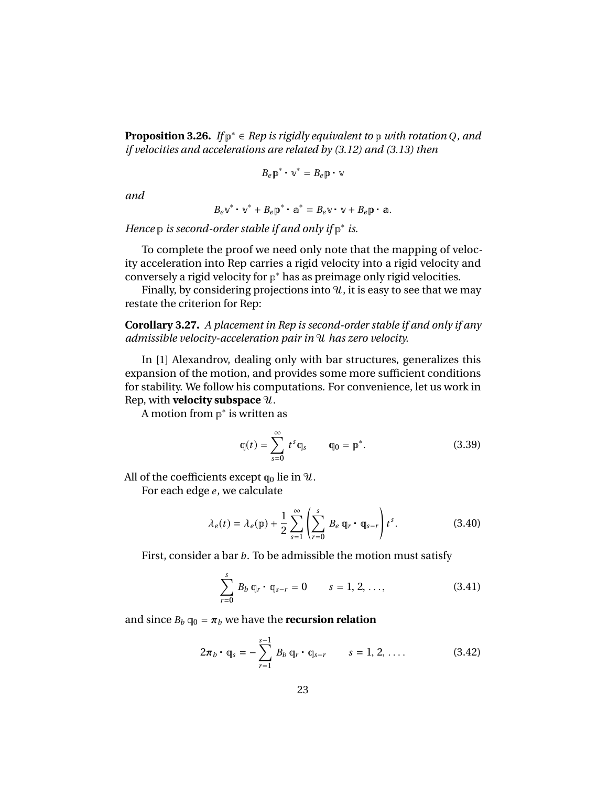**Proposition 3.26.** *If* p <sup>∗</sup> ∈ *Rep is rigidly equivalent to* p *with rotation Q, and if velocities and accelerations are related by (3.12) and (3.13) then*

$$
B_e \mathbf{p}^* \cdot \mathbf{v}^* = B_e \mathbf{p} \cdot \mathbf{v}
$$

*and*

$$
B_{e} \mathbf{v}^* \cdot \mathbf{v}^* + B_{e} \mathbf{p}^* \cdot \mathbf{a}^* = B_{e} \mathbf{v} \cdot \mathbf{v} + B_{e} \mathbf{p} \cdot \mathbf{a}.
$$

*Hence* **p** *is second-order stable if and only if*  $p^*$  *is.* 

To complete the proof we need only note that the mapping of velocity acceleration into Rep carries a rigid velocity into a rigid velocity and conversely a rigid velocity for p <sup>∗</sup> has as preimage only rigid velocities.

Finally, by considering projections into  $\mathcal{U}$ , it is easy to see that we may restate the criterion for Rep:

**Corollary 3.27.** *A placement in Rep is second-order stable if and only if any admissible velocity-acceleration pair in* U*has zero velocity.*

In [1] Alexandrov, dealing only with bar structures, generalizes this expansion of the motion, and provides some more sufficient conditions for stability. We follow his computations. For convenience, let us work in Rep, with **velocity subspace**  $\mathcal{U}$ .

A motion from  $p^*$  is written as

$$
q(t) = \sum_{s=0}^{\infty} t^s q_s \qquad q_0 = p^*.
$$
 (3.39)

All of the coefficients except  $q_0$  lie in  $\mathcal{U}$ .

For each edge *e*, we calculate

$$
\lambda_e(t) = \lambda_e(\mathbf{p}) + \frac{1}{2} \sum_{s=1}^{\infty} \left( \sum_{r=0}^s B_e \, \mathbf{q}_r \cdot \mathbf{q}_{s-r} \right) t^s. \tag{3.40}
$$

First, consider a bar *b*. To be admissible the motion must satisfy

$$
\sum_{r=0}^{s} B_b q_r \cdot q_{s-r} = 0 \qquad s = 1, 2, ..., \qquad (3.41)
$$

and since  $B_b \mathbf{q}_0 = \pi_b$  we have the **recursion relation** 

$$
2\pi_b \cdot q_s = -\sum_{r=1}^{s-1} B_b q_r \cdot q_{s-r} \qquad s = 1, 2, .... \qquad (3.42)
$$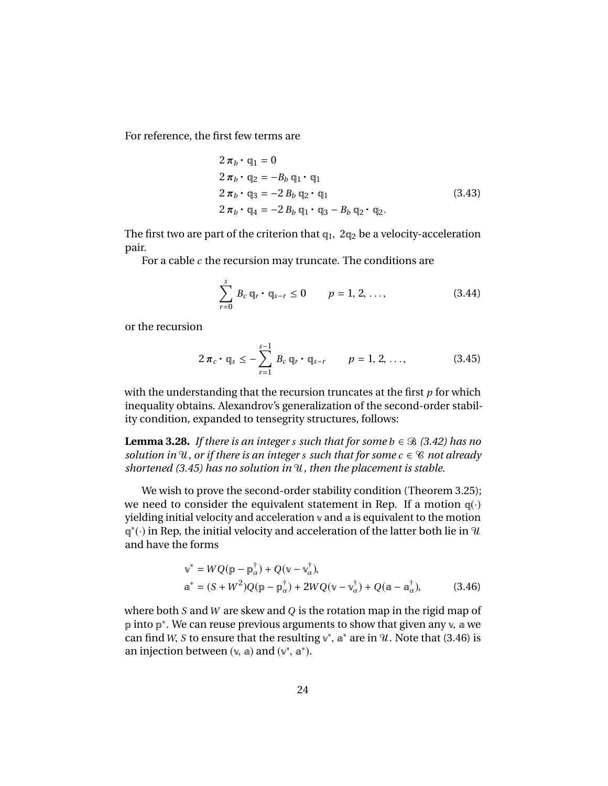For reference, the first few terms are

$$
2 \pi_b \cdot q_1 = 0
$$
  
\n
$$
2 \pi_b \cdot q_2 = -B_b q_1 \cdot q_1
$$
  
\n
$$
2 \pi_b \cdot q_3 = -2 B_b q_2 \cdot q_1
$$
  
\n
$$
2 \pi_b \cdot q_4 = -2 B_b q_1 \cdot q_3 - B_b q_2 \cdot q_2.
$$
\n(3.43)

The first two are part of the criterion that  $q_1$ ,  $2q_2$  be a velocity-acceleration pair.

For a cable *c* the recursion may truncate. The conditions are

$$
\sum_{r=0}^{s} B_c q_r \cdot q_{s-r} \le 0 \qquad p = 1, 2, ..., \qquad (3.44)
$$

or the recursion

$$
2\,\pi_{c} \cdot \mathbb{q}_{s} \leq -\sum_{r=1}^{s-1} \, B_{c} \, \mathbb{q}_{r} \cdot \mathbb{q}_{s-r} \qquad p=1,2,\ldots, \qquad (3.45)
$$

with the understanding that the recursion truncates at the first *p* for which inequality obtains. Alexandrov's generalization of the second-order stability condition, expanded to tensegrity structures, follows:

**Lemma 3.28.** *If there is an integer s such that for some*  $b \in \mathcal{B}$  *(3.42) has no solution in*  $\mathcal{U}$ *, or if there is an integer s such that for some*  $c \in \mathcal{C}$  *not already shortened (3.45) has no solution in* U*, then the placement is stable.*

We wish to prove the second-order stability condition (Theorem 3.25); we need to consider the equivalent statement in Rep. If a motion  $q(\cdot)$ yielding initial velocity and acceleration v and a is equivalent to the motion  $\mathbb{q}^*(\cdot)$  in Rep, the initial velocity and acceleration of the latter both lie in  $\mathcal U$ and have the forms

$$
\begin{aligned} \mathbf{v}^* &= WQ(\mathbf{p} - \mathbf{p}_{\alpha}^{\dagger}) + Q(\mathbf{v} - \mathbf{v}_{\alpha}^{\dagger}), \\ \mathbf{a}^* &= (S + W^2)Q(\mathbf{p} - \mathbf{p}_{\alpha}^{\dagger}) + 2WQ(\mathbf{v} - \mathbf{v}_{\alpha}^{\dagger}) + Q(\mathbf{a} - \mathbf{a}_{\alpha}^{\dagger}), \end{aligned} \tag{3.46}
$$

where both *S* and*W* are skew and *Q* is the rotation map in the rigid map of p into p<sup>\*</sup>. We can reuse previous arguments to show that given any  $\mathbf{v}$ , a we can find  $W$ . S to ensure that the resulting  $\mathbf{v}^*$ ,  $\mathbf{v}^*$  are in  $9I$ . Note that (3.46) is can find *W*, *S* to ensure that the resulting  $v^*$ ,  $a^*$  are in  $\mathcal{U}$ . Note that (3.46) is<br>an injection between  $(v, a)$  and  $(v^* \, a^*)$ an injection between  $(v, a)$  and  $(v^*, a^*)$ .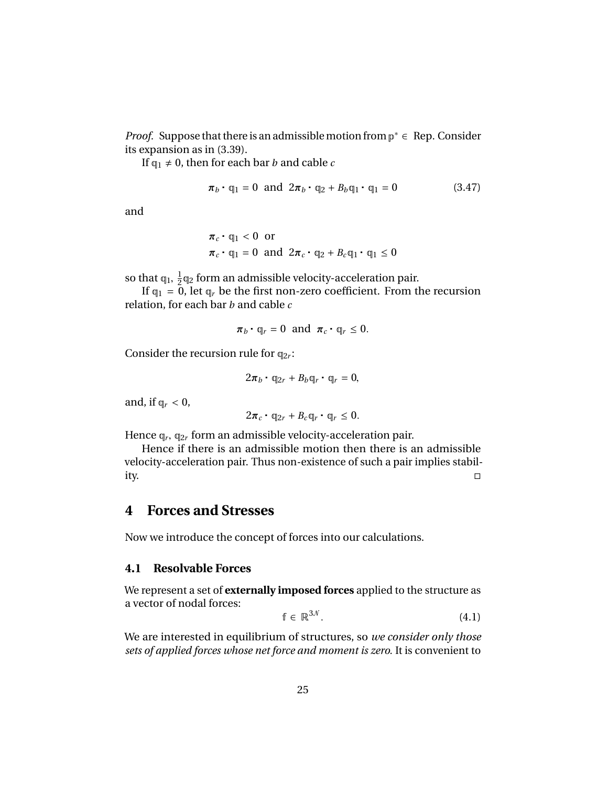*Proof.* Suppose that there is an admissible motion from  $p^* \in Rep$ . Consider its expansion as in (3.39).

If  $q_1 \neq 0$ , then for each bar *b* and cable *c* 

$$
\boldsymbol{\pi}_b \cdot \mathbf{q}_1 = 0 \text{ and } 2\boldsymbol{\pi}_b \cdot \mathbf{q}_2 + B_b \mathbf{q}_1 \cdot \mathbf{q}_1 = 0 \qquad (3.47)
$$

and

$$
\pi_c \cdot q_1 < 0 \quad \text{or}
$$
\n
$$
\pi_c \cdot q_1 = 0 \quad \text{and} \quad 2\pi_c \cdot q_2 + B_c q_1 \cdot q_1 \leq 0
$$

so that  $q_1$ ,  $\frac{1}{2}$ <br>If  $q_1$  = 0  $\frac{1}{2}$ q<sub>2</sub> form an admissible velocity-acceleration pair.

If  $q_1 = 0$ , let  $q_r$  be the first non-zero coefficient. From the recursion relation, for each bar *b* and cable *c*

$$
\pi_b \cdot \mathbb{q}_r = 0
$$
 and  $\pi_c \cdot \mathbb{q}_r \leq 0$ .

Consider the recursion rule for  $q_{2r}$ :

$$
2\pi_b \cdot \mathbb{q}_{2r} + B_b \mathbb{q}_r \cdot \mathbb{q}_r = 0,
$$

and, if  $q_r < 0$ ,

$$
2\pi_c \cdot q_{2r} + B_c q_r \cdot q_r \leq 0.
$$

Hence  $q_r$ ,  $q_{2r}$  form an admissible velocity-acceleration pair.<br>Hence if there is an admissible motion then there is a

Hence if there is an admissible motion then there is an admissible velocity-acceleration pair. Thus non-existence of such a pair implies stability.

# **4 Forces and Stresses**

Now we introduce the concept of forces into our calculations.

#### **4.1 Resolvable Forces**

We represent a set of **externally imposed forces** applied to the structure as a vector of nodal forces:

$$
\mathbf{f} \in \mathbb{R}^{3N}.\tag{4.1}
$$

We are interested in equilibrium of structures, so *we consider only those sets of applied forces whose net force and moment is zero.* It is convenient to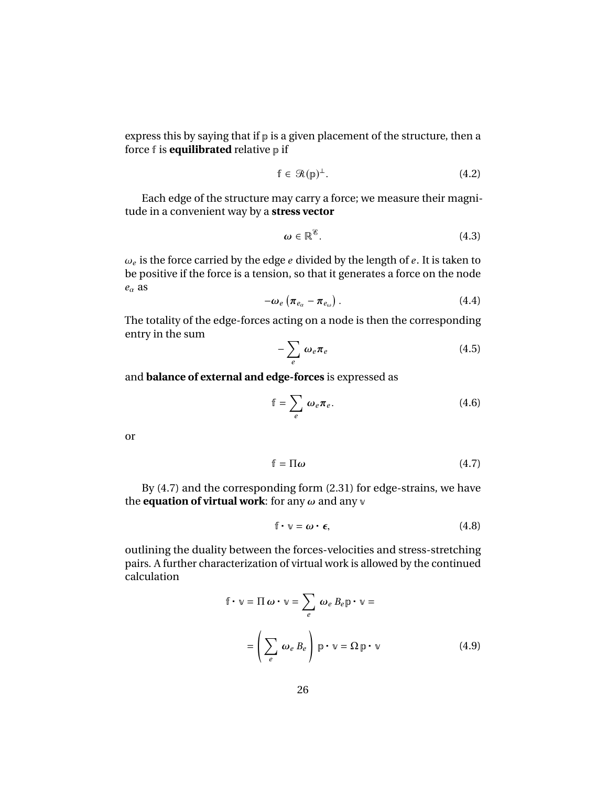express this by saying that if  $p$  is a given placement of the structure, then a force f is **equilibrated** relative p if

$$
\mathbb{f} \in \mathcal{R}(\mathbb{p})^{\perp}.
$$
 (4.2)

Each edge of the structure may carry a force; we measure their magnitude in a convenient way by a **stress vector**

$$
\omega \in \mathbb{R}^{\mathscr{E}}.\tag{4.3}
$$

 $\omega_e$  is the force carried by the edge  $e$  divided by the length of  $e.$  It is taken to be positive if the force is a tension, so that it generates a force on the node  $\omega_e$  is the force carried by the edge  $e$  divided by the length of  $e$ . It is taken to  $e_{\alpha}$  as

$$
-\omega_e \left(\pi_{e_\alpha}-\pi_{e_\omega}\right). \tag{4.4}
$$

The totality of the edge-forces acting on a node is then the corresponding entry in the sum

$$
-\sum_{e}\omega_{e}\pi_{e} \tag{4.5}
$$

and **balance of external and edge-forces** is expressed as

$$
\mathbb{f} = \sum_{e} \omega_e \pi_e. \tag{4.6}
$$

or

$$
f = \Pi \omega \tag{4.7}
$$

By (4.7) and the corresponding form (2.31) for edge-strains, we have the **equation of virtual work**: for any  $\omega$  and any  $\nu$ 

$$
f \cdot \mathbf{v} = \boldsymbol{\omega} \cdot \boldsymbol{\epsilon},\tag{4.8}
$$

outlining the duality between the forces-velocities and stress-stretching pairs. A further characterization of virtual work is allowed by the continued calculation

$$
\mathbb{f} \cdot \mathbb{v} = \Pi \omega \cdot \mathbb{v} = \sum_{e} \omega_{e} B_{e} \mathbb{p} \cdot \mathbb{v} =
$$

$$
= \left( \sum_{e} \omega_{e} B_{e} \right) \mathbb{p} \cdot \mathbb{v} = \Omega \mathbb{p} \cdot \mathbb{v}
$$
(4.9)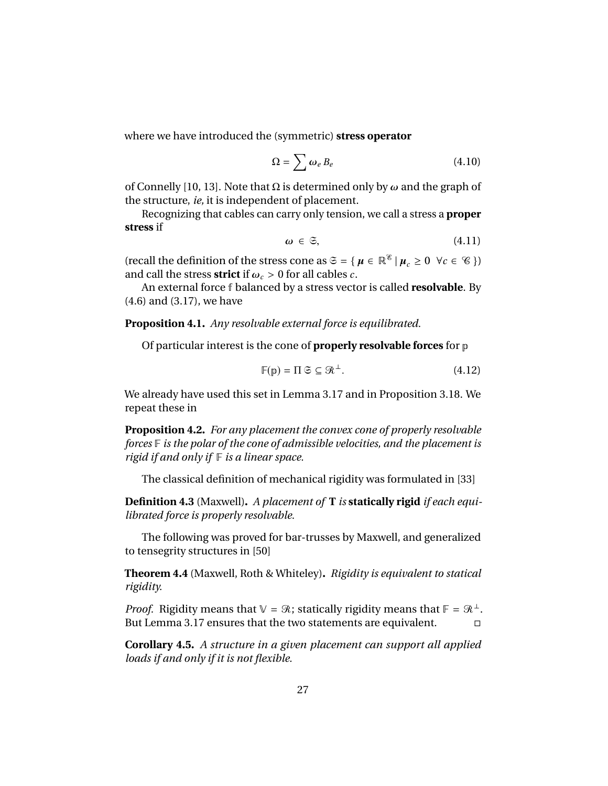where we have introduced the (symmetric) **stress operator**

$$
\Omega = \sum \omega_e B_e \tag{4.10}
$$

of Connelly [10, 13]. Note that  $\Omega$  is determined only by  $\omega$  and the graph of the structure, *ie,* it is independent of placement.

Recognizing that cables can carry only tension, we call a stress a **proper stress** if

$$
\omega \in \mathfrak{S},\tag{4.11}
$$

(recall the definition of the stress cone as  $\mathfrak{S} = \{ \mu \in \mathbb{R}^{\mathcal{E}} \mid \mu_c \geq 0 \ \forall c \in \mathcal{C} \}$ ) and call the stress **strict** if  $\omega_c > 0$  for all cables *c*.

An external force f balanced by a stress vector is called **resolvable**. By (4.6) and (3.17), we have

**Proposition 4.1.** *Any resolvable external force is equilibrated.*

Of particular interest is the cone of **properly resolvable forces** for p

$$
\mathbb{F}(p) = \Pi \mathfrak{S} \subseteq \mathfrak{R}^{\perp}.
$$
 (4.12)

We already have used this set in Lemma 3.17 and in Proposition 3.18. We repeat these in

**Proposition 4.2.** *For any placement the convex cone of properly resolvable forces* F *is the polar of the cone of admissible velocities, and the placement is rigid if and only if* F *is a linear space.*

The classical definition of mechanical rigidity was formulated in [33]

**Definition 4.3** (Maxwell)**.** *A placement of* **T** *is* **statically rigid** *if each equilibrated force is properly resolvable.*

The following was proved for bar-trusses by Maxwell, and generalized to tensegrity structures in [50]

**Theorem 4.4** (Maxwell, Roth & Whiteley)**.** *Rigidity is equivalent to statical rigidity.*

*Proof.* Rigidity means that  $V = \mathcal{R}$ ; statically rigidity means that  $F = \mathcal{R}^{\perp}$ . But Lemma 3.17 ensures that the two statements are equivalent.

**Corollary 4.5.** *A structure in a given placement can support all applied loads if and only if it is not flexible.*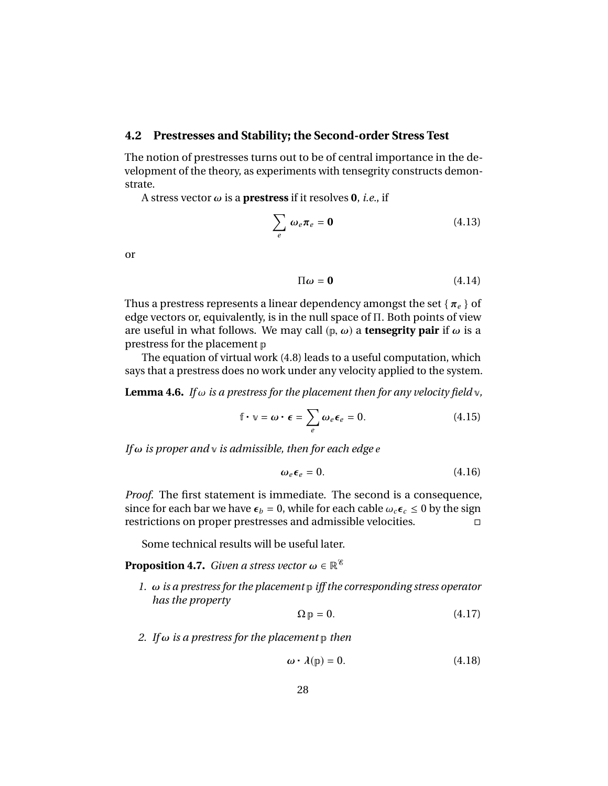#### **4.2 Prestresses and Stability; the Second-order Stress Test**

The notion of prestresses turns out to be of central importance in the development of the theory, as experiments with tensegrity constructs demonstrate.

A stress vector  $\omega$  is a **prestress** if it resolves **0**, *i.e.*, if

$$
\sum_{e} \omega_e \pi_e = \mathbf{0} \tag{4.13}
$$

or

$$
\Pi \omega = \mathbf{0} \tag{4.14}
$$

Thus a prestress represents a linear dependency amongst the set { <sup>π</sup>*<sup>e</sup>* } of edge vectors or, equivalently, is in the null space of Π. Both points of view are useful in what follows. We may call  $(p, \omega)$  a **tensegrity pair** if  $\omega$  is a prestress for the placement p

The equation of virtual work (4.8) leads to a useful computation, which says that a prestress does no work under any velocity applied to the system.

**Lemma 4.6.** *If*  $\omega$  *is a prestress for the placement then for any velocity field*  $\vee$ *,* 

$$
\mathbf{f} \cdot \mathbf{v} = \boldsymbol{\omega} \cdot \boldsymbol{\epsilon} = \sum_{e} \omega_e \boldsymbol{\epsilon}_e = 0. \tag{4.15}
$$

*If* ω *is proper and* <sup>v</sup> *is admissible, then for each edge <sup>e</sup>*

$$
\omega_e \epsilon_e = 0. \tag{4.16}
$$

*Proof.* The first statement is immediate. The second is a consequence, since for each bar we have  $\epsilon_b = 0$ , while for each cable  $\omega_c \epsilon_c \le 0$  by the sign restrictions on proper prestresses and admissible velocities. restrictions on proper prestresses and admissible velocities.

Some technical results will be useful later.

**Proposition 4.7.** *Given a stress vector*  $\omega \in \mathbb{R}^{\mathscr{C}}$ 

*1.* ω *is a prestress for the placement* <sup>p</sup> *iff the corresponding stress operator has the property*

$$
\Omega \mathbf{p} = 0. \tag{4.17}
$$

*2. If* ω *is a prestress for the placement* <sup>p</sup> *then*

$$
\omega \cdot \lambda(\mathbf{p}) = 0. \tag{4.18}
$$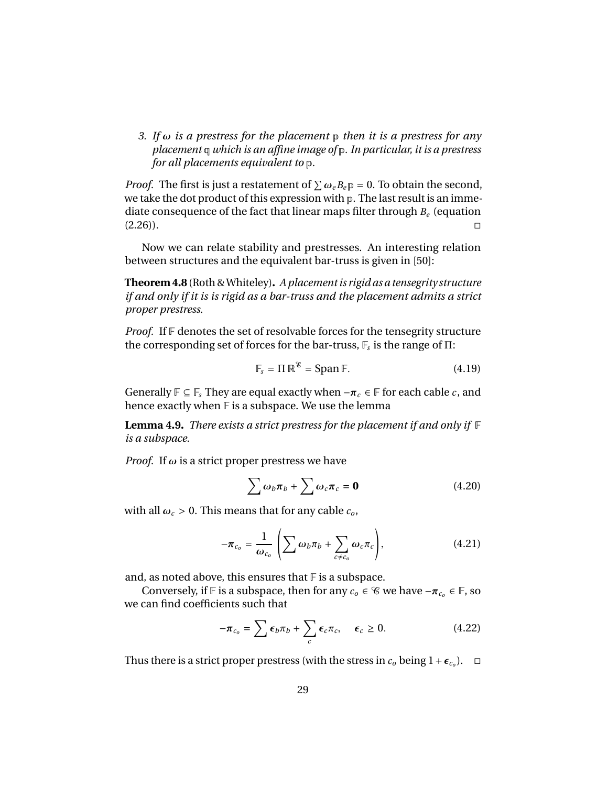*3. If* ω *is a prestress for the placement* <sup>p</sup> *then it is a prestress for any placement* q *which is an affine image of* p*. In particular, it is a prestress for all placements equivalent to* p*.*

*Proof.* The first is just a restatement of  $\sum \omega_e B_e \mathfrak{p} = 0$ . To obtain the second, we take the dot product of this expression with  $\mathfrak{p}$ . The last result is an immewe take the dot product of this expression with p. The last result is an immediate consequence of the fact that linear maps filter through *B<sup>e</sup>* (equation  $(2.26)$ ).

Now we can relate stability and prestresses. An interesting relation between structures and the equivalent bar-truss is given in [50]:

**Theorem 4.8** (Roth & Whiteley)**.** *A placement is rigid as a tensegrity structure if and only if it is is rigid as a bar-truss and the placement admits a strict proper prestress.*

*Proof.* If  $\mathbb F$  denotes the set of resolvable forces for the tensegrity structure the corresponding set of forces for the bar-truss, F*<sup>s</sup>* is the range of Π:

$$
\mathbb{F}_s = \Pi \, \mathbb{R}^{\mathscr{E}} = \text{Span} \, \mathbb{F}. \tag{4.19}
$$

Generally  $\mathbb{F} \subseteq \mathbb{F}_s$  They are equal exactly when  $-\pi_c \in \mathbb{F}$  for each cable *c*, and hence exactly when  $F$  is a subspace. We use the lemma

**Lemma 4.9.** *There exists a strict prestress for the placement if and only if* F *is a subspace.*

*Proof.* If  $\omega$  is a strict proper prestress we have

$$
\sum \omega_b \pi_b + \sum \omega_c \pi_c = \mathbf{0} \tag{4.20}
$$

with all  $\omega_c > 0$ . This means that for any cable  $c_o$ ,

$$
-\boldsymbol{\pi}_{c_o} = \frac{1}{\omega_{c_o}} \left( \sum \omega_b \pi_b + \sum_{c \neq c_o} \omega_c \pi_c \right), \qquad (4.21)
$$

and, as noted above, this ensures that  $\mathbb F$  is a subspace.

Conversely, if  $\mathbb F$  is a subspace, then for any  $c_o \in \mathscr C$  we have  $-\pi_{c_o} \in \mathbb F$ , so we can find coefficients such that

$$
-\boldsymbol{\pi}_{c_o} = \sum \boldsymbol{\epsilon}_b \boldsymbol{\pi}_b + \sum_c \boldsymbol{\epsilon}_c \boldsymbol{\pi}_c, \quad \boldsymbol{\epsilon}_c \geq 0. \tag{4.22}
$$

Thus there is a strict proper prestress (with the stress in  $c_o$  being  $1+\epsilon_{c_o}$ ).  $\Box$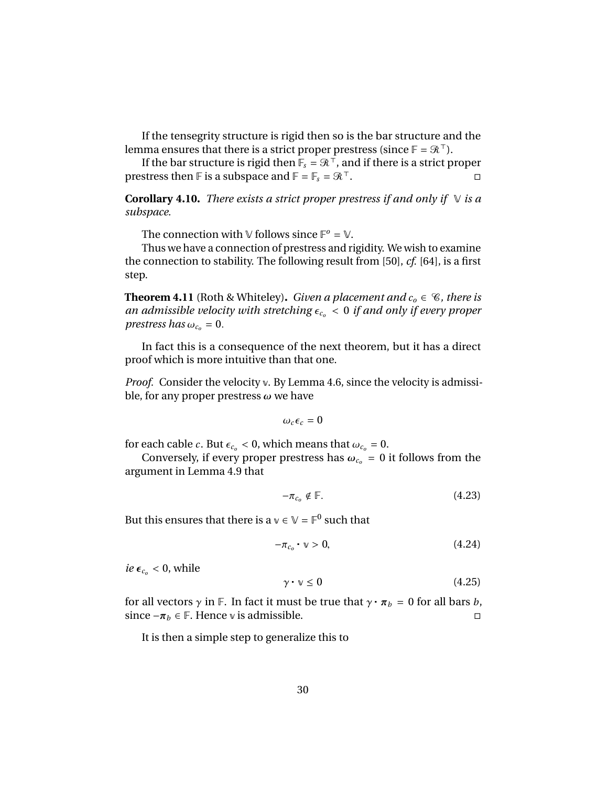If the tensegrity structure is rigid then so is the bar structure and the lemma ensures that there is a strict proper prestress (since  $\mathbb{F} = \mathcal{R}^{\top}$ ).

If the bar structure is rigid then  $\mathbb{F}_s = \mathcal{R}^\top$ , and if there is a strict proper prestress then F is a subspace and  $F = F_s = \mathcal{R}^\top$ .

**Corollary 4.10.** *There exists a strict proper prestress if and only if*  $\vee$  *is a subspace.*

The connection with  $\vee$  follows since  $\mathbb{F}^o = \vee$ .

Thus we have a connection of prestress and rigidity. We wish to examine the connection to stability. The following result from [50], *cf.* [64], is a first step.

**Theorem 4.11** (Roth & Whiteley). *Given a placement and*  $c_0 \in \mathcal{C}$ *, there is an admissible velocity with stretching*  $\epsilon_{c}$  < 0 *if and only if every proper prestress has*  $\omega_{c_0} = 0$ .

In fact this is a consequence of the next theorem, but it has a direct proof which is more intuitive than that one.

*Proof.* Consider the velocity v. By Lemma 4.6, since the velocity is admissible, for any proper prestress  $\omega$  we have

$$
\omega_c \epsilon_c = 0
$$

for each cable *c*. But  $\epsilon_{c_0}$  < 0, which means that  $\omega_{c_0}$  = 0.

Conversely, if every proper prestress has  $\omega_{c_0} = 0$  it follows from the argument in Lemma 4.9 that

$$
-\pi_{c_o} \notin \mathbb{F}.\tag{4.23}
$$

But this ensures that there is a  $\mathbb{v} \in \mathbb{V} = \mathbb{F}^0$  such that

$$
-\pi_{c_o} \cdot \mathbf{v} > 0,\tag{4.24}
$$

 $ie \epsilon_{c_0} < 0$ , while

$$
\gamma \cdot \mathbf{v} \le 0 \tag{4.25}
$$

for all vectors  $\gamma$  in F. In fact it must be true that  $\gamma \cdot \pi_b = 0$  for all bars *b*, since  $-\pi_b \in \mathbb{F}$ . Hence v is admissible. since  $-$ π<sub>*b*</sub> ∈ **F**. Hence  $\vee$  is admissible.

It is then a simple step to generalize this to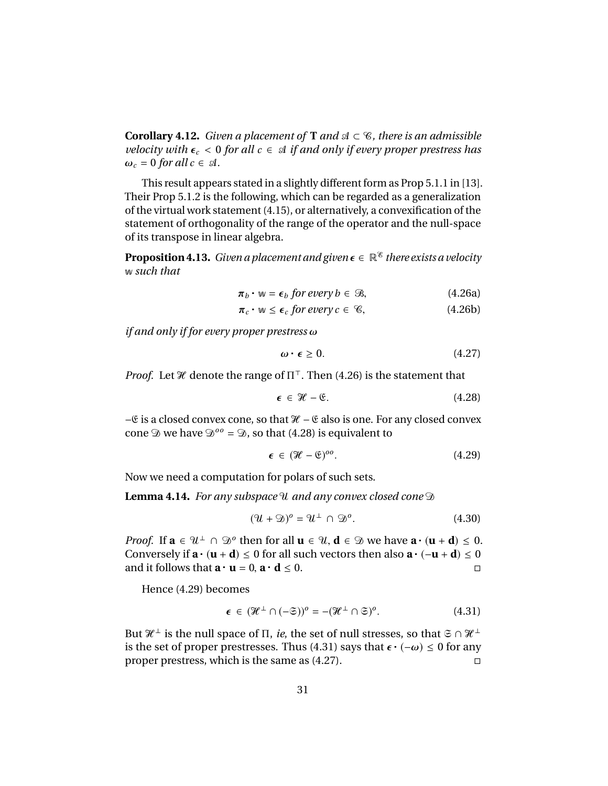**Corollary 4.12.** *Given a placement of* **T** *and*  $\mathcal{A} \subset \mathcal{C}$ *, there is an admissible velocity with*  $\epsilon_c$  < 0 *for all*  $c \in \mathcal{A}$  *if and only if every proper prestress has*  $\omega_c = 0$  *for all*  $c \in \mathcal{A}$ *.* 

This result appears stated in a slightly different form as Prop 5.1.1 in [13]. Their Prop 5.1.2 is the following, which can be regarded as a generalization of the virtual work statement (4.15), or alternatively, a convexification of the statement of orthogonality of the range of the operator and the null-space of its transpose in linear algebra.

**Proposition 4.13.** *Given a placement and given*  $\epsilon \in \mathbb{R}^8$  *there exists a velocity* w *such that*

$$
\pi_b \cdot w = \epsilon_b \text{ for every } b \in \mathcal{B}, \tag{4.26a}
$$

$$
\pi_c \cdot w \le \epsilon_c \text{ for every } c \in \mathcal{C}, \tag{4.26b}
$$

*if and only if for every proper prestress* ω

$$
\omega \cdot \epsilon \ge 0. \tag{4.27}
$$

*Proof.* Let  $\mathcal{H}$  denote the range of  $\Pi^{\top}$ . Then (4.26) is the statement that

$$
\epsilon \in \mathcal{H} - \mathfrak{E}. \tag{4.28}
$$

−€ is a closed convex cone, so that  $\mathcal{H}$  –  $\mathcal{E}$  also is one. For any closed convex cone  $\mathcal{D}$  we have  $\mathcal{D}^{oo} = \mathcal{D}$ , so that (4.28) is equivalent to

$$
\epsilon \in (\mathcal{H} - \mathfrak{E})^{oo}.\tag{4.29}
$$

Now we need a computation for polars of such sets.

**Lemma 4.14.** *For any subspace* U*and any convex closed cone* D

$$
(\mathcal{U} + \mathfrak{D})^o = \mathcal{U}^\perp \cap \mathfrak{D}^o.
$$
 (4.30)

*Proof.* If  $\mathbf{a} \in \mathcal{U}^{\perp} \cap \mathcal{D}^{\circ}$  then for all  $\mathbf{u} \in \mathcal{U}$ ,  $\mathbf{d} \in \mathcal{D}$  we have  $\mathbf{a} \cdot (\mathbf{u} + \mathbf{d}) \leq 0$ .<br>Conversely if  $\mathbf{a} \cdot (\mathbf{u} + \mathbf{d}) \leq 0$  for all such vectors then also  $\mathbf{a} \cdot (-\mathbf{u$ Conversely if  $\mathbf{a} \cdot (\mathbf{u} + \mathbf{d}) \le 0$  for all such vectors then also  $\mathbf{a} \cdot (-\mathbf{u} + \mathbf{d}) \le 0$ and it follows that  $\mathbf{a} \cdot \mathbf{u} = 0$ ,  $\mathbf{a} \cdot \mathbf{d} \leq 0$ .

Hence (4.29) becomes

$$
\epsilon \in (\mathcal{H}^{\perp} \cap (-\mathfrak{S}))^{\circ} = -(\mathcal{H}^{\perp} \cap \mathfrak{S})^{\circ}.
$$
 (4.31)

But  $\mathcal{H}^{\perp}$  is the null space of  $\Pi$ , *ie*, the set of null stresses, so that  $\Im \cap \mathcal{H}^{\perp}$ is the set of proper prestresses. Thus (4.31) says that  $\epsilon \cdot (-\omega) \le 0$  for any<br>proper prestress which is the same as (4.27) proper prestress, which is the same as (4.27).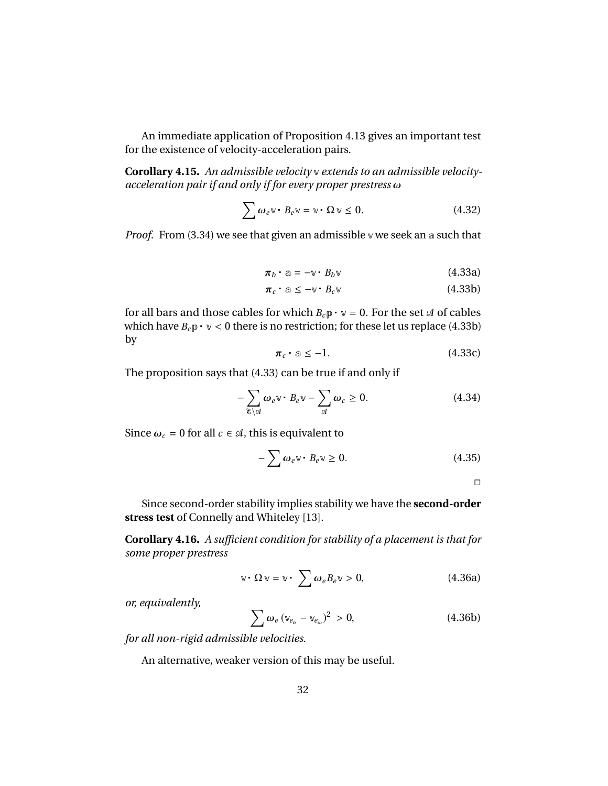An immediate application of Proposition 4.13 gives an important test for the existence of velocity-acceleration pairs.

**Corollary 4.15.** *An admissible velocity* v *extends to an admissible velocityacceleration pair if and only if for every proper prestress* ω

$$
\sum \omega_e \mathbf{v} \cdot B_e \mathbf{v} = \mathbf{v} \cdot \Omega \mathbf{v} \le 0. \tag{4.32}
$$

*Proof.* From (3.34) we see that given an admissible v we seek an a such that

$$
\boldsymbol{\pi}_b \cdot \mathbf{a} = -\mathbf{v} \cdot B_b \mathbf{v} \tag{4.33a}
$$

$$
\pi_c \cdot a \leq -\mathbf{v} \cdot B_c \mathbf{v} \tag{4.33b}
$$

for all bars and those cables for which  $B_c p \cdot v = 0$ . For the set  $\mathcal A$  of cables which have  $B_c p \cdot v < 0$  there is no restriction; for these let us replace (4.33b) by

$$
\pi_c \cdot \mathbf{a} \le -1. \tag{4.33c}
$$

The proposition says that (4.33) can be true if and only if

$$
-\sum_{\mathscr{E}\backslash\mathscr{A}}\omega_e\mathbf{v}\cdot B_e\mathbf{v}-\sum_{\mathscr{A}}\omega_c\geq 0.\tag{4.34}
$$

Since  $\omega_c = 0$  for all  $c \in \mathcal{A}$ , this is equivalent to

$$
-\sum \omega_e \mathbf{v} \cdot B_e \mathbf{v} \ge 0. \tag{4.35}
$$

 $\Box$ 

Since second-order stability implies stability we have the **second-order stress test** of Connelly and Whiteley [13].

**Corollary 4.16.** *A sufficient condition for stability of a placement is that for some proper prestress*

$$
\mathbf{v} \cdot \Omega \mathbf{v} = \mathbf{v} \cdot \sum \omega_e B_e \mathbf{v} > 0, \qquad (4.36a)
$$

*or, equivalently,*

$$
\sum \omega_e \left(\mathbb{v}_{e_\alpha} - \mathbb{v}_{e_\omega}\right)^2 > 0, \tag{4.36b}
$$

*for all non-rigid admissible velocities.*

An alternative, weaker version of this may be useful.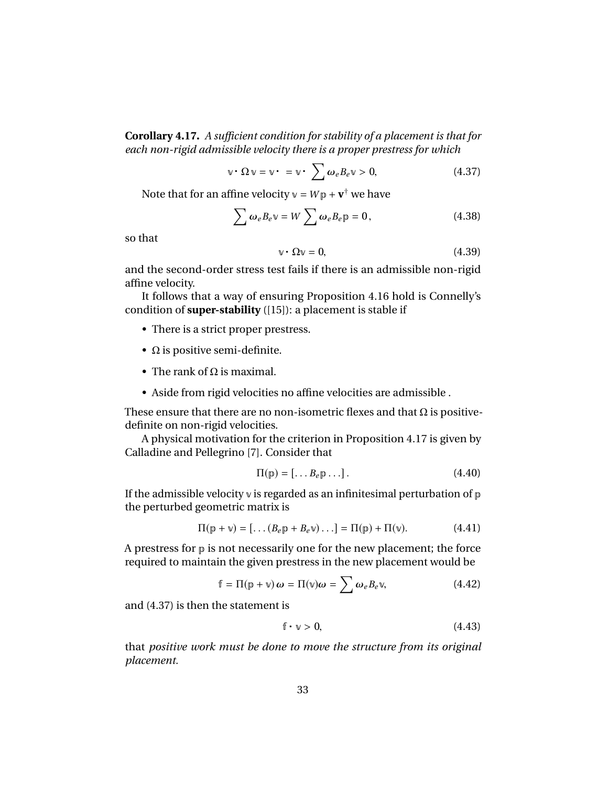**Corollary 4.17.** *A sufficient condition for stability of a placement is that for each non-rigid admissible velocity there is a proper prestress for which*

$$
\mathbf{v} \cdot \Omega \mathbf{v} = \mathbf{v} \cdot = \mathbf{v} \cdot \sum \omega_e B_e \mathbf{v} > 0, \qquad (4.37)
$$

Note that for an affine velocity  $v = Wp + v^{\dagger}$  we have

$$
\sum \omega_e B_e v = W \sum \omega_e B_e p = 0, \qquad (4.38)
$$

so that

$$
\mathbf{v} \cdot \Omega \mathbf{v} = 0,\tag{4.39}
$$

and the second-order stress test fails if there is an admissible non-rigid affine velocity.

It follows that a way of ensuring Proposition 4.16 hold is Connelly's condition of **super-stability** ([15]): a placement is stable if

- There is a strict proper prestress.
- $\Omega$  is positive semi-definite.
- The rank of  $\Omega$  is maximal.
- Aside from rigid velocities no affine velocities are admissible .

These ensure that there are no non-isometric flexes and that  $\Omega$  is positivedefinite on non-rigid velocities.

A physical motivation for the criterion in Proposition 4.17 is given by Calladine and Pellegrino [7]. Consider that

$$
\Pi(\mathbf{p}) = [\dots B_e \mathbf{p} \dots]. \tag{4.40}
$$

If the admissible velocity  $\nu$  is regarded as an infinitesimal perturbation of  $\nu$ the perturbed geometric matrix is

$$
\Pi(\mathbf{p} + \mathbf{v}) = [\dots (B_e \mathbf{p} + B_e \mathbf{v}) \dots] = \Pi(\mathbf{p}) + \Pi(\mathbf{v}). \tag{4.41}
$$

A prestress for  $p$  is not necessarily one for the new placement; the force required to maintain the given prestress in the new placement would be

$$
f = \Pi(p + v)\omega = \Pi(v)\omega = \sum \omega_e B_e v, \qquad (4.42)
$$

and (4.37) is then the statement is

$$
f \cdot \nu > 0, \tag{4.43}
$$

that *positive work must be done to move the structure from its original placement.*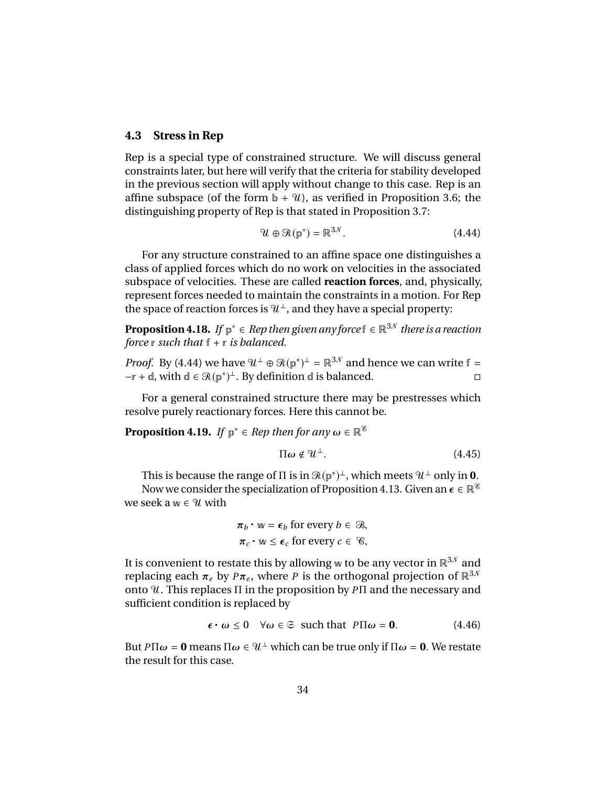#### **4.3 Stress in Rep**

Rep is a special type of constrained structure. We will discuss general constraints later, but here will verify that the criteria for stability developed in the previous section will apply without change to this case. Rep is an affine subspace (of the form  $\mathbf{b} + \mathbf{u}$ ), as verified in Proposition 3.6; the distinguishing property of Rep is that stated in Proposition 3.7:

$$
\mathcal{U} \oplus \mathcal{R}(\mathbb{p}^*) = \mathbb{R}^{3\mathcal{N}}.
$$
 (4.44)

For any structure constrained to an affine space one distinguishes a class of applied forces which do no work on velocities in the associated subspace of velocities. These are called **reaction forces**, and, physically, represent forces needed to maintain the constraints in a motion. For Rep the space of reaction forces is  $\mathcal{U}^{\perp}$ , and they have a special property:

**Proposition 4.18.** *If*  $p^* \in Rep$  *then given any force*  $f \in \mathbb{R}^{3N}$  *there is a reaction force* r *such that* f + r *is balanced.*

*Proof.* By (4.44) we have  $\mathcal{U}^{\perp} \oplus \mathcal{R}(\mathbb{p}^*)^{\perp} = \mathbb{R}^{3\mathcal{N}}$  and hence we can write  $f =$  $-r + d$ , with  $d \in \mathcal{R}(p^*)^{\perp}$ . By definition d is balanced.

For a general constrained structure there may be prestresses which resolve purely reactionary forces. Here this cannot be.

**Proposition 4.19.** *If*  $p^* \in Rep$  *then for any*  $\omega \in \mathbb{R}^{\mathscr{C}}$ 

$$
\Pi \omega \notin \mathcal{U}^{\perp}.
$$
 (4.45)

This is because the range of  $\Pi$  is in  $\mathcal{R}(\mathbb{p}^*)^{\perp}$ , which meets  $\mathcal{U}^{\perp}$  only in **0**. Now we consider the specialization of Proposition 4.13. Given an  $\epsilon \in \mathbb{R}^{\mathscr{E}}$ we seek  $a w \in \mathcal{U}$  with

$$
\pi_b \cdot w = \epsilon_b \text{ for every } b \in \mathcal{B},
$$
  

$$
\pi_c \cdot w \le \epsilon_c \text{ for every } c \in \mathcal{C},
$$

It is convenient to restate this by allowing w to be any vector in  $\mathbb{R}^{3,0}$  and replacing each  $\pi_e$  by  $P\pi_e$ , where *P* is the orthogonal projection of  $\mathbb{R}^{3N}$ <br>onto <sup>9</sup>/. This replaces Π in the proposition by *P*Π and the pecessary and onto U. This replaces Π in the proposition by *P*Π and the necessary and sufficient condition is replaced by

$$
\epsilon \cdot \omega \le 0 \quad \forall \omega \in \mathfrak{S} \text{ such that } P\Pi \omega = \mathbf{0}. \tag{4.46}
$$

But *P*Π $ω = 0$  means Π $ω ∈ Ψ<sup>⊥</sup>$  which can be true only if Π $ω = 0$ . We restate the result for this case.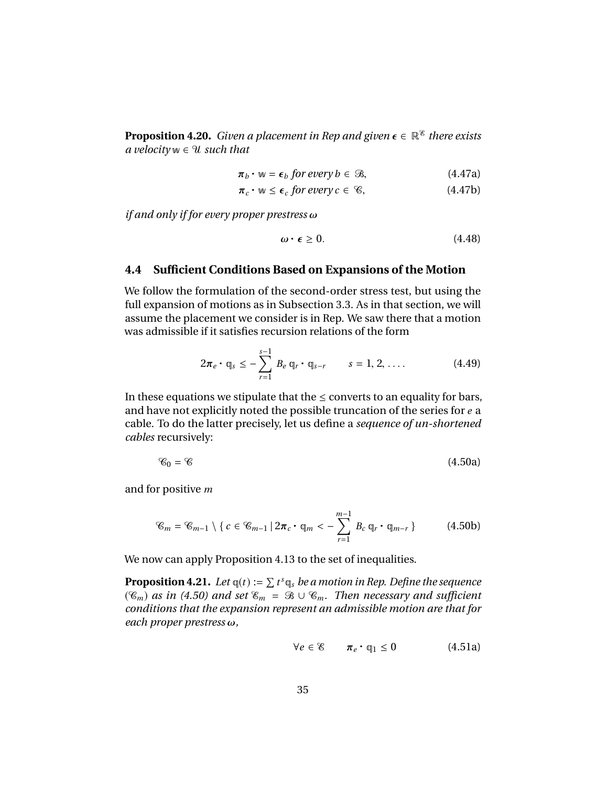**Proposition 4.20.** *Given a placement in Rep and given*  $\epsilon \in \mathbb{R}^8$  *there exists a velocity* w ∈ U*such that*

$$
\pi_b \cdot w = \epsilon_b \text{ for every } b \in \mathcal{B}, \tag{4.47a}
$$

$$
\pi_c \cdot w \le \epsilon_c \text{ for every } c \in \mathcal{C}, \qquad (4.47b)
$$

*if and only if for every proper prestress* ω

$$
\omega \cdot \epsilon \ge 0. \tag{4.48}
$$

#### **4.4 Sufficient Conditions Based on Expansions of the Motion**

We follow the formulation of the second-order stress test, but using the full expansion of motions as in Subsection 3.3. As in that section, we will assume the placement we consider is in Rep. We saw there that a motion was admissible if it satisfies recursion relations of the form

$$
2\pi_e \cdot q_s \leq -\sum_{r=1}^{s-1} B_e q_r \cdot q_{s-r} \qquad s = 1, 2, .... \qquad (4.49)
$$

In these equations we stipulate that the  $\leq$  converts to an equality for bars, and have not explicitly noted the possible truncation of the series for *e* a cable. To do the latter precisely, let us define a *sequence of un-shortened cables* recursively:

$$
\mathcal{C}_0 = \mathcal{C} \tag{4.50a}
$$

and for positive *m*

$$
\mathcal{C}_m = \mathcal{C}_{m-1} \setminus \{c \in \mathcal{C}_{m-1} \mid 2\pi_c \cdot \mathbf{q}_m < -\sum_{r=1}^{m-1} B_c \mathbf{q}_r \cdot \mathbf{q}_{m-r}\} \tag{4.50b}
$$

We now can apply Proposition 4.13 to the set of inequalities.

**Proposition 4.21.** Let  $q(t) := \sum t^s q_s$  be a motion in Rep. Define the sequence  $(\mathscr{C}_m)$  *as in (4.50) and set*  $\mathscr{C}_m = \mathscr{B} \cup \mathscr{C}_m$ *. Then necessary and sufficient conditions that the expansion represent an admissible motion are that for each proper prestress* ω*,*

$$
\forall e \in \mathscr{E} \qquad \pi_e \cdot \mathbb{q}_1 \le 0 \tag{4.51a}
$$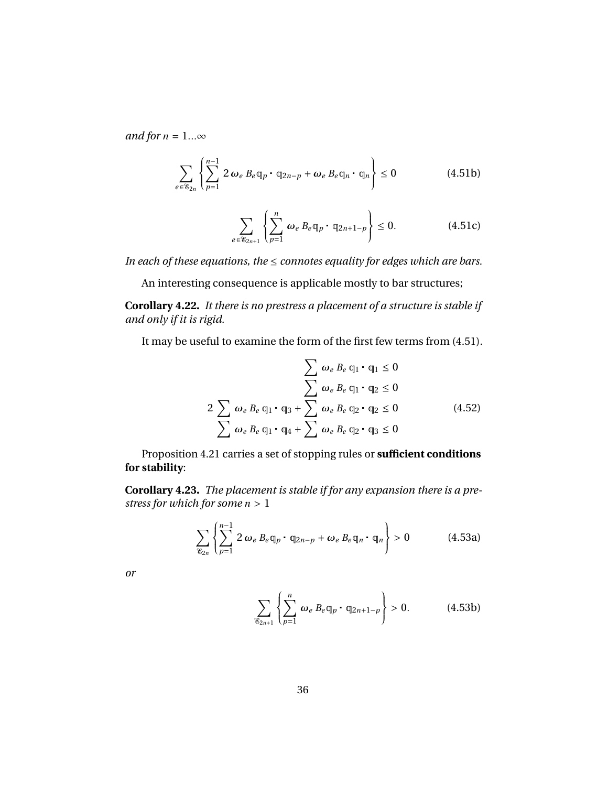*and for*  $n = 1... \infty$ 

$$
\sum_{e \in \mathcal{E}_{2n}} \left\{ \sum_{p=1}^{n-1} 2 \omega_e B_e \mathbb{q}_p \cdot \mathbb{q}_{2n-p} + \omega_e B_e \mathbb{q}_n \cdot \mathbb{q}_n \right\} \le 0 \tag{4.51b}
$$

$$
\sum_{e \in \mathcal{E}_{2n+1}} \left\{ \sum_{p=1}^{n} \omega_e B_e \mathbb{q}_p \cdot \mathbb{q}_{2n+1-p} \right\} \le 0. \tag{4.51c}
$$

*In each of these equations, the* ≤ *connotes equality for edges which are bars.* 

An interesting consequence is applicable mostly to bar structures;

**Corollary 4.22.** *It there is no prestress a placement of a structure is stable if and only if it is rigid.*

It may be useful to examine the form of the first few terms from (4.51).

$$
\sum \omega_e B_e q_1 \cdot q_1 \le 0
$$
\n
$$
\sum \omega_e B_e q_1 \cdot q_2 \le 0
$$
\n
$$
2 \sum \omega_e B_e q_1 \cdot q_3 + \sum \omega_e B_e q_2 \cdot q_2 \le 0
$$
\n
$$
\sum \omega_e B_e q_1 \cdot q_4 + \sum \omega_e B_e q_2 \cdot q_3 \le 0
$$
\n(4.52)

Proposition 4.21 carries a set of stopping rules or **sufficient conditions for stability**:

**Corollary 4.23.** *The placement is stable if for any expansion there is a prestress for which for some <sup>n</sup>* > <sup>1</sup>

$$
\sum_{\mathcal{E}_{2n}} \left\{ \sum_{p=1}^{n-1} 2 \omega_e B_e \mathbb{q}_p \cdot \mathbb{q}_{2n-p} + \omega_e B_e \mathbb{q}_n \cdot \mathbb{q}_n \right\} > 0 \tag{4.53a}
$$

*or*

$$
\sum_{\mathcal{E}_{2n+1}} \left\{ \sum_{p=1}^n \omega_e B_e \mathfrak{q}_p \cdot \mathfrak{q}_{2n+1-p} \right\} > 0. \tag{4.53b}
$$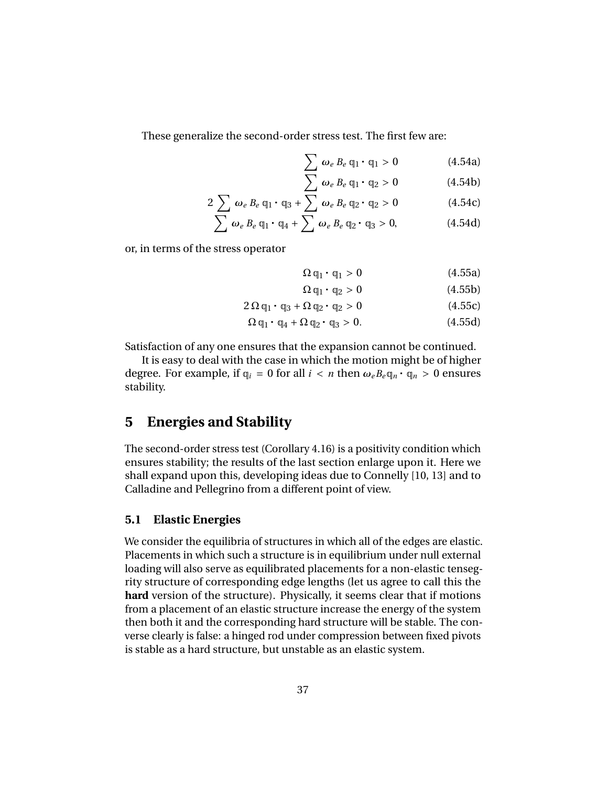These generalize the second-order stress test. The first few are:

$$
\sum_{\mathbf{N}} \omega_e B_e \mathbf{q}_1 \cdot \mathbf{q}_1 > 0 \tag{4.54a}
$$

$$
\sum_{\alpha} \omega_e B_e \mathbf{q}_1 \cdot \mathbf{q}_2 > 0 \tag{4.54b}
$$
\n
$$
\sum_{\alpha} \omega_e B_e \mathbf{q}_2 \cdot \mathbf{q}_2 > 0 \tag{4.54c}
$$

$$
2\sum \omega_e B_e q_1 \cdot q_3 + \sum \omega_e B_e q_2 \cdot q_2 > 0 \qquad (4.54c)
$$
  

$$
\sum \omega_e B_e q_1 \cdot q_4 + \sum \omega_e B_e q_2 \cdot q_3 > 0, \qquad (4.54d)
$$

or, in terms of the stress operator

$$
\Omega \mathfrak{q}_1 \cdot \mathfrak{q}_1 > 0 \tag{4.55a}
$$

$$
\Omega \mathfrak{q}_1 \cdot \mathfrak{q}_2 > 0 \tag{4.55b}
$$

$$
2\Omega \mathfrak{q}_1 \cdot \mathfrak{q}_3 + \Omega \mathfrak{q}_2 \cdot \mathfrak{q}_2 > 0 \qquad (4.55c)
$$

$$
\Omega \mathbb{q}_1 \cdot \mathbb{q}_4 + \Omega \mathbb{q}_2 \cdot \mathbb{q}_3 > 0. \tag{4.55d}
$$

Satisfaction of any one ensures that the expansion cannot be continued.

It is easy to deal with the case in which the motion might be of higher degree. For example, if  $q_i = 0$  for all  $i < n$  then  $\omega_e B_e q_n \cdot q_n > 0$  ensures stability.

# **5 Energies and Stability**

The second-order stress test (Corollary 4.16) is a positivity condition which ensures stability; the results of the last section enlarge upon it. Here we shall expand upon this, developing ideas due to Connelly [10, 13] and to Calladine and Pellegrino from a different point of view.

#### **5.1 Elastic Energies**

We consider the equilibria of structures in which all of the edges are elastic. Placements in which such a structure is in equilibrium under null external loading will also serve as equilibrated placements for a non-elastic tensegrity structure of corresponding edge lengths (let us agree to call this the **hard** version of the structure). Physically, it seems clear that if motions from a placement of an elastic structure increase the energy of the system then both it and the corresponding hard structure will be stable. The converse clearly is false: a hinged rod under compression between fixed pivots is stable as a hard structure, but unstable as an elastic system.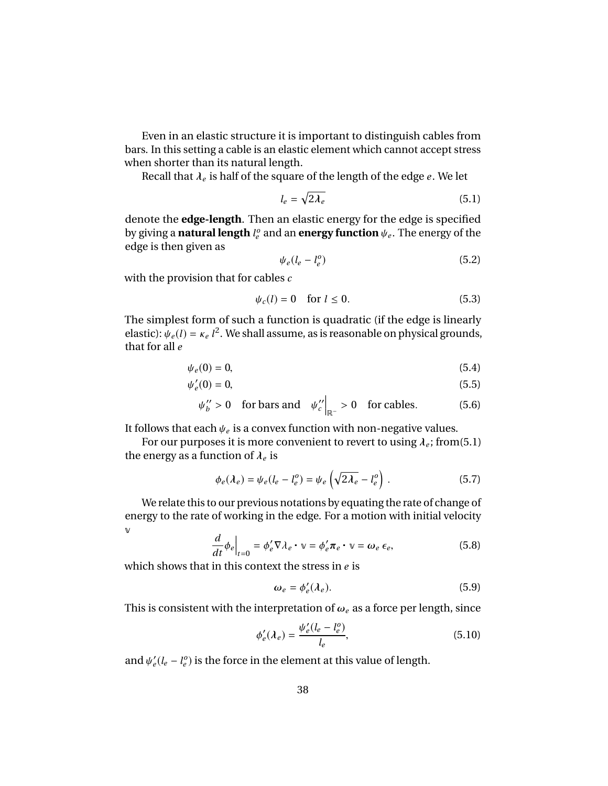Even in an elastic structure it is important to distinguish cables from bars. In this setting a cable is an elastic element which cannot accept stress when shorter than its natural length.

Recall that  $\lambda_e$  is half of the square of the length of the edge  $e$  . We let

$$
l_e = \sqrt{2\lambda_e} \tag{5.1}
$$

denote the **edge-length**. Then an elastic energy for the edge is specified by giving a **natural length**  $l_e^o$  and an **energy function**  $\psi_e$ . The energy of the edge is then given as edge is then given as

$$
\psi_e(l_e - l_e^o) \tag{5.2}
$$

with the provision that for cables *c*

$$
\psi_c(l) = 0 \quad \text{for } l \le 0. \tag{5.3}
$$

The simplest form of such a function is quadratic (if the edge is linearly elastic):  $\psi_e(l) = \kappa_e l^2$ . We shall assume, as is reasonable on physical grounds, that for all *e*

$$
\psi_e(0) = 0,\tag{5.4}
$$

$$
\psi_e'(0) = 0,\tag{5.5}
$$

$$
\psi''_b > 0
$$
 for bars and  $\psi''_{c'}|_{\mathbb{R}^-} > 0$  for cables. (5.6)

It follows that each  $\psi_e$  is a convex function with non-negative values.<br>For our purposes it is more convenient to revert to using  $\lambda$  ; from

For our purposes it is more convenient to revert to using  $\lambda_e$ ; from(5.1) energy as a function of  $\lambda$  is the energy as a function of  $\lambda_e$  is

$$
\phi_e(\lambda_e) = \psi_e(l_e - l_e^o) = \psi_e \left( \sqrt{2\lambda_e} - l_e^o \right) . \tag{5.7}
$$

We relate this to our previous notations by equating the rate of change of energy to the rate of working in the edge. For a motion with initial velocity v

$$
\frac{d}{dt}\phi_e\Big|_{t=0} = \phi'_e \nabla \lambda_e \cdot \mathbf{v} = \phi'_e \pi_e \cdot \mathbf{v} = \omega_e \,\epsilon_e,\tag{5.8}
$$

which shows that in this context the stress in *e* is

$$
\omega_e = \phi'_e(\lambda_e). \tag{5.9}
$$

This is consistent with the interpretation of  $\omega_e$  as a force per length, since

$$
\phi_e'(\lambda_e) = \frac{\psi_e'(l_e - l_e^o)}{l_e},
$$
\n(5.10)

and  $\psi'_e(l_e - l_e^o)$  is the force in the element at this value of length.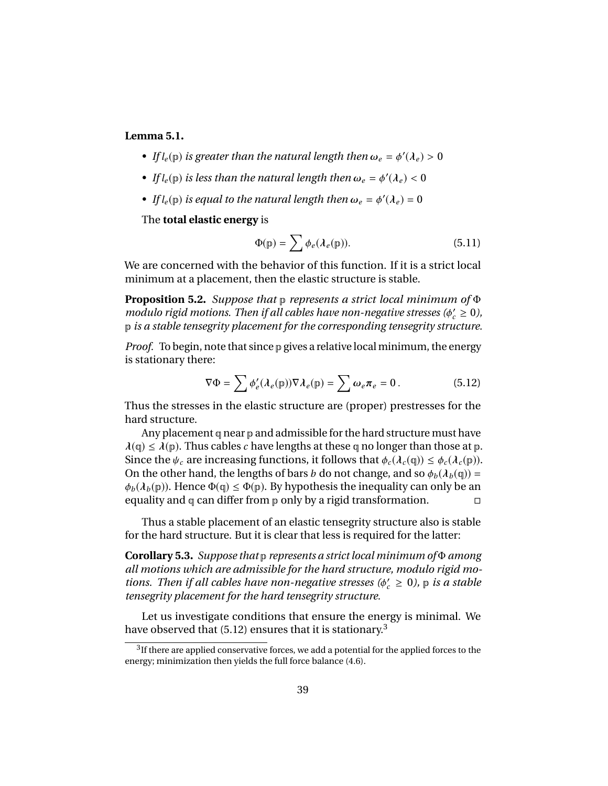#### **Lemma 5.1.**

- *If*  $l_e(\mathbf{p})$  *is greater than the natural length then*  $\omega_e = \phi'(\lambda_e) > 0$
- *If*  $l_e(\mathbf{p})$  *is less than the natural length then*  $\omega_e = \phi'(\lambda_e) < 0$
- *If*  $l_e(\mathbf{p})$  *is equal to the natural length then*  $\omega_e = \phi'(\lambda_e) = 0$

The **total elastic energy** is

$$
\Phi(\mathbf{p}) = \sum \phi_e(\lambda_e(\mathbf{p})). \tag{5.11}
$$

We are concerned with the behavior of this function. If it is a strict local minimum at a placement, then the elastic structure is stable.

**Proposition 5.2.** *Suppose that* p *represents a strict local minimum of* Φ *modulo rigid motions. Then if all cables have non-negative stresses (* $\phi_c' \geq 0$ *),*<br>p is a stable tensegrity placement for the corresponding tensegrity structure p *is a stable tensegrity placement for the corresponding tensegrity structure.*

*Proof.* To begin, note that since p gives a relative local minimum, the energy is stationary there:

$$
\nabla \Phi = \sum \phi'_e(\lambda_e(\mathbf{p})) \nabla \lambda_e(\mathbf{p}) = \sum \omega_e \pi_e = 0.
$$
 (5.12)

Thus the stresses in the elastic structure are (proper) prestresses for the hard structure.

Any placement q near p and admissible for the hard structure must have  $\lambda(q) \leq \lambda(p)$ . Thus cables *c* have lengths at these q no longer than those at p. Since the  $\psi_c$  are increasing functions, it follows that  $\phi_c(\lambda_c(\mathfrak{q})) \leq \phi_c(\lambda_c(\mathfrak{p}))$ . On the other hand, the lengths of bars *b* do not change, and so  $\phi_b(\lambda_b(q))$  =  $\phi_b(\lambda_b(p))$ . Hence  $\Phi(q) \leq \Phi(p)$ . By hypothesis the inequality can only be an equality and q can differ from p only by a rigid transformation.

Thus a stable placement of an elastic tensegrity structure also is stable for the hard structure. But it is clear that less is required for the latter:

**Corollary 5.3.** *Suppose that* p *represents a strict local minimum of* Φ *among all motions which are admissible for the hard structure, modulo rigid motions. Then if all cables have non-negative stresses* ( $\phi'_c \geq 0$ ),  $\phi$  *is a stable*<br>*tensegrity placement for the hard tensegrity structure tensegrity placement for the hard tensegrity structure.*

Let us investigate conditions that ensure the energy is minimal. We have observed that (5.12) ensures that it is stationary.<sup>3</sup>

 $3$ If there are applied conservative forces, we add a potential for the applied forces to the energy; minimization then yields the full force balance (4.6).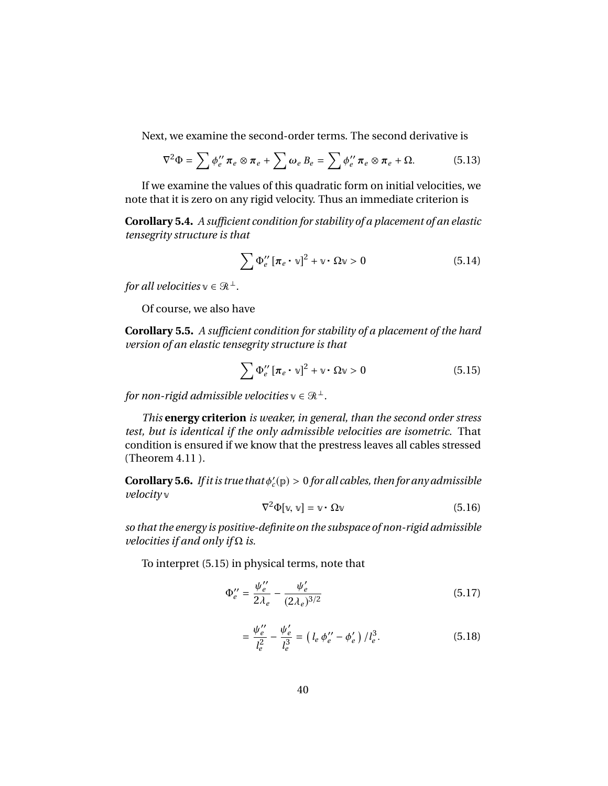Next, we examine the second-order terms. The second derivative is

$$
\nabla^2 \Phi = \sum \phi_e^{\prime\prime} \pi_e \otimes \pi_e + \sum \omega_e B_e = \sum \phi_e^{\prime\prime} \pi_e \otimes \pi_e + \Omega. \tag{5.13}
$$

If we examine the values of this quadratic form on initial velocities, we note that it is zero on any rigid velocity. Thus an immediate criterion is

**Corollary 5.4.** *A sufficient condition for stability of a placement of an elastic tensegrity structure is that*

$$
\sum \Phi_e^{\prime\prime} \left[ \pi_e \cdot \mathbf{v} \right]^2 + \mathbf{v} \cdot \Omega \mathbf{v} > 0 \tag{5.14}
$$

*for all velocities*  $v \in \mathbb{R}^{\perp}$ *.* 

Of course, we also have

**Corollary 5.5.** *A sufficient condition for stability of a placement of the hard version of an elastic tensegrity structure is that*

$$
\sum \Phi_e^{\prime\prime} \left[ \pi_e \cdot \mathbf{v} \right]^2 + \mathbf{v} \cdot \Omega \mathbf{v} > 0 \tag{5.15}
$$

*for non-rigid admissible velocities*  $v \in \mathbb{R}^{\perp}$ *.* 

*This* **energy criterion** *is weaker, in general, than the second order stress test, but is identical if the only admissible velocities are isometric.* That condition is ensured if we know that the prestress leaves all cables stressed (Theorem 4.11 ).

**Corollary 5.6.** *If it is true that*  $\phi'_c(\mathbf{p}) > 0$  *for all cables, then for any admissible velocity* v

$$
\nabla^2 \Phi[\mathbf{v}, \mathbf{v}] = \mathbf{v} \cdot \Omega \mathbf{v} \tag{5.16}
$$

*so that the energy is positive-definite on the subspace of non-rigid admissible velocities if and only if* Ω *is.*

To interpret (5.15) in physical terms, note that

$$
\Phi_e'' = \frac{\psi_e''}{2\lambda_e} - \frac{\psi_e'}{(2\lambda_e)^{3/2}}\tag{5.17}
$$

$$
= \frac{\psi_e^{\prime\prime}}{l_e^2} - \frac{\psi_e^{\prime}}{l_e^3} = \left(l_e \, \phi_e^{\prime\prime} - \phi_e^{\prime}\right) / l_e^3. \tag{5.18}
$$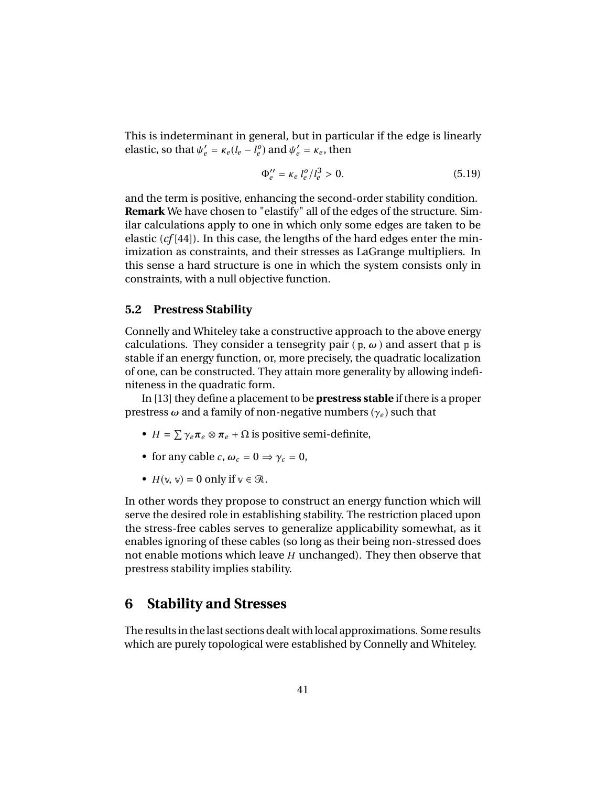This is indeterminant in general, but in particular if the edge is linearly elastic, so that  $\psi'_e = \kappa_e (l_e - l_e^o)$  and  $\psi'_e = \kappa_e$ , then

$$
\Phi_e'' = \kappa_e l_e^o / l_e^3 > 0. \tag{5.19}
$$

and the term is positive, enhancing the second-order stability condition. **Remark** We have chosen to "elastify" all of the edges of the structure. Similar calculations apply to one in which only some edges are taken to be elastic (*cf* [44]). In this case, the lengths of the hard edges enter the minimization as constraints, and their stresses as LaGrange multipliers. In this sense a hard structure is one in which the system consists only in constraints, with a null objective function.

#### **5.2 Prestress Stability**

Connelly and Whiteley take a constructive approach to the above energy calculations. They consider a tensegrity pair ( $\mathbf{p}, \boldsymbol{\omega}$ ) and assert that  $\mathbf{p}$  is stable if an energy function, or, more precisely, the quadratic localization of one, can be constructed. They attain more generality by allowing indefiniteness in the quadratic form.

In [13] they define a placement to be **prestress stable** if there is a proper prestress  $ω$  and a family of non-negative numbers ( $γ<sub>e</sub>$ ) such that

- $H = \sum \gamma_e \pi_e \otimes \pi_e + \Omega$  is positive semi-definite,
- for any cable *c*,  $\omega_c = 0 \Rightarrow \gamma_c = 0$ ,
- $H(\mathbb{V}, \mathbb{V}) = 0$  only if  $\mathbb{V} \in \mathcal{R}$ .

In other words they propose to construct an energy function which will serve the desired role in establishing stability. The restriction placed upon the stress-free cables serves to generalize applicability somewhat, as it enables ignoring of these cables (so long as their being non-stressed does not enable motions which leave *H* unchanged). They then observe that prestress stability implies stability.

### **6 Stability and Stresses**

The results in the last sections dealt with local approximations. Some results which are purely topological were established by Connelly and Whiteley.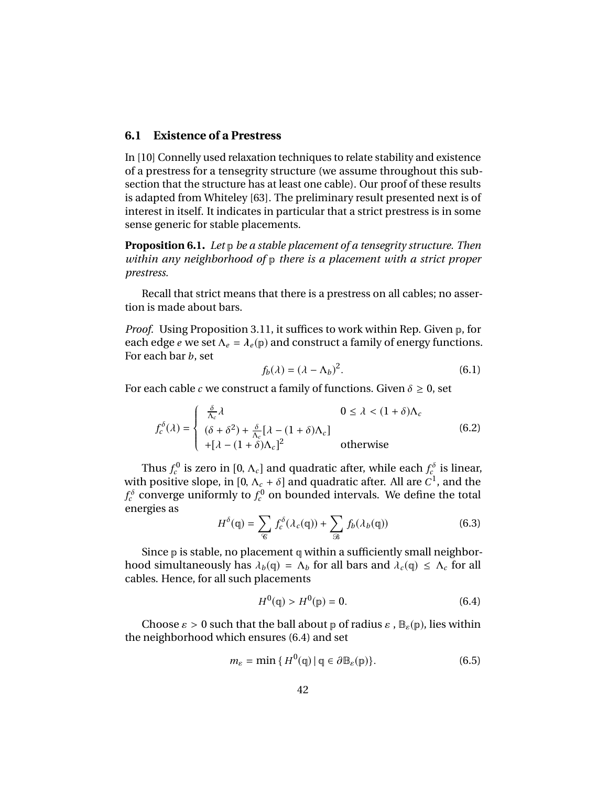#### **6.1 Existence of a Prestress**

In [10] Connelly used relaxation techniques to relate stability and existence of a prestress for a tensegrity structure (we assume throughout this subsection that the structure has at least one cable). Our proof of these results is adapted from Whiteley [63]. The preliminary result presented next is of interest in itself. It indicates in particular that a strict prestress is in some sense generic for stable placements.

**Proposition 6.1.** *Let* p *be a stable placement of a tensegrity structure. Then within any neighborhood of* p *there is a placement with a strict proper prestress.*

Recall that strict means that there is a prestress on all cables; no assertion is made about bars.

*Proof.* Using Proposition 3.11, it suffices to work within Rep. Given p, for each edge *e* we set  $\Lambda_e = \lambda_e(p)$  and construct a family of energy functions. For each bar *b*, set

$$
f_b(\lambda) = (\lambda - \Lambda_b)^2.
$$
 (6.1)

For each cable *c* we construct a family of functions. Given  $\delta \geq 0$ , set

$$
f_c^{\delta}(\lambda) = \begin{cases} \frac{\delta}{\Lambda_c} \lambda & 0 \le \lambda < (1 + \delta)\Lambda_c \\ (\delta + \delta^2) + \frac{\delta}{\Lambda_c} [\lambda - (1 + \delta)\Lambda_c] \\ + [\lambda - (1 + \delta)\Lambda_c]^2 & \text{otherwise} \end{cases}
$$
(6.2)

Thus  $f_c^0$  is zero in  $[0, \Lambda_c]$  and quadratic after, while each  $f_c^{\delta}$  is linear, hencefixes alone in  $[0, \Lambda_c + \delta]$  and quadratic after All are  $C^1$  and the with positive slope, in  $[0, \Lambda_c + \delta]$  and quadratic after. All are  $C^1$ , and the  $f^{\delta}$  converge uniformly to  $f^0$  on bounded intervals. We define the total  $f_c^{\delta}$  converge uniformly to  $f_c^0$  on bounded intervals. We define the total energies as

$$
H^{\delta}(\mathbf{q}) = \sum_{\mathcal{C}} f_c^{\delta}(\lambda_c(\mathbf{q})) + \sum_{\mathcal{B}} f_b(\lambda_b(\mathbf{q})) \tag{6.3}
$$

Since  $p$  is stable, no placement  $q$  within a sufficiently small neighborhood simultaneously has  $\lambda_b(q) = \Lambda_b$  for all bars and  $\lambda_c(q) \leq \Lambda_c$  for all cables. Hence, for all such placements

$$
H^{0}(\mathfrak{q}) > H^{0}(\mathfrak{p}) = 0.
$$
 (6.4)

Choose  $\varepsilon > 0$  such that the ball about p of radius  $\varepsilon$ ,  $\mathbb{B}_{\varepsilon}(\mathbb{p})$ , lies within the neighborhood which ensures (6.4) and set

$$
m_{\varepsilon} = \min \{ H^{0}(\mathfrak{q}) \, | \, \mathfrak{q} \in \partial \mathbb{B}_{\varepsilon}(\mathfrak{p}) \}. \tag{6.5}
$$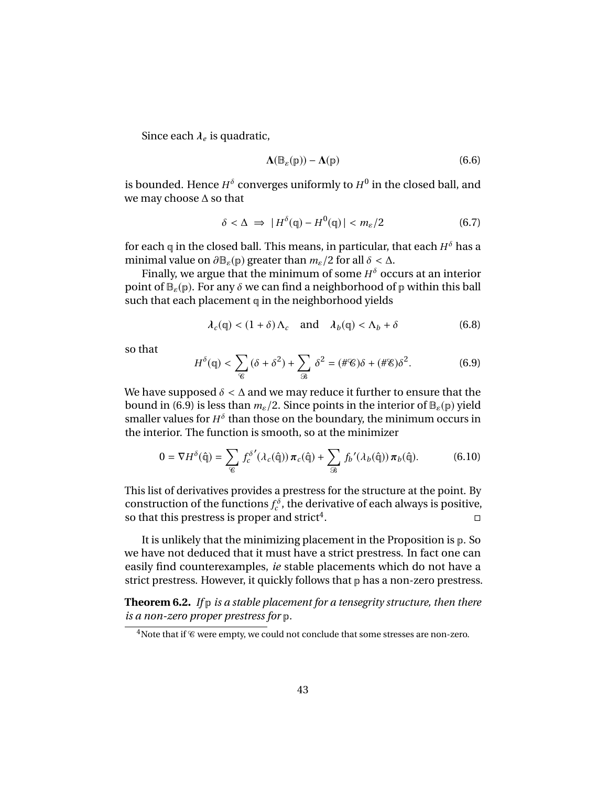Since each  $\lambda_e$  is quadratic,

$$
\Lambda(\mathbb{B}_{\varepsilon}(\mathbb{p})) - \Lambda(\mathbb{p}) \tag{6.6}
$$

is bounded. Hence  $H^\delta$  converges uniformly to  $H^0$  in the closed ball, and we may choose ∆ so that

$$
\delta < \Delta \implies |H^{\delta}(\mathbf{q}) - H^0(\mathbf{q})| < m_{\varepsilon}/2 \tag{6.7}
$$

for each  $\boldsymbol{\mathfrak{q}}$  in the closed ball. This means, in particular, that each  $H^{\mathfrak{d}}$  has a minimal value on  $\partial \mathbb{B}_{\varepsilon}(p)$  greater than  $m_{\varepsilon}/2$  for all  $\delta < \Delta$ .

Finally, we argue that the minimum of some *H* <sup>δ</sup> occurs at an interior point of  $\mathbb{B}_{\varepsilon}(\mathbb{p})$ . For any  $\delta$  we can find a neighborhood of  $\mathbb{p}$  within this ball such that each placement  $q$  in the neighborhood yields

$$
\lambda_c(\mathbf{q}) < (1+\delta)\Lambda_c \quad \text{and} \quad \lambda_b(\mathbf{q}) < \Lambda_b + \delta \tag{6.8}
$$

so that

$$
H^{\delta}(\mathfrak{q}) < \sum_{\mathcal{C}} \left( \delta + \delta^2 \right) + \sum_{\mathcal{B}} \delta^2 = (\# \mathcal{C})\delta + (\# \mathcal{E})\delta^2. \tag{6.9}
$$

We have supposed  $\delta < \Delta$  and we may reduce it further to ensure that the bound in (6.9) is less than  $m_{\varepsilon}/2$ . Since points in the interior of  $\mathbb{B}_{\varepsilon}(\mathbb{p})$  yield smaller values for  $H^{\delta}$  than those on the boundary, the minimum occurs in the interior. The function is smooth, so at the minimizer

$$
0 = \nabla H^{\delta}(\hat{\mathbf{q}}) = \sum_{\mathcal{C}} f_c^{\delta'}(\lambda_c(\hat{\mathbf{q}})) \pi_c(\hat{\mathbf{q}}) + \sum_{\mathcal{B}} f_b'(\lambda_b(\hat{\mathbf{q}})) \pi_b(\hat{\mathbf{q}}).
$$
(6.10)

This list of derivatives provides a prestress for the structure at the point. By construction of the functions  $f_c^{\delta}$ , the derivative of each always is positive, so that this prestress is proper and strict<sup>4</sup>. . В последните последните поделение и последните поделение и последните поделение и последните поделение и по<br>В последните поделение и последните поделение и поделение и поделение и поделение и поделение и поделение и по

It is unlikely that the minimizing placement in the Proposition is p. So we have not deduced that it must have a strict prestress. In fact one can easily find counterexamples, *ie* stable placements which do not have a strict prestress. However, it quickly follows that  $p$  has a non-zero prestress.

**Theorem 6.2.** *If* p *is a stable placement for a tensegrity structure, then there is a non-zero proper prestress for* p*.*

 $4$ Note that if  $\mathscr C$  were empty, we could not conclude that some stresses are non-zero.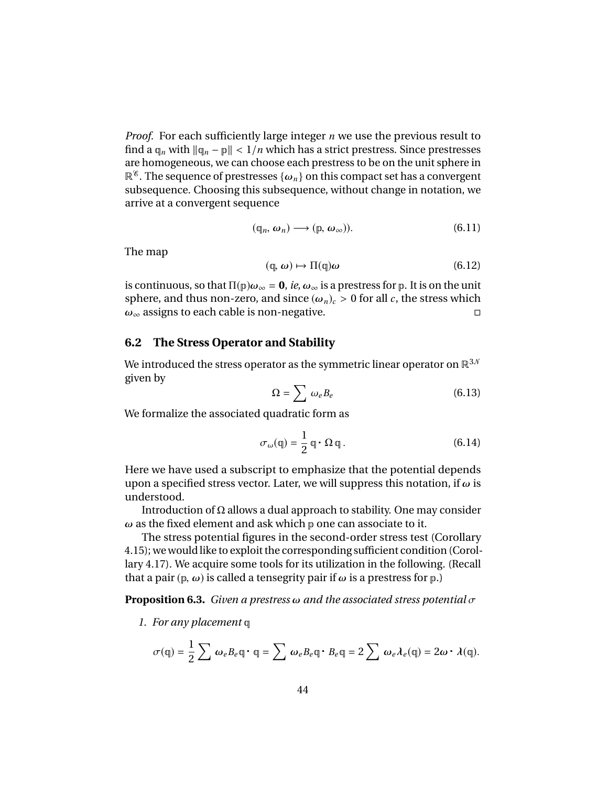*Proof.* For each sufficiently large integer *n* we use the previous result to find a  $\varphi_n$  with  $\|\varphi_n - p\| < 1/n$  which has a strict prestress. Since prestresses are homogeneous, we can choose each prestress to be on the unit sphere in  $\mathbb{R}^8$ . The sequence of prestresses  $\{\omega_n\}$  on this compact set has a convergent subsequence. Choosing this subsequence, without change in notation, we arrive at a convergent sequence

$$
(\mathbf{q}_n, \omega_n) \longrightarrow (\mathbf{p}, \omega_\infty)). \tag{6.11}
$$

The map

$$
(\mathbf{q}, \omega) \mapsto \Pi(\mathbf{q})\omega \tag{6.12}
$$

is continuous, so that  $\Pi(\mathbf{p})\omega_{\infty} = \mathbf{0}$ , *ie*,  $\omega_{\infty}$  is a prestress for  $\mathbf{p}$ . It is on the unit sphere, and thus non-zero, and since  $(\omega_n)_c > 0$  for all *c*, the stress which  $\omega_{\infty}$  assigns to each cable is non-negative.  $\omega_{\infty}$  assigns to each cable is non-negative.

#### **6.2 The Stress Operator and Stability**

We introduced the stress operator as the symmetric linear operator on  $\mathbb{R}^{3,N}$ given by

$$
\Omega = \sum \omega_e B_e \tag{6.13}
$$

We formalize the associated quadratic form as

$$
\sigma_{\omega}(\mathbf{q}) = \frac{1}{2} \mathbf{q} \cdot \Omega \mathbf{q}.
$$
 (6.14)

Here we have used a subscript to emphasize that the potential depends upon a specified stress vector. Later, we will suppress this notation, if  $\omega$  is understood.

Introduction of  $\Omega$  allows a dual approach to stability. One may consider  $\omega$  as the fixed element and ask which p one can associate to it.

The stress potential figures in the second-order stress test (Corollary 4.15); we would like to exploit the corresponding sufficient condition (Corollary 4.17). We acquire some tools for its utilization in the following. (Recall that a pair ( $p, \omega$ ) is called a tensegrity pair if  $\omega$  is a prestress for  $p$ .)

**Proposition 6.3.** *Given a prestress* ω *and the associated stress potential* σ

*1. For any placement* q

$$
\sigma(\mathbf{q}) = \frac{1}{2} \sum \omega_e B_e \mathbf{q} \cdot \mathbf{q} = \sum \omega_e B_e \mathbf{q} \cdot B_e \mathbf{q} = 2 \sum \omega_e \lambda_e(\mathbf{q}) = 2\omega \cdot \lambda(\mathbf{q}).
$$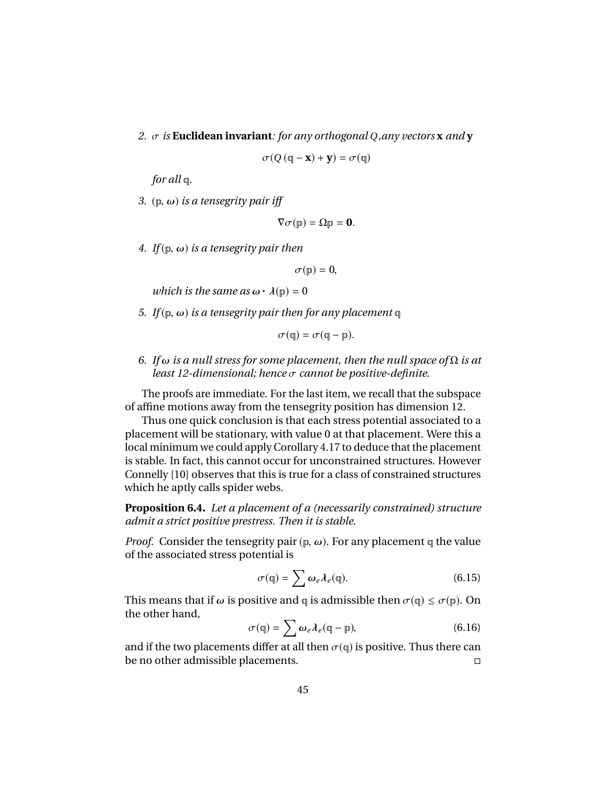*2.* σ *is* **Euclidean invariant***: for any orthogonal <sup>Q</sup>,any vectors* **<sup>x</sup>** *and* **<sup>y</sup>**

$$
\sigma(Q(\mathbf{q} - \mathbf{x}) + \mathbf{y}) = \sigma(\mathbf{q})
$$

*for all* q*.*

*3.* ( $\infty$ *) is a tensegrity pair iff* 

$$
\nabla \sigma(\mathbf{p}) = \Omega \mathbf{p} = \mathbf{0}.
$$

*4. If*( $p, \omega$ ) *is a tensegrity pair then* 

$$
\sigma(\mathbf{p})=0,
$$

*which is the same as*  $\omega \cdot \lambda(p) = 0$ 

*5. If* ( $\mathfrak{p}, \omega$ ) *is a tensegrity pair then for any placement*  $\mathfrak{q}$ 

$$
\sigma(\mathfrak{q})=\sigma(\mathfrak{q}-\mathfrak{p}).
$$

*6. If* ω *is a null stress for some placement, then the null space of* <sup>Ω</sup> *is at least 12-dimensional; hence* σ *cannot be positive-definite.*

The proofs are immediate. For the last item, we recall that the subspace of affine motions away from the tensegrity position has dimension 12.

Thus one quick conclusion is that each stress potential associated to a placement will be stationary, with value 0 at that placement. Were this a local minimum we could apply Corollary 4.17 to deduce that the placement is stable. In fact, this cannot occur for unconstrained structures. However Connelly [10] observes that this is true for a class of constrained structures which he aptly calls spider webs.

**Proposition 6.4.** *Let a placement of a (necessarily constrained) structure admit a strict positive prestress. Then it is stable.*

*Proof.* Consider the tensegrity pair ( $\mathbf{p}, \omega$ ). For any placement  $\mathbf{q}$  the value of the associated stress potential is

$$
\sigma(\mathbf{q}) = \sum \omega_e \lambda_e(\mathbf{q}). \tag{6.15}
$$

This means that if  $\omega$  is positive and q is admissible then  $\sigma(q) \le \sigma(p)$ . On the other hand,

$$
\sigma(\mathbf{q}) = \sum \omega_e \lambda_e(\mathbf{q} - \mathbf{p}), \qquad (6.16)
$$

and if the two placements differ at all then  $\sigma(q)$  is positive. Thus there can be no other admissible placements. be no other admissible placements.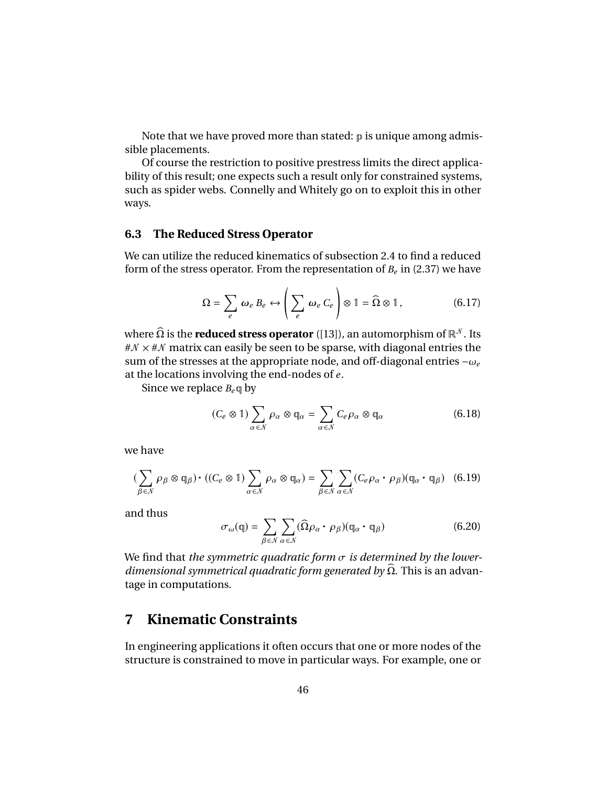Note that we have proved more than stated:  $\mathbf p$  is unique among admissible placements.

Of course the restriction to positive prestress limits the direct applicability of this result; one expects such a result only for constrained systems, such as spider webs. Connelly and Whitely go on to exploit this in other ways.

#### **6.3 The Reduced Stress Operator**

We can utilize the reduced kinematics of subsection 2.4 to find a reduced form of the stress operator. From the representation of  $B_e$  in (2.37) we have

$$
\Omega = \sum_{e} \omega_e B_e \leftrightarrow \left(\sum_{e} \omega_e C_e\right) \otimes 1 = \widehat{\Omega} \otimes 1, \qquad (6.17)
$$

where  $\widehat{\Omega}$  is the **reduced stress operator** ([13]), an automorphism of  $\mathbb{R}^N$ . Its  $\#N \times \#N$  matrix can easily be seen to be sparse, with diagonal entries the sum of the stresses at the appropriate node, and off-diagonal entries <sup>−</sup>ω*<sup>e</sup>* at the locations involving the end-nodes of *e* .

Since we replace  $B_e \mathfrak{q}$  by

$$
(C_e \otimes 1) \sum_{\alpha \in \mathcal{N}} \rho_\alpha \otimes \mathbb{q}_\alpha = \sum_{\alpha \in \mathcal{N}} C_e \rho_\alpha \otimes \mathbb{q}_\alpha \tag{6.18}
$$

we have

$$
\left(\sum_{\beta \in \mathcal{N}} \rho_{\beta} \otimes \mathfrak{q}_{\beta}\right) \cdot \left((C_e \otimes 1)\sum_{\alpha \in \mathcal{N}} \rho_{\alpha} \otimes \mathfrak{q}_{\alpha}\right) = \sum_{\beta \in \mathcal{N}} \sum_{\alpha \in \mathcal{N}} (C_e \rho_{\alpha} \cdot \rho_{\beta})(\mathfrak{q}_{\alpha} \cdot \mathfrak{q}_{\beta}) \quad (6.19)
$$

and thus

$$
\sigma_{\omega}(\mathbf{q}) = \sum_{\beta \in \mathcal{N}} \sum_{\alpha \in \mathcal{N}} (\widehat{\Omega} \rho_{\alpha} \cdot \rho_{\beta}) (\mathbf{q}_{\alpha} \cdot \mathbf{q}_{\beta})
$$
(6.20)

We find that *the symmetric quadratic form* σ *is determined by the lowerdimensional symmetrical quadratic form generated by*  $\Omega$ . This is an advantage in computations.

# **7 Kinematic Constraints**

In engineering applications it often occurs that one or more nodes of the structure is constrained to move in particular ways. For example, one or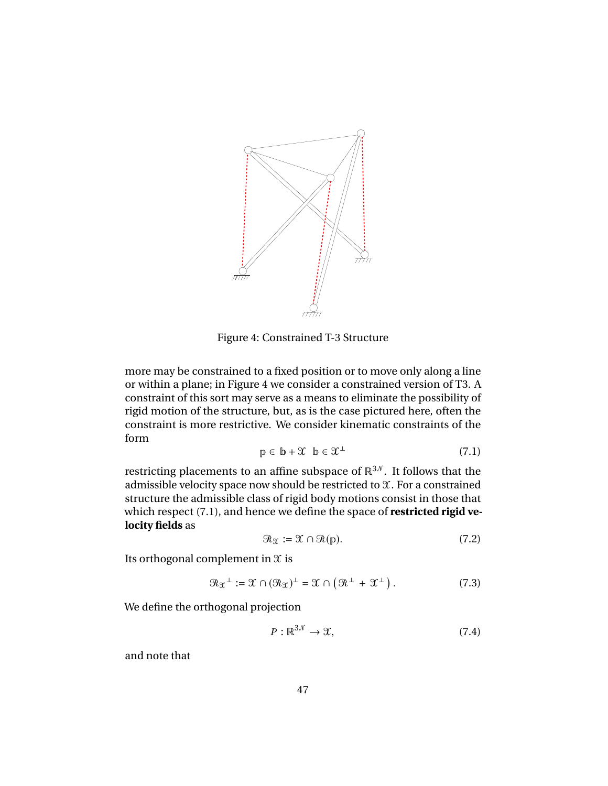

Figure 4: Constrained T-3 Structure

more may be constrained to a fixed position or to move only along a line or within a plane; in Figure 4 we consider a constrained version of T3. A constraint of this sort may serve as a means to eliminate the possibility of rigid motion of the structure, but, as is the case pictured here, often the constraint is more restrictive. We consider kinematic constraints of the form

$$
\mathbf{p} \in \mathbf{b} + \mathcal{X} \quad \mathbf{b} \in \mathcal{X}^{\perp} \tag{7.1}
$$

restricting placements to an affine subspace of  $\mathbb{R}^{3,0}$ . It follows that the admissible velocity space now should be restricted to  $\mathfrak{X}$ . For a constrained structure the admissible class of rigid body motions consist in those that which respect (7.1), and hence we define the space of **restricted rigid velocity fields** as

$$
\mathcal{R}_{\mathfrak{X}} := \mathfrak{X} \cap \mathcal{R}(\mathfrak{p}).\tag{7.2}
$$

Its orthogonal complement in  $\mathfrak X$  is

$$
\mathcal{R}_{\mathfrak{X}}^{\perp} := \mathfrak{X} \cap (\mathcal{R}_{\mathfrak{X}})^{\perp} = \mathfrak{X} \cap (\mathcal{R}^{\perp} + \mathfrak{X}^{\perp}). \tag{7.3}
$$

We define the orthogonal projection

$$
P: \mathbb{R}^{3N} \to \mathfrak{X},\tag{7.4}
$$

and note that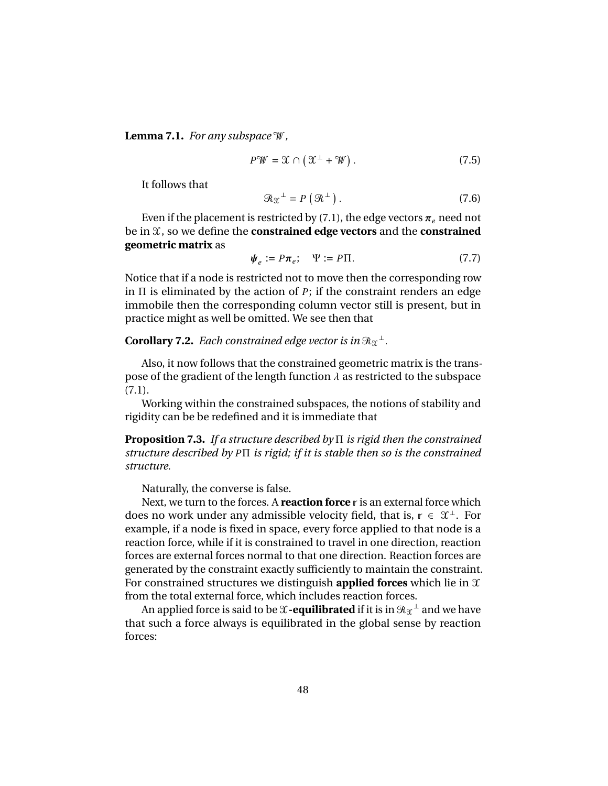**Lemma 7.1.** *For any subspace* W*,*

$$
P\mathscr{W} = \mathscr{X} \cap \left(\mathscr{X}^{\perp} + \mathscr{W}\right). \tag{7.5}
$$

It follows that

$$
\mathcal{R}_{\mathfrak{X}}^{\perp} = P\left(\mathcal{R}^{\perp}\right). \tag{7.6}
$$

Even if the placement is restricted by (7.1), the edge vectors  $\pi_e$  need not be in X, so we define the **constrained edge vectors** and the **constrained geometric matrix** as

$$
\Psi_e := P\pi_e; \quad \Psi := P\Pi. \tag{7.7}
$$

Notice that if a node is restricted not to move then the corresponding row in Π is eliminated by the action of *P*; if the constraint renders an edge immobile then the corresponding column vector still is present, but in practice might as well be omitted. We see then that

# **Corollary 7.2.** Each constrained edge vector is in  $\Re x^{\perp}$

Also, it now follows that the constrained geometric matrix is the transpose of the gradient of the length function  $\lambda$  as restricted to the subspace (7.1).

Working within the constrained subspaces, the notions of stability and rigidity can be be redefined and it is immediate that

**Proposition 7.3.** *If a structure described by* Π *is rigid then the constrained structure described by P*Π *is rigid; if it is stable then so is the constrained structure.*

Naturally, the converse is false.

Next, we turn to the forces. A **reaction force** r is an external force which does no work under any admissible velocity field, that is,  $r \in \mathcal{X}^{\perp}$ . For example, if a node is fixed in space, every force applied to that node is a reaction force, while if it is constrained to travel in one direction, reaction forces are external forces normal to that one direction. Reaction forces are generated by the constraint exactly sufficiently to maintain the constraint. For constrained structures we distinguish **applied forces** which lie in X from the total external force, which includes reaction forces.

An applied force is said to be  $\mathfrak X$  -<mark>equilibrated</mark> if it is in  $\mathcal R_{\mathfrak X}{}^\perp$  and we have that such a force always is equilibrated in the global sense by reaction forces: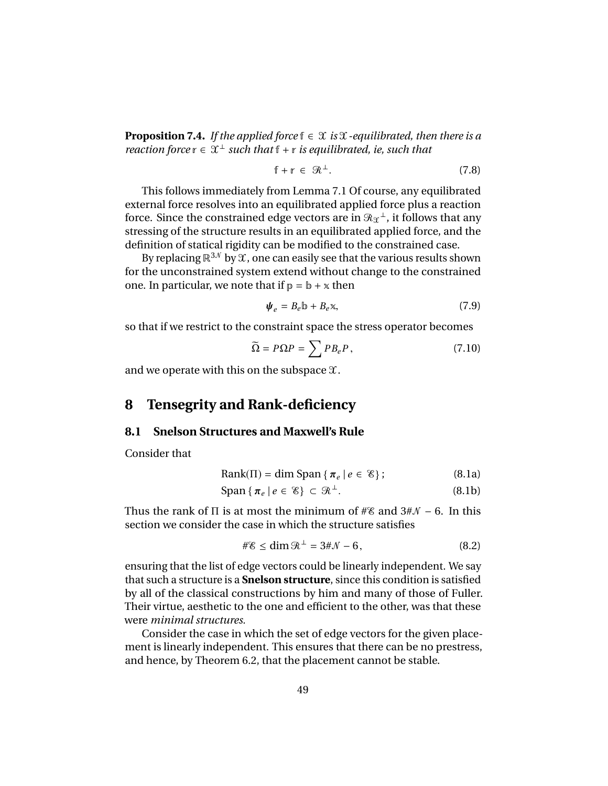**Proposition 7.4.** *If the applied force*  $f \in \mathcal{X}$  *is*  $\mathcal{X}$ *-equilibrated, then there is a reaction force*  $r \in \mathcal{X}^{\perp}$  *such that*  $f + r$  *is equilibrated, ie, such that* 

$$
f + r \in \mathcal{R}^{\perp}.
$$
 (7.8)

This follows immediately from Lemma 7.1 Of course, any equilibrated external force resolves into an equilibrated applied force plus a reaction force. Since the constrained edge vectors are in  $\mathcal{R}_{\mathfrak{X}}{}^{\perp}$  , it follows that any stressing of the structure results in an equilibrated applied force, and the definition of statical rigidity can be modified to the constrained case.

By replacing  $\mathbb{R}^{3N}$  by  $\mathfrak{X}$ , one can easily see that the various results shown for the unconstrained system extend without change to the constrained one. In particular, we note that if  $p = b + x$  then

$$
\Psi_e = B_e \mathbb{b} + B_e \mathbb{x},\tag{7.9}
$$

so that if we restrict to the constraint space the stress operator becomes

$$
\widetilde{\Omega} = P\Omega P = \sum P B_e P, \qquad (7.10)
$$

and we operate with this on the subspace  $\mathfrak{X}.$ 

# **8 Tensegrity and Rank-deficiency**

#### **8.1 Snelson Structures and Maxwell's Rule**

Consider that

$$
Rank(\Pi) = \dim Span\{\pi_e \mid e \in \mathcal{E}\};\tag{8.1a}
$$

$$
\text{Span}\left\{\pi_e \,|\, e \in \mathcal{E}\right\} \subset \mathcal{R}^\perp. \tag{8.1b}
$$

Thus the rank of  $\Pi$  is at most the minimum of # $\mathscr{E}$  and  $3\sharp\mathscr{N}$  – 6. In this section we consider the case in which the structure satisfies

$$
\#\mathscr{E} \le \dim \mathscr{R}^{\perp} = 3\#\mathscr{N} - 6, \tag{8.2}
$$

ensuring that the list of edge vectors could be linearly independent. We say that such a structure is a **Snelson structure**, since this condition is satisfied by all of the classical constructions by him and many of those of Fuller. Their virtue, aesthetic to the one and efficient to the other, was that these were *minimal structures.*

Consider the case in which the set of edge vectors for the given placement is linearly independent. This ensures that there can be no prestress, and hence, by Theorem 6.2, that the placement cannot be stable.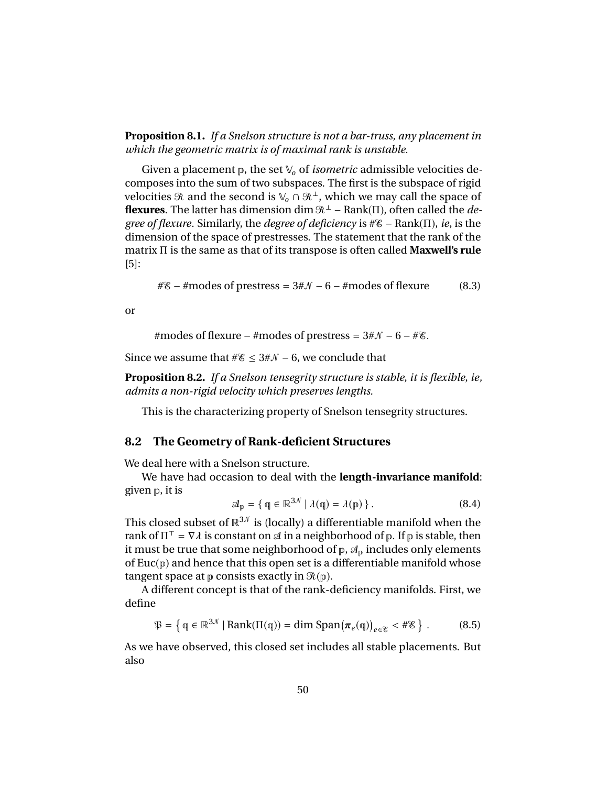**Proposition 8.1.** *If a Snelson structure is not a bar-truss, any placement in which the geometric matrix is of maximal rank is unstable.*

Given a placement  $\mathbb{p}$ , the set  $\mathbb{V}_o$  of *isometric* admissible velocities decomposes into the sum of two subspaces. The first is the subspace of rigid velocities  $\Re$  and the second is  $\mathbb{V}_o \cap \Re^{\perp}$ , which we may call the space of **flexures**. The latter has dimension dim R<sup>⊥</sup> − Rank(Π), often called the *degree of flexure*. Similarly, the *degree of deficiency* is #E− Rank(Π), *ie*, is the dimension of the space of prestresses. The statement that the rank of the matrix Π is the same as that of its transpose is often called **Maxwell's rule** [5]:

 $\#$  = #modes of prestress =  $3\#$   $\mathcal{N}$  – 6 – #modes of flexure (8.3)

or

#modes of flexure – #modes of prestress =  $3\#N - 6 - \#$ %.

Since we assume that  $#$  ≤ 3#N – 6, we conclude that

**Proposition 8.2.** *If a Snelson tensegrity structure is stable, it is flexible, ie, admits a non-rigid velocity which preserves lengths.*

This is the characterizing property of Snelson tensegrity structures.

#### **8.2 The Geometry of Rank-deficient Structures**

We deal here with a Snelson structure.

We have had occasion to deal with the **length-invariance manifold**: given p, it is

$$
\mathcal{A}_{\mathbf{p}} = \{ \mathbf{q} \in \mathbb{R}^{3N} \mid \lambda(\mathbf{q}) = \lambda(\mathbf{p}) \}.
$$
 (8.4)

This closed subset of  $\mathbb{R}^{3N}$  is (locally) a differentiable manifold when the rank of  $\Pi^{\top} = \nabla \lambda$  is constant on  $\mathcal A$  in a neighborhood of  $\mathfrak p$ . If  $\mathfrak p$  is stable, then<br>it must be true that some neighborhood of  $\mathfrak p$ ,  $\mathcal A$  -includes only elements it must be true that some neighborhood of  $p$ ,  $\mathcal{A}_p$  includes only elements of  $Euc(p)$  and hence that this open set is a differentiable manifold whose tangent space at  $p$  consists exactly in  $\mathcal{R}(p)$ .

A different concept is that of the rank-deficiency manifolds. First, we define

$$
\mathfrak{P} = \left\{ \mathfrak{q} \in \mathbb{R}^{3N} \mid \text{Rank}(\Pi(\mathfrak{q})) = \dim \text{Span}(\pi_e(\mathfrak{q})) \right\}.
$$
 (8.5)

As we have observed, this closed set includes all stable placements. But also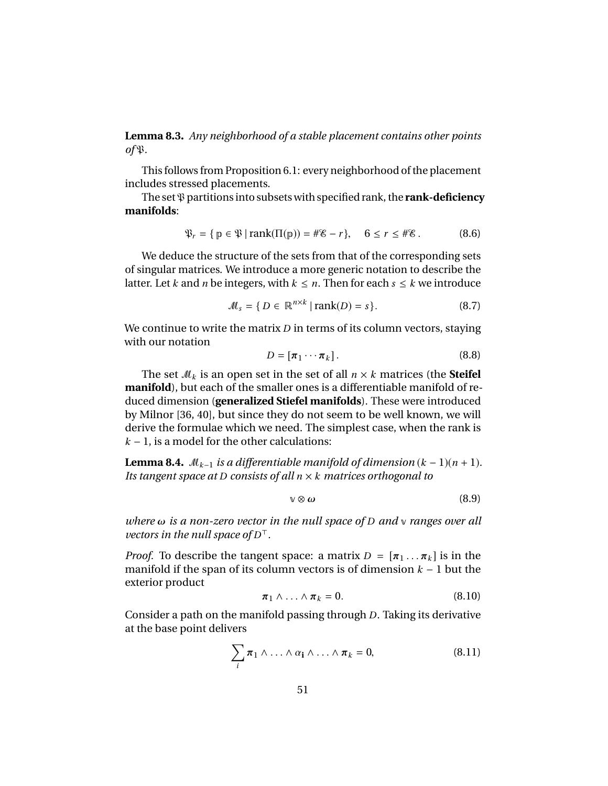**Lemma 8.3.** *Any neighborhood of a stable placement contains other points*  $of$  $\mathfrak{P}$ *.* 

This follows from Proposition 6.1: every neighborhood of the placement includes stressed placements.

The set  $\mathcal{P}$  partitions into subsets with specified rank, the **rank-deficiency manifolds**:

$$
\mathfrak{P}_r = \{ \mathfrak{p} \in \mathfrak{P} \mid \text{rank}(\Pi(\mathfrak{p})) = \#\mathcal{E} - r \}, \quad 6 \le r \le \#\mathcal{E}. \tag{8.6}
$$

We deduce the structure of the sets from that of the corresponding sets of singular matrices. We introduce a more generic notation to describe the latter. Let *k* and *n* be integers, with  $k \leq n$ . Then for each  $s \leq k$  we introduce

$$
\mathcal{M}_s = \{ D \in \mathbb{R}^{n \times k} \mid \text{rank}(D) = s \}. \tag{8.7}
$$

We continue to write the matrix *D* in terms of its column vectors, staying with our notation

$$
D = [\pi_1 \cdots \pi_k]. \tag{8.8}
$$

The set  $M_k$  is an open set in the set of all  $n \times k$  matrices (the **Steifel manifold**), but each of the smaller ones is a differentiable manifold of reduced dimension (**generalized Stiefel manifolds**). These were introduced by Milnor [36, 40], but since they do not seem to be well known, we will derive the formulae which we need. The simplest case, when the rank is  $k - 1$ , is a model for the other calculations:

**Lemma 8.4.**  $M_{k-1}$  *is a differentiable manifold of dimension*  $(k-1)(n+1)$ *. Its tangent space at D consists of all n* × *k matrices orthogonal to*

$$
\mathbf{v} \otimes \boldsymbol{\omega} \tag{8.9}
$$

*where* ω *is a non-zero vector in the null space of <sup>D</sup> and* <sup>v</sup> *ranges over all vectors in the null space of*  $D<sup>T</sup>$ *.* 

*Proof.* To describe the tangent space: a matrix  $D = [\pi_1 \dots \pi_k]$  is in the manifold if the span of its column vectors is of dimension *k* − 1 but the exterior product

$$
\pi_1 \wedge \ldots \wedge \pi_k = 0. \tag{8.10}
$$

Consider a path on the manifold passing through *D*. Taking its derivative at the base point delivers

$$
\sum_i \pi_1 \wedge \ldots \wedge \alpha_1 \wedge \ldots \wedge \pi_k = 0, \qquad (8.11)
$$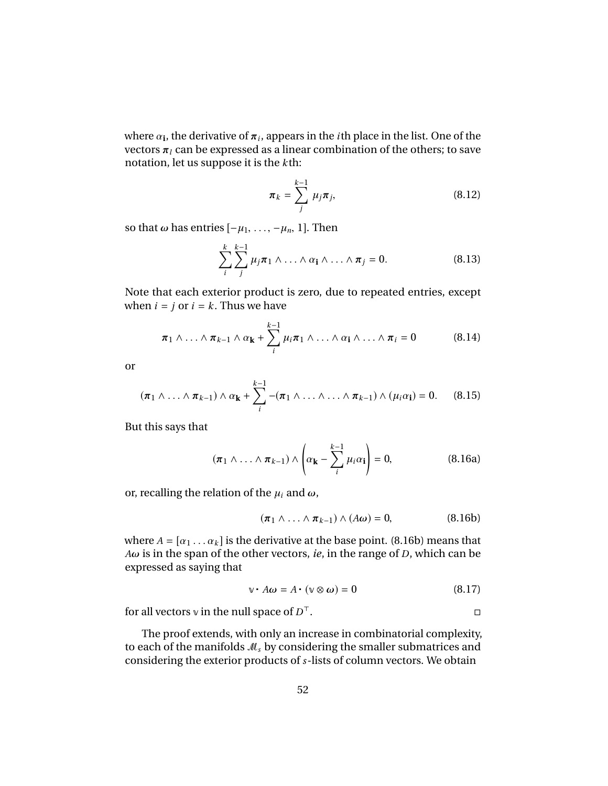where  $\alpha_i$ , the derivative of  $\pi_i$ , appears in the *i*th place in the list. One of the vectors  $\pi_i$  can be expressed as a linear combination of the others; to save vectors  $\pi_l$  can be expressed as a linear combination of the others; to save notation, let us suppose it is the *k*th:

$$
\boldsymbol{\pi}_k = \sum_j^{k-1} \mu_j \boldsymbol{\pi}_j, \tag{8.12}
$$

so that  $\omega$  has entries  $[-\mu_1, \ldots, -\mu_n, 1]$ . Then

$$
\sum_{i}^{k} \sum_{j}^{k-1} \mu_j \pi_1 \wedge \ldots \wedge \alpha_i \wedge \ldots \wedge \pi_j = 0.
$$
 (8.13)

Note that each exterior product is zero, due to repeated entries, except when  $i = j$  or  $i = k$ . Thus we have

$$
\pi_1 \wedge \ldots \wedge \pi_{k-1} \wedge \alpha_{\mathbf{k}} + \sum_{i}^{k-1} \mu_i \pi_1 \wedge \ldots \wedge \alpha_{\mathbf{i}} \wedge \ldots \wedge \pi_i = 0 \qquad (8.14)
$$

or

$$
(\pi_1 \wedge \ldots \wedge \pi_{k-1}) \wedge \alpha_{\mathbf{k}} + \sum_{i}^{k-1} -(\pi_1 \wedge \ldots \wedge \ldots \wedge \pi_{k-1}) \wedge (\mu_i \alpha_{\mathbf{i}}) = 0. \qquad (8.15)
$$

But this says that

$$
(\pi_1 \wedge \ldots \wedge \pi_{k-1}) \wedge \left(\alpha_{\mathbf{k}} - \sum_{i}^{k-1} \mu_i \alpha_{\mathbf{i}}\right) = 0, \tag{8.16a}
$$

or, recalling the relation of the  $\mu_i$  and  $\omega$ ,

$$
(\pi_1 \wedge \ldots \wedge \pi_{k-1}) \wedge (A\omega) = 0, \qquad (8.16b)
$$

where  $A = [\alpha_1 \dots \alpha_k]$  is the derivative at the base point. (8.16b) means that *<sup>A</sup>*ω is in the span of the other vectors, *ie*, in the range of *<sup>D</sup>*, which can be expressed as saying that

$$
\mathbf{v} \cdot A\boldsymbol{\omega} = A \cdot (\mathbf{v} \otimes \boldsymbol{\omega}) = 0 \tag{8.17}
$$

for all vectors  $\vee$  in the null space of  $D^{\top}$ .  $\mathbb{R}$ .

The proof extends, with only an increase in combinatorial complexity, to each of the manifolds M*<sup>s</sup>* by considering the smaller submatrices and considering the exterior products of *s*-lists of column vectors. We obtain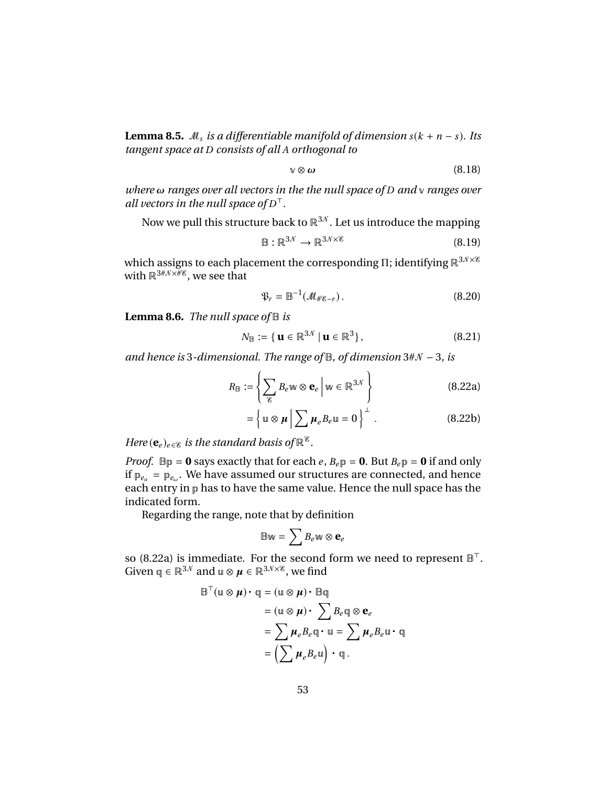**Lemma 8.5.**  $M_s$  *is a differentiable manifold of dimension*  $s(k + n - s)$ *. Its tangent space at D consists of all A orthogonal to*

$$
\sqrt{8} \omega \tag{8.18}
$$

*where* ω *ranges over all vectors in the the null space of <sup>D</sup> and* <sup>v</sup> *ranges over all vectors in the null space of*  $D<sup>T</sup>$ *.* 

Now we pull this structure back to  $\mathbb{R}^{3N}$ . Let us introduce the mapping

$$
\mathbb{B}: \mathbb{R}^{3N} \to \mathbb{R}^{3N \times 8} \tag{8.19}
$$

which assigns to each placement the corresponding Π; identifying  $\mathbb{R}^{3N\times 8}$ with  $\mathbb{R}^{3\# \mathcal{N} \times \mathcal{H} }$ , we see that

$$
\mathfrak{P}_r = \mathbb{B}^{-1}(\mathcal{M}_{\# \mathscr{C}-r}). \tag{8.20}
$$

**Lemma 8.6.** *The null space of* B *is*

$$
N_{\mathbb{B}} := \{ \mathbf{u} \in \mathbb{R}^{3N} \mid \mathbf{u} \in \mathbb{R}^{3} \},\tag{8.21}
$$

*and hence is* 3*-dimensional. The range of* B*, of dimension* 3#N− 3*, is*

$$
R_{\mathbb{B}} := \left\{ \sum_{\mathcal{E}} B_{e} \le \mathbf{e}_{e} \, \bigg| \, \mathbf{w} \in \mathbb{R}^{3\mathcal{N}} \right\} \tag{8.22a}
$$

$$
= \left\{ \mathbf{u} \otimes \boldsymbol{\mu} \, \middle| \, \sum \boldsymbol{\mu}_e B_e \mathbf{u} = 0 \right\}^{\perp} \,. \tag{8.22b}
$$

*Here*  $(\mathbf{e}_e)_{e \in \mathcal{E}}$  *is the standard basis of*  $\mathbb{R}^{\mathcal{E}}$ *.* 

*Proof.*  $\mathbb{B}p = \mathbf{0}$  says exactly that for each *e*,  $B_e p = \mathbf{0}$ . But  $B_e p = \mathbf{0}$  if and only if  $p_{e_\alpha} = p_{e_\omega}$ . We have assumed our structures are connected, and hence each entry in p has to have the same value. Hence the null space has the indicated form.

Regarding the range, note that by definition

$$
\mathbb{B} \mathbf{w} = \sum B_e \mathbf{w} \otimes \mathbf{e}_e
$$

so (8.22a) is immediate. For the second form we need to represent  $\mathbb{B}^{\top}$ . Given  $\mathfrak{q} \in \mathbb{R}^{3\mathcal{N}}$  and  $\mathfrak{u} \otimes \mu \in \mathbb{R}^{3\mathcal{N}\times \mathcal{E}}$ , we find

$$
\mathbb{B}^{\top}(\mathbb{u} \otimes \boldsymbol{\mu}) \cdot \mathbb{q} = (\mathbb{u} \otimes \boldsymbol{\mu}) \cdot \mathbb{B}\mathbb{q}
$$
  
\n
$$
= (\mathbb{u} \otimes \boldsymbol{\mu}) \cdot \sum B_e \mathbb{q} \otimes \mathbf{e}_e
$$
  
\n
$$
= \sum \boldsymbol{\mu}_e B_e \mathbb{q} \cdot \mathbb{u} = \sum \boldsymbol{\mu}_e B_e \mathbb{u} \cdot \mathbb{q}
$$
  
\n
$$
= \left(\sum \boldsymbol{\mu}_e B_e \mathbb{u}\right) \cdot \mathbb{q}.
$$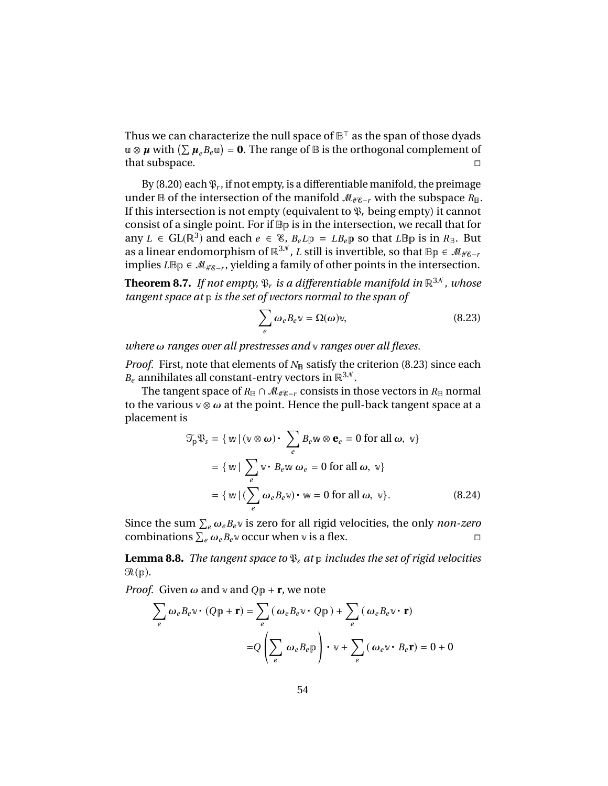Thus we can characterize the null space of  $\mathbb{B}^{\top}$  as the span of those dyads u ⊗  $\mu$  with  $(\sum \mu_{e}B_{e}$ u) = **0**. The range of  $\mathbb B$  is the orthogonal complement of that subspace.

By (8.20) each  $\mathfrak{P}_r$ , if not empty, is a differentiable manifold, the preimage under B of the intersection of the manifold  $M_{\#E-r}$  with the subspace  $R_{\text{B}}$ . If this intersection is not empty (equivalent to  $\mathfrak{P}_r$  being empty) it cannot consist of a single point. For if Bp is in the intersection, we recall that for any  $L \in GL(\mathbb{R}^3)$  and each  $e \in \mathcal{E}$ ,  $B_e L \mathbb{p} = L B_e \mathbb{p}$  so that  $L \mathbb{B} \mathbb{p}$  is in  $R_{\mathbb{B}}$ . But as a linear endomorphism of  $\mathbb{R}^{3N}$ , *L* still is invertible, so that  $\mathbb{B}_p \in \mathcal{M}_{\#g-r}$ implies *L*Bp ∈  $\mathcal{M}_{\#g-r}$ , yielding a family of other points in the intersection.

**Theorem 8.7.** *If not empty,*  $\mathfrak{P}_r$  *is a differentiable manifold in*  $\mathbb{R}^{3N}$ *, whose tangent space at* p *is the set of vectors normal to the span of*

$$
\sum_{e} \omega_e B_e v = \Omega(\omega)v,
$$
\n(8.23)

*where* ω *ranges over all prestresses and* <sup>v</sup> *ranges over all flexes.*

*Proof.* First, note that elements of  $N_{\text{B}}$  satisfy the criterion (8.23) since each  $B_e$  annihilates all constant-entry vectors in  $\mathbb{R}^{3\mathcal{N}}$ .

The tangent space of  $R_{\mathbb{B}} \cap M_{\# \mathcal{E} - r}$  consists in those vectors in  $R_{\mathbb{B}}$  normal to the various  $\theta \otimes \omega$  at the point. Hence the pull-back tangent space at a placement is

$$
\mathcal{T}_{p}\mathfrak{P}_{s} = \{ \mathbf{w} \mid (\mathbf{v} \otimes \boldsymbol{\omega}) \cdot \sum_{e} B_{e} \mathbf{w} \otimes \mathbf{e}_{e} = 0 \text{ for all } \boldsymbol{\omega}, \mathbf{v} \}
$$

$$
= \{ \mathbf{w} \mid \sum_{e} \mathbf{v} \cdot B_{e} \mathbf{w} \omega_{e} = 0 \text{ for all } \boldsymbol{\omega}, \mathbf{v} \}
$$

$$
= \{ \mathbf{w} \mid (\sum_{e} \omega_{e} B_{e} \mathbf{v}) \cdot \mathbf{w} = 0 \text{ for all } \boldsymbol{\omega}, \mathbf{v} \}. \tag{8.24}
$$

Since the sum  $\sum_{e} \omega_{e} B_{e} v$  is zero for all rigid velocities, the only *non-zero*<br>combinations  $\sum_{e} \omega_{e} B_{e} v$  occur when vis a flex combinations  $\sum_e \omega_e B_e v$  occur when v is a flex.

**Lemma 8.8.** *The tangent space to*  $\mathfrak{P}_s$  *at*  $p$  *includes the set of rigid velocities* R(p)*.*

*Proof.* Given  $\omega$  and  $\nu$  and  $Qp + r$ , we note

$$
\sum_{e} \omega_{e} B_{e} \mathbf{v} \cdot (Q \mathbf{p} + \mathbf{r}) = \sum_{e} (\omega_{e} B_{e} \mathbf{v} \cdot Q \mathbf{p}) + \sum_{e} (\omega_{e} B_{e} \mathbf{v} \cdot \mathbf{r})
$$

$$
= Q \left( \sum_{e} \omega_{e} B_{e} \mathbf{p} \right) \cdot \mathbf{v} + \sum_{e} (\omega_{e} \mathbf{v} \cdot B_{e} \mathbf{r}) = 0 + 0
$$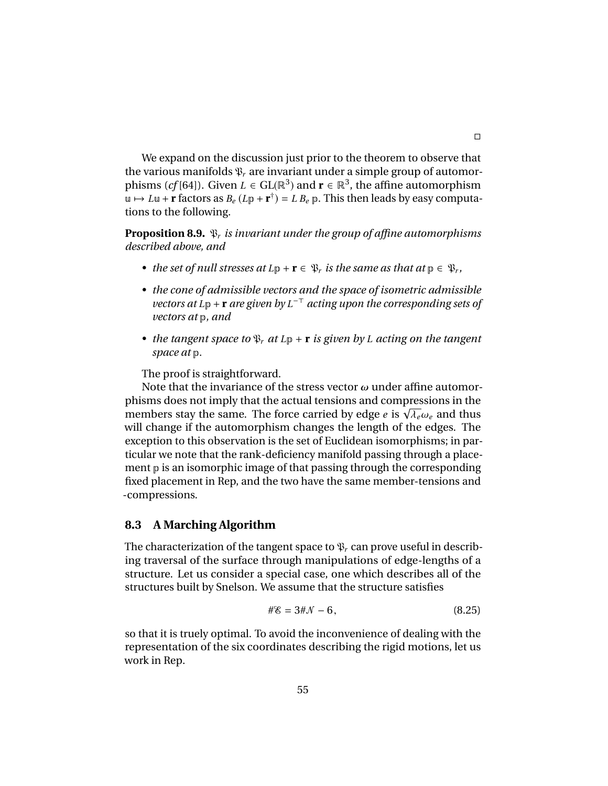We expand on the discussion just prior to the theorem to observe that the various manifolds  $\mathfrak{P}_r$  are invariant under a simple group of automorphisms (*cf* [64]). Given  $L \in GL(\mathbb{R}^3)$  and  $\mathbf{r} \in \mathbb{R}^3$ , the affine automorphism  $u \mapsto Lu + \mathbf{r}$  factors as  $B_e(L\mathbf{p} + \mathbf{r}^{\dagger}) = L B_e \mathbf{p}$ . This then leads by easy computations to the following.

**Proposition 8.9.** P*<sup>r</sup> is invariant under the group of affine automorphisms described above, and*

- *the set of null stresses at*  $L_p + \mathbf{r} \in \mathcal{P}_r$  *is the same as that at*  $p \in \mathcal{P}_r$ *,*
- *• the cone of admissible vectors and the space of isometric admissible vectors at L*<sub>P</sub> + **r** *are given by L*<sup>−⊤</sup> *acting upon the corresponding sets of vectors at* p*, and*
- *the tangent space to*  $\mathcal{P}_r$  *at*  $L_p$  + **r** *is given by L acting on the tangent space at* p*.*

The proof is straightforward.

Note that the invariance of the stress vector  $\omega$  under affine automorphisms does not imply that the actual tensions and compressions in the members stay the same. The force carried by edge *<sup>e</sup>* is <sup>√</sup> <sup>λ</sup>*<sup>e</sup>*ω*<sup>e</sup>* and thus will change if the automorphism changes the length of the edges. The exception to this observation is the set of Euclidean isomorphisms; in particular we note that the rank-deficiency manifold passing through a placement p is an isomorphic image of that passing through the corresponding fixed placement in Rep, and the two have the same member-tensions and -compressions.

#### **8.3 A Marching Algorithm**

The characterization of the tangent space to  $\mathfrak{P}_r$  can prove useful in describing traversal of the surface through manipulations of edge-lengths of a structure. Let us consider a special case, one which describes all of the structures built by Snelson. We assume that the structure satisfies

$$
\# \mathcal{E} = 3 \# \mathcal{N} - 6, \tag{8.25}
$$

so that it is truely optimal. To avoid the inconvenience of dealing with the representation of the six coordinates describing the rigid motions, let us work in Rep.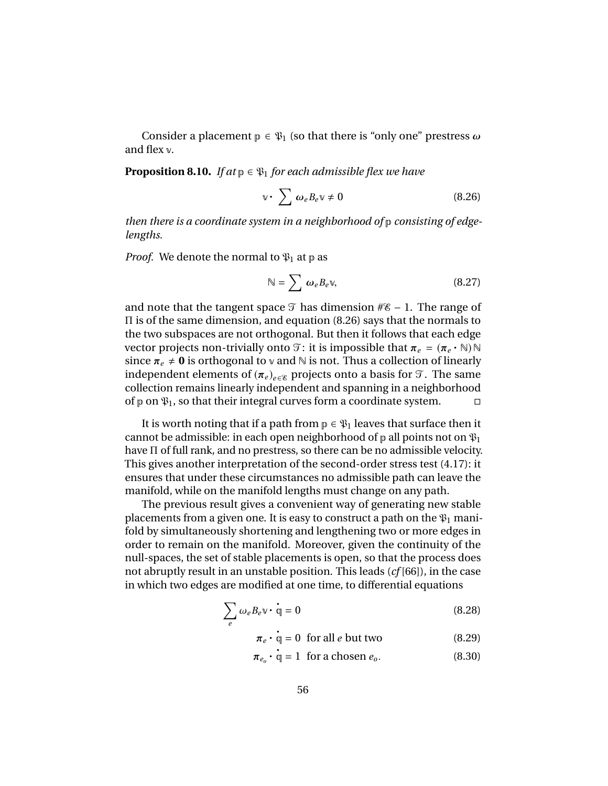Consider a placement  $p \in \mathfrak{P}_1$  (so that there is "only one" prestress  $\omega$ and flex v.

**Proposition 8.10.** *If at*  $p \in \mathcal{P}_1$  *for each admissible flex we have* 

$$
\mathbb{v} \cdot \sum \omega_e B_e \mathbb{v} \neq 0 \tag{8.26}
$$

*then there is a coordinate system in a neighborhood of* p *consisting of edgelengths.*

*Proof.* We denote the normal to  $\mathfrak{P}_1$  at p as

$$
\mathbb{N} = \sum \omega_e B_e \mathbb{v},\tag{8.27}
$$

and note that the tangent space  $\mathcal T$  has dimension # $\mathscr E$  – 1. The range of Π is of the same dimension, and equation (8.26) says that the normals to the two subspaces are not orthogonal. But then it follows that each edge vector projects non-trivially onto  $\mathcal{T}$ : it is impossible that  $\pi_e = (\pi_e \cdot \mathbb{N})\mathbb{N}$ <br>since  $\pi \to 0$  is orthogonal to  $\mathbb{N}$  and  $\mathbb{N}$  is not. Thus a collection of linearly since  $\pi_e \neq 0$  is orthogonal to v and N is not. Thus a collection of linearly independent elements of  $(\pi_e)_{e \in \mathcal{E}}$  projects onto a basis for  $\mathcal{T}$ . The same collection remains linearly independent and spanning in a neighborhood of p on  $\mathfrak{P}_1$ , so that their integral curves form a coordinate system.  $\Box$ 

It is worth noting that if a path from  $p \in \mathfrak{P}_1$  leaves that surface then it cannot be admissible: in each open neighborhood of  $p$  all points not on  $\mathfrak{P}_1$ have Π of full rank, and no prestress, so there can be no admissible velocity. This gives another interpretation of the second-order stress test (4.17): it ensures that under these circumstances no admissible path can leave the manifold, while on the manifold lengths must change on any path.

The previous result gives a convenient way of generating new stable placements from a given one. It is easy to construct a path on the  $\mathfrak{P}_1$  manifold by simultaneously shortening and lengthening two or more edges in order to remain on the manifold. Moreover, given the continuity of the null-spaces, the set of stable placements is open, so that the process does not abruptly result in an unstable position. This leads (*cf* [66]), in the case in which two edges are modified at one time, to differential equations

$$
\sum_{e} \omega_e B_e \mathbf{v} \cdot \mathbf{q} = 0 \tag{8.28}
$$

$$
\pi_e \cdot \mathbf{q} = 0 \text{ for all } e \text{ but two} \tag{8.29}
$$

$$
\boldsymbol{\pi}_{e_o} \cdot \mathbf{\dot{q}} = 1 \text{ for a chosen } e_o. \tag{8.30}
$$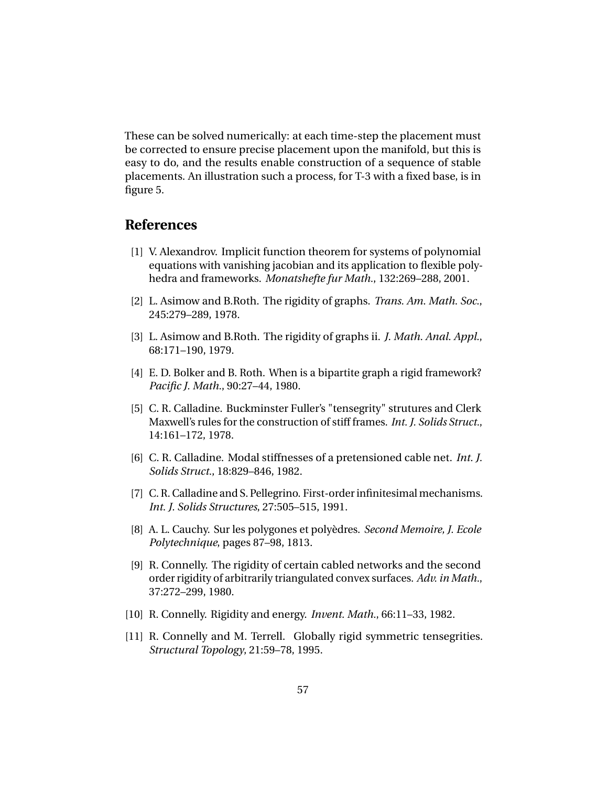These can be solved numerically: at each time-step the placement must be corrected to ensure precise placement upon the manifold, but this is easy to do, and the results enable construction of a sequence of stable placements. An illustration such a process, for T-3 with a fixed base, is in figure 5.

# **References**

- [1] V. Alexandrov. Implicit function theorem for systems of polynomial equations with vanishing jacobian and its application to flexible polyhedra and frameworks. *Monatshefte fur Math.*, 132:269–288, 2001.
- [2] L. Asimow and B.Roth. The rigidity of graphs. *Trans. Am. Math. Soc.*, 245:279–289, 1978.
- [3] L. Asimow and B.Roth. The rigidity of graphs ii. *J. Math. Anal. Appl.*, 68:171–190, 1979.
- [4] E. D. Bolker and B. Roth. When is a bipartite graph a rigid framework? *Pacific J. Math.*, 90:27–44, 1980.
- [5] C. R. Calladine. Buckminster Fuller's "tensegrity" strutures and Clerk Maxwell's rules for the construction of stiff frames. *Int. J. Solids Struct.*, 14:161–172, 1978.
- [6] C. R. Calladine. Modal stiffnesses of a pretensioned cable net. *Int. J. Solids Struct.*, 18:829–846, 1982.
- [7] C. R. Calladine and S. Pellegrino. First-order infinitesimal mechanisms. *Int. J. Solids Structures*, 27:505–515, 1991.
- [8] A. L. Cauchy. Sur les polygones et polyèdres. *Second Memoire, J. Ecole Polytechnique*, pages 87–98, 1813.
- [9] R. Connelly. The rigidity of certain cabled networks and the second order rigidity of arbitrarily triangulated convex surfaces. *Adv. in Math.*, 37:272–299, 1980.
- [10] R. Connelly. Rigidity and energy. *Invent. Math.*, 66:11–33, 1982.
- [11] R. Connelly and M. Terrell. Globally rigid symmetric tensegrities. *Structural Topology*, 21:59–78, 1995.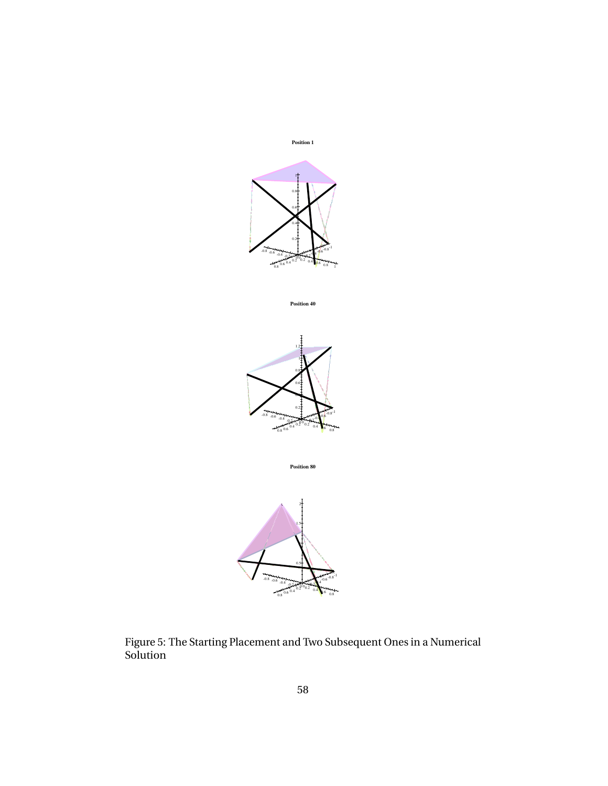

Figure 5: The Starting Placement and Two Subsequent Ones in a Numerical Solution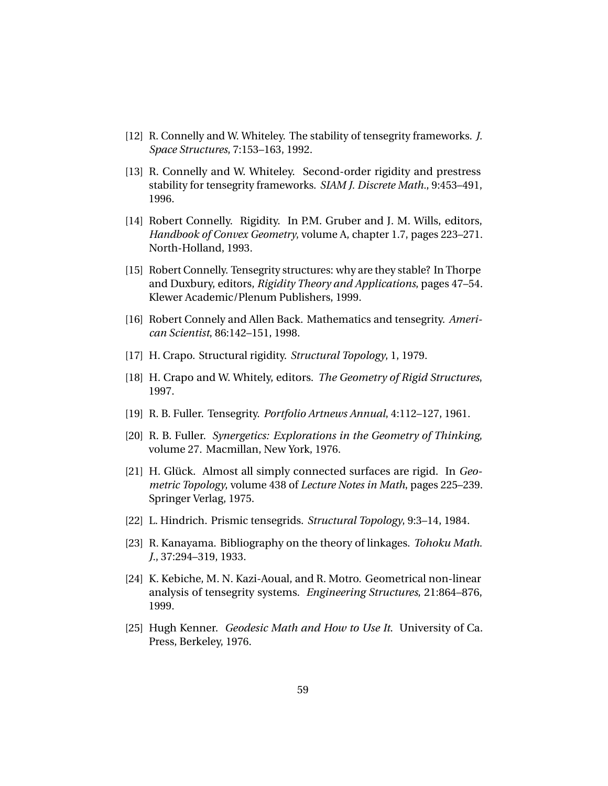- [12] R. Connelly and W. Whiteley. The stability of tensegrity frameworks. *J. Space Structures*, 7:153–163, 1992.
- [13] R. Connelly and W. Whiteley. Second-order rigidity and prestress stability for tensegrity frameworks. *SIAM J. Discrete Math.*, 9:453–491, 1996.
- [14] Robert Connelly. Rigidity. In P.M. Gruber and J. M. Wills, editors, *Handbook of Convex Geometry*, volume A, chapter 1.7, pages 223–271. North-Holland, 1993.
- [15] Robert Connelly. Tensegrity structures: why are they stable? In Thorpe and Duxbury, editors, *Rigidity Theory and Applications*, pages 47–54. Klewer Academic/Plenum Publishers, 1999.
- [16] Robert Connely and Allen Back. Mathematics and tensegrity. *American Scientist*, 86:142–151, 1998.
- [17] H. Crapo. Structural rigidity. *Structural Topology*, 1, 1979.
- [18] H. Crapo and W. Whitely, editors. *The Geometry of Rigid Structures*, 1997.
- [19] R. B. Fuller. Tensegrity. *Portfolio Artnews Annual*, 4:112–127, 1961.
- [20] R. B. Fuller. *Synergetics: Explorations in the Geometry of Thinking*, volume 27. Macmillan, New York, 1976.
- [21] H. Glück. Almost all simply connected surfaces are rigid. In *Geometric Topology*, volume 438 of *Lecture Notes in Math*, pages 225–239. Springer Verlag, 1975.
- [22] L. Hindrich. Prismic tensegrids. *Structural Topology*, 9:3–14, 1984.
- [23] R. Kanayama. Bibliography on the theory of linkages. *Tohoku Math. J.*, 37:294–319, 1933.
- [24] K. Kebiche, M. N. Kazi-Aoual, and R. Motro. Geometrical non-linear analysis of tensegrity systems. *Engineering Structures*, 21:864–876, 1999.
- [25] Hugh Kenner. *Geodesic Math and How to Use It*. University of Ca. Press, Berkeley, 1976.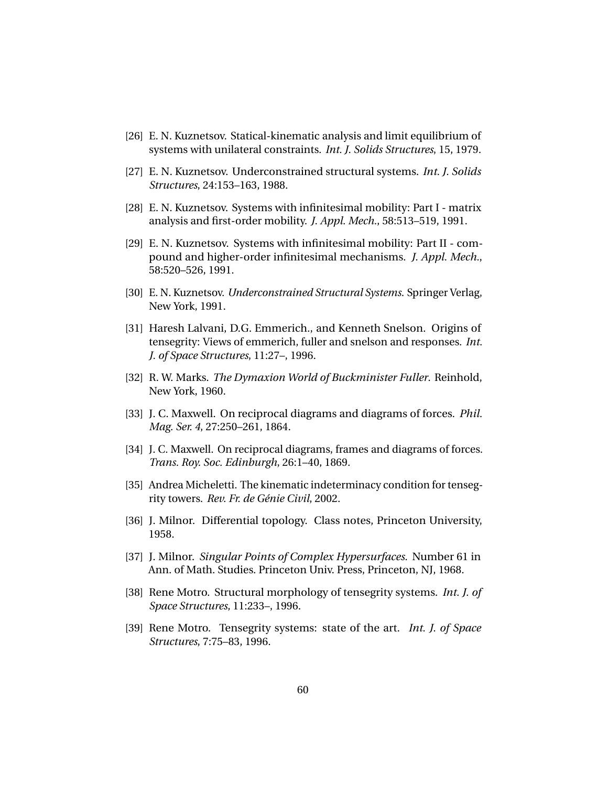- [26] E. N. Kuznetsov. Statical-kinematic analysis and limit equilibrium of systems with unilateral constraints. *Int. J. Solids Structures*, 15, 1979.
- [27] E. N. Kuznetsov. Underconstrained structural systems. *Int. J. Solids Structures*, 24:153–163, 1988.
- [28] E. N. Kuznetsov. Systems with infinitesimal mobility: Part I matrix analysis and first-order mobility. *J. Appl. Mech.*, 58:513–519, 1991.
- [29] E. N. Kuznetsov. Systems with infinitesimal mobility: Part II compound and higher-order infinitesimal mechanisms. *J. Appl. Mech.*, 58:520–526, 1991.
- [30] E. N. Kuznetsov. *Underconstrained Structural Systems*. Springer Verlag, New York, 1991.
- [31] Haresh Lalvani, D.G. Emmerich., and Kenneth Snelson. Origins of tensegrity: Views of emmerich, fuller and snelson and responses. *Int. J. of Space Structures*, 11:27–, 1996.
- [32] R. W. Marks. *The Dymaxion World of Buckminister Fuller*. Reinhold, New York, 1960.
- [33] J. C. Maxwell. On reciprocal diagrams and diagrams of forces. *Phil. Mag. Ser. 4*, 27:250–261, 1864.
- [34] J. C. Maxwell. On reciprocal diagrams, frames and diagrams of forces. *Trans. Roy. Soc. Edinburgh*, 26:1–40, 1869.
- [35] Andrea Micheletti. The kinematic indeterminacy condition for tensegrity towers. *Rev. Fr. de Génie Civil*, 2002.
- [36] J. Milnor. Differential topology. Class notes, Princeton University, 1958.
- [37] J. Milnor. *Singular Points of Complex Hypersurfaces*. Number 61 in Ann. of Math. Studies. Princeton Univ. Press, Princeton, NJ, 1968.
- [38] Rene Motro. Structural morphology of tensegrity systems. *Int. J. of Space Structures*, 11:233–, 1996.
- [39] Rene Motro. Tensegrity systems: state of the art. *Int. J. of Space Structures*, 7:75–83, 1996.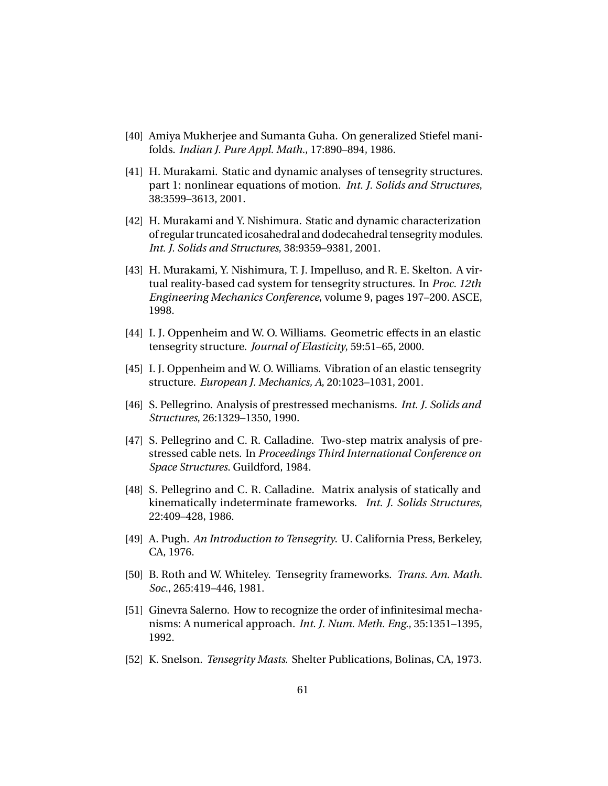- [40] Amiya Mukherjee and Sumanta Guha. On generalized Stiefel manifolds. *Indian J. Pure Appl. Math.*, 17:890–894, 1986.
- [41] H. Murakami. Static and dynamic analyses of tensegrity structures. part 1: nonlinear equations of motion. *Int. J. Solids and Structures*, 38:3599–3613, 2001.
- [42] H. Murakami and Y. Nishimura. Static and dynamic characterization of regular truncated icosahedral and dodecahedral tensegrity modules. *Int. J. Solids and Structures*, 38:9359–9381, 2001.
- [43] H. Murakami, Y. Nishimura, T. J. Impelluso, and R. E. Skelton. A virtual reality-based cad system for tensegrity structures. In *Proc. 12th Engineering Mechanics Conference*, volume 9, pages 197–200. ASCE, 1998.
- [44] I. J. Oppenheim and W. O. Williams. Geometric effects in an elastic tensegrity structure. *Journal of Elasticity*, 59:51–65, 2000.
- [45] I. J. Oppenheim and W. O. Williams. Vibration of an elastic tensegrity structure. *European J. Mechanics, A*, 20:1023–1031, 2001.
- [46] S. Pellegrino. Analysis of prestressed mechanisms. *Int. J. Solids and Structures*, 26:1329–1350, 1990.
- [47] S. Pellegrino and C. R. Calladine. Two-step matrix analysis of prestressed cable nets. In *Proceedings Third International Conference on Space Structures*. Guildford, 1984.
- [48] S. Pellegrino and C. R. Calladine. Matrix analysis of statically and kinematically indeterminate frameworks. *Int. J. Solids Structures*, 22:409–428, 1986.
- [49] A. Pugh. *An Introduction to Tensegrity*. U. California Press, Berkeley, CA, 1976.
- [50] B. Roth and W. Whiteley. Tensegrity frameworks. *Trans. Am. Math. Soc.*, 265:419–446, 1981.
- [51] Ginevra Salerno. How to recognize the order of infinitesimal mechanisms: A numerical approach. *Int. J. Num. Meth. Eng.*, 35:1351–1395, 1992.
- [52] K. Snelson. *Tensegrity Masts*. Shelter Publications, Bolinas, CA, 1973.